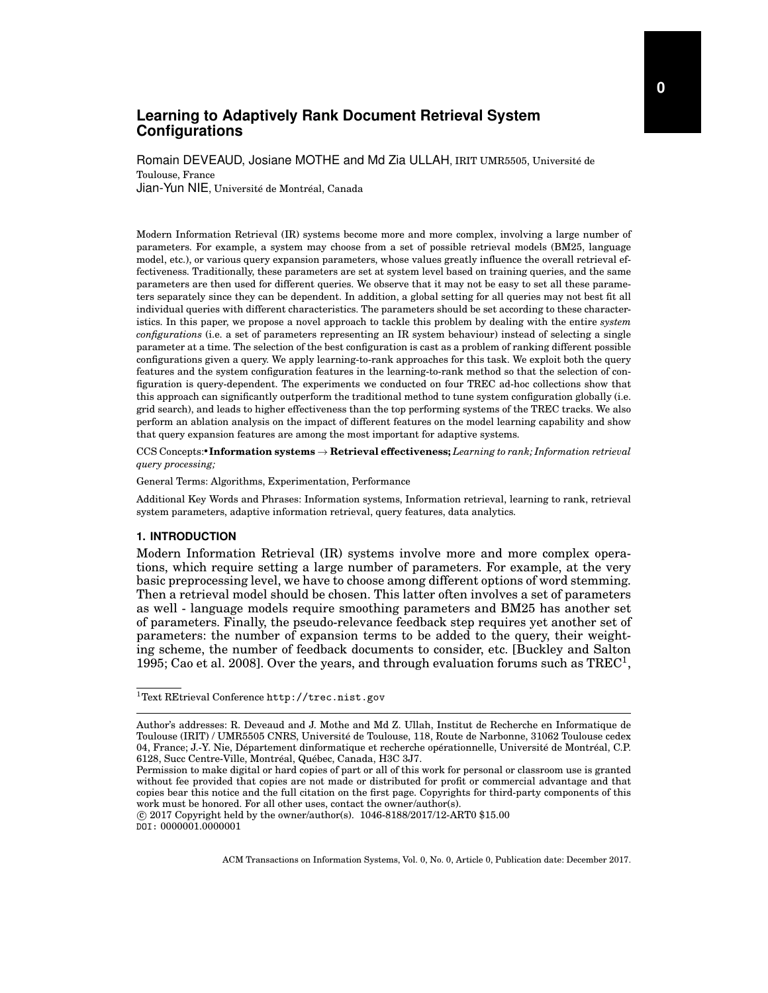# **Learning to Adaptively Rank Document Retrieval System Configurations**

Romain DEVEAUD, Josiane MOTHE and Md Zia ULLAH, IRIT UMR5505, Universite de ´ Toulouse, France Jian-Yun NIE, Université de Montréal, Canada

Modern Information Retrieval (IR) systems become more and more complex, involving a large number of parameters. For example, a system may choose from a set of possible retrieval models (BM25, language model, etc.), or various query expansion parameters, whose values greatly influence the overall retrieval effectiveness. Traditionally, these parameters are set at system level based on training queries, and the same parameters are then used for different queries. We observe that it may not be easy to set all these parameters separately since they can be dependent. In addition, a global setting for all queries may not best fit all individual queries with different characteristics. The parameters should be set according to these characteristics. In this paper, we propose a novel approach to tackle this problem by dealing with the entire *system configurations* (i.e. a set of parameters representing an IR system behaviour) instead of selecting a single parameter at a time. The selection of the best configuration is cast as a problem of ranking different possible configurations given a query. We apply learning-to-rank approaches for this task. We exploit both the query features and the system configuration features in the learning-to-rank method so that the selection of configuration is query-dependent. The experiments we conducted on four TREC ad-hoc collections show that this approach can significantly outperform the traditional method to tune system configuration globally (i.e. grid search), and leads to higher effectiveness than the top performing systems of the TREC tracks. We also perform an ablation analysis on the impact of different features on the model learning capability and show that query expansion features are among the most important for adaptive systems.

CCS Concepts: • Information systems → Retrieval effectiveness; *Learning to rank; Information retrieval query processing;*

General Terms: Algorithms, Experimentation, Performance

Additional Key Words and Phrases: Information systems, Information retrieval, learning to rank, retrieval system parameters, adaptive information retrieval, query features, data analytics.

## **1. INTRODUCTION**

Modern Information Retrieval (IR) systems involve more and more complex operations, which require setting a large number of parameters. For example, at the very basic preprocessing level, we have to choose among different options of word stemming. Then a retrieval model should be chosen. This latter often involves a set of parameters as well - language models require smoothing parameters and BM25 has another set of parameters. Finally, the pseudo-relevance feedback step requires yet another set of parameters: the number of expansion terms to be added to the query, their weighting scheme, the number of feedback documents to consider, etc. [Buckley and Salton 1995; Cao et al. 2008]. Over the years, and through evaluation forums such as  $TREC^1$ ,

 $\overline{c}$  2017 Copyright held by the owner/author(s). 1046-8188/2017/12-ART0 \$15.00 DOI: 0000001.0000001

<sup>1</sup>Text REtrieval Conference http://trec.nist.gov

Author's addresses: R. Deveaud and J. Mothe and Md Z. Ullah, Institut de Recherche en Informatique de Toulouse (IRIT) / UMR5505 CNRS, Universite de Toulouse, 118, Route de Narbonne, 31062 Toulouse cedex ´ 04, France; J.-Y. Nie, Département dinformatique et recherche opérationnelle, Université de Montréal, C.P. 6128, Succ Centre-Ville, Montréal, Québec, Canada, H3C 3J7.

Permission to make digital or hard copies of part or all of this work for personal or classroom use is granted without fee provided that copies are not made or distributed for profit or commercial advantage and that copies bear this notice and the full citation on the first page. Copyrights for third-party components of this work must be honored. For all other uses, contact the owner/author(s).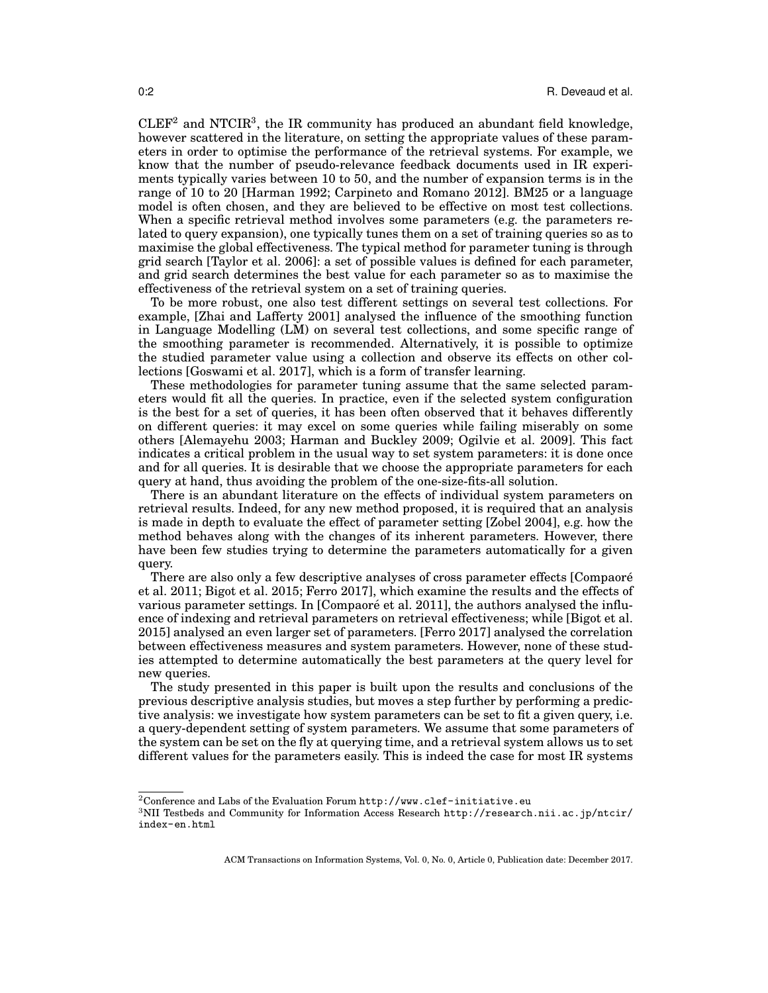$CLEF<sup>2</sup>$  and NTCIR<sup>3</sup>, the IR community has produced an abundant field knowledge, however scattered in the literature, on setting the appropriate values of these parameters in order to optimise the performance of the retrieval systems. For example, we know that the number of pseudo-relevance feedback documents used in IR experiments typically varies between 10 to 50, and the number of expansion terms is in the range of 10 to 20 [Harman 1992; Carpineto and Romano 2012]. BM25 or a language model is often chosen, and they are believed to be effective on most test collections. When a specific retrieval method involves some parameters (e.g. the parameters related to query expansion), one typically tunes them on a set of training queries so as to maximise the global effectiveness. The typical method for parameter tuning is through grid search [Taylor et al. 2006]: a set of possible values is defined for each parameter, and grid search determines the best value for each parameter so as to maximise the effectiveness of the retrieval system on a set of training queries.

To be more robust, one also test different settings on several test collections. For example, [Zhai and Lafferty 2001] analysed the influence of the smoothing function in Language Modelling (LM) on several test collections, and some specific range of the smoothing parameter is recommended. Alternatively, it is possible to optimize the studied parameter value using a collection and observe its effects on other collections [Goswami et al. 2017], which is a form of transfer learning.

These methodologies for parameter tuning assume that the same selected parameters would fit all the queries. In practice, even if the selected system configuration is the best for a set of queries, it has been often observed that it behaves differently on different queries: it may excel on some queries while failing miserably on some others [Alemayehu 2003; Harman and Buckley 2009; Ogilvie et al. 2009]. This fact indicates a critical problem in the usual way to set system parameters: it is done once and for all queries. It is desirable that we choose the appropriate parameters for each query at hand, thus avoiding the problem of the one-size-fits-all solution.

There is an abundant literature on the effects of individual system parameters on retrieval results. Indeed, for any new method proposed, it is required that an analysis is made in depth to evaluate the effect of parameter setting [Zobel 2004], e.g. how the method behaves along with the changes of its inherent parameters. However, there have been few studies trying to determine the parameters automatically for a given query.

There are also only a few descriptive analyses of cross parameter effects [Compaoré] et al. 2011; Bigot et al. 2015; Ferro 2017], which examine the results and the effects of various parameter settings. In [Compaoré et al. 2011], the authors analysed the influence of indexing and retrieval parameters on retrieval effectiveness; while [Bigot et al. 2015] analysed an even larger set of parameters. [Ferro 2017] analysed the correlation between effectiveness measures and system parameters. However, none of these studies attempted to determine automatically the best parameters at the query level for new queries.

The study presented in this paper is built upon the results and conclusions of the previous descriptive analysis studies, but moves a step further by performing a predictive analysis: we investigate how system parameters can be set to fit a given query, i.e. a query-dependent setting of system parameters. We assume that some parameters of the system can be set on the fly at querying time, and a retrieval system allows us to set different values for the parameters easily. This is indeed the case for most IR systems

 $2$ Conference and Labs of the Evaluation Forum http://www.clef-initiative.eu

<sup>3</sup>NII Testbeds and Community for Information Access Research http://research.nii.ac.jp/ntcir/ index-en.html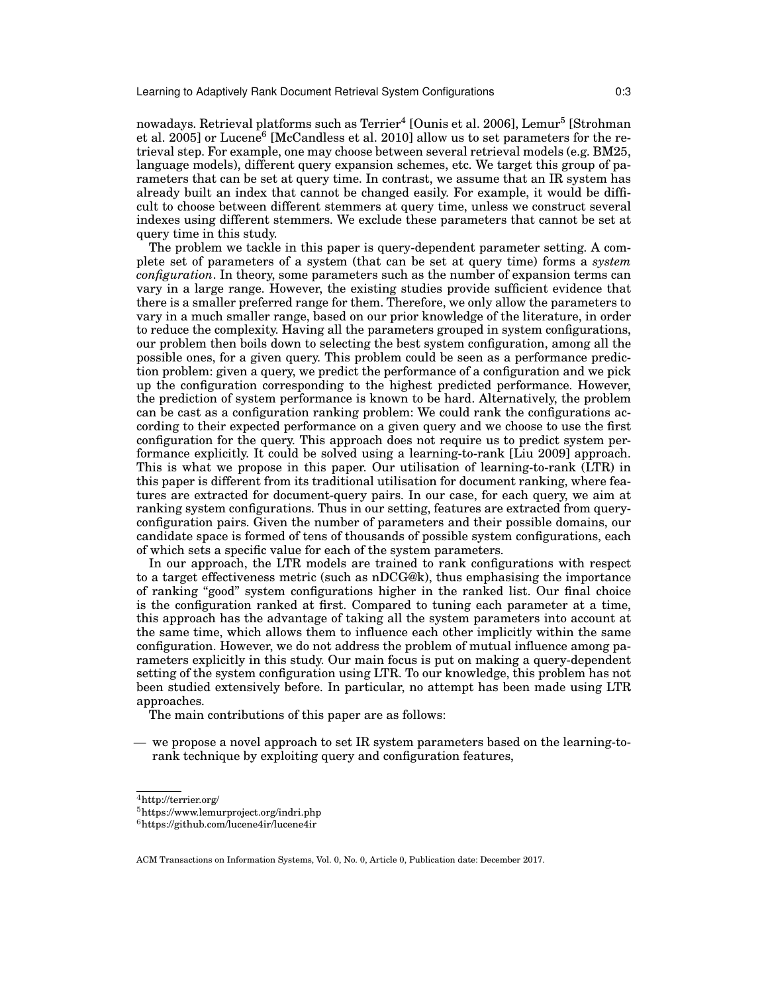nowadays. Retrieval platforms such as Terrier<sup>4</sup> [Ounis et al. 2006], Lemur<sup>5</sup> [Strohman et al. 2005] or Lucene $^6$  [McCandless et al. 2010] allow us to set parameters for the retrieval step. For example, one may choose between several retrieval models (e.g. BM25, language models), different query expansion schemes, etc. We target this group of parameters that can be set at query time. In contrast, we assume that an IR system has already built an index that cannot be changed easily. For example, it would be difficult to choose between different stemmers at query time, unless we construct several indexes using different stemmers. We exclude these parameters that cannot be set at query time in this study.

The problem we tackle in this paper is query-dependent parameter setting. A complete set of parameters of a system (that can be set at query time) forms a *system configuration*. In theory, some parameters such as the number of expansion terms can vary in a large range. However, the existing studies provide sufficient evidence that there is a smaller preferred range for them. Therefore, we only allow the parameters to vary in a much smaller range, based on our prior knowledge of the literature, in order to reduce the complexity. Having all the parameters grouped in system configurations, our problem then boils down to selecting the best system configuration, among all the possible ones, for a given query. This problem could be seen as a performance prediction problem: given a query, we predict the performance of a configuration and we pick up the configuration corresponding to the highest predicted performance. However, the prediction of system performance is known to be hard. Alternatively, the problem can be cast as a configuration ranking problem: We could rank the configurations according to their expected performance on a given query and we choose to use the first configuration for the query. This approach does not require us to predict system performance explicitly. It could be solved using a learning-to-rank [Liu 2009] approach. This is what we propose in this paper. Our utilisation of learning-to-rank (LTR) in this paper is different from its traditional utilisation for document ranking, where features are extracted for document-query pairs. In our case, for each query, we aim at ranking system configurations. Thus in our setting, features are extracted from queryconfiguration pairs. Given the number of parameters and their possible domains, our candidate space is formed of tens of thousands of possible system configurations, each of which sets a specific value for each of the system parameters.

In our approach, the LTR models are trained to rank configurations with respect to a target effectiveness metric (such as nDCG@k), thus emphasising the importance of ranking "good" system configurations higher in the ranked list. Our final choice is the configuration ranked at first. Compared to tuning each parameter at a time, this approach has the advantage of taking all the system parameters into account at the same time, which allows them to influence each other implicitly within the same configuration. However, we do not address the problem of mutual influence among parameters explicitly in this study. Our main focus is put on making a query-dependent setting of the system configuration using LTR. To our knowledge, this problem has not been studied extensively before. In particular, no attempt has been made using LTR approaches.

The main contributions of this paper are as follows:

— we propose a novel approach to set IR system parameters based on the learning-torank technique by exploiting query and configuration features,

 $^4\mbox{http://terrier.org/}$ 

<sup>5</sup>https://www.lemurproject.org/indri.php

 $6$ https://github.com/lucene4ir/lucene4ir

ACM Transactions on Information Systems, Vol. 0, No. 0, Article 0, Publication date: December 2017.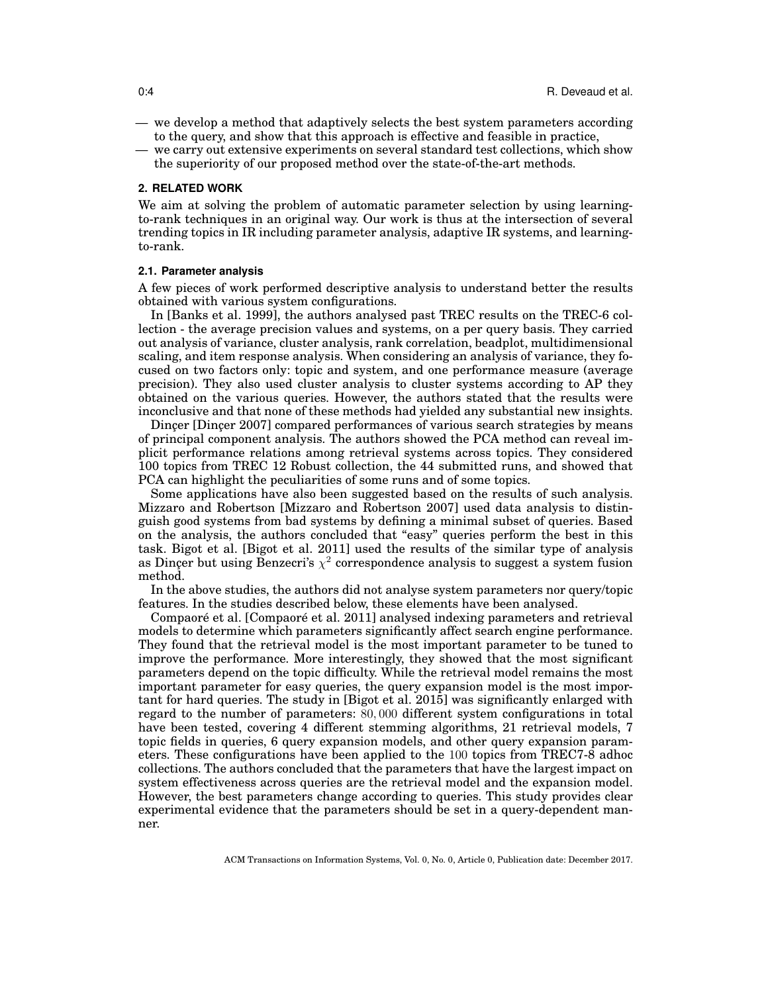- we develop a method that adaptively selects the best system parameters according to the query, and show that this approach is effective and feasible in practice,
- we carry out extensive experiments on several standard test collections, which show the superiority of our proposed method over the state-of-the-art methods.

#### **2. RELATED WORK**

We aim at solving the problem of automatic parameter selection by using learningto-rank techniques in an original way. Our work is thus at the intersection of several trending topics in IR including parameter analysis, adaptive IR systems, and learningto-rank.

#### **2.1. Parameter analysis**

A few pieces of work performed descriptive analysis to understand better the results obtained with various system configurations.

In [Banks et al. 1999], the authors analysed past TREC results on the TREC-6 collection - the average precision values and systems, on a per query basis. They carried out analysis of variance, cluster analysis, rank correlation, beadplot, multidimensional scaling, and item response analysis. When considering an analysis of variance, they focused on two factors only: topic and system, and one performance measure (average precision). They also used cluster analysis to cluster systems according to AP they obtained on the various queries. However, the authors stated that the results were inconclusive and that none of these methods had yielded any substantial new insights.

Dincer [Dincer 2007] compared performances of various search strategies by means of principal component analysis. The authors showed the PCA method can reveal implicit performance relations among retrieval systems across topics. They considered 100 topics from TREC 12 Robust collection, the 44 submitted runs, and showed that PCA can highlight the peculiarities of some runs and of some topics.

Some applications have also been suggested based on the results of such analysis. Mizzaro and Robertson [Mizzaro and Robertson 2007] used data analysis to distinguish good systems from bad systems by defining a minimal subset of queries. Based on the analysis, the authors concluded that "easy" queries perform the best in this task. Bigot et al. [Bigot et al. 2011] used the results of the similar type of analysis as Dinçer but using Benzecri's  $\chi^2$  correspondence analysis to suggest a system fusion method.

In the above studies, the authors did not analyse system parameters nor query/topic features. In the studies described below, these elements have been analysed.

Compaoré et al. [Compaoré et al. 2011] analysed indexing parameters and retrieval models to determine which parameters significantly affect search engine performance. They found that the retrieval model is the most important parameter to be tuned to improve the performance. More interestingly, they showed that the most significant parameters depend on the topic difficulty. While the retrieval model remains the most important parameter for easy queries, the query expansion model is the most important for hard queries. The study in [Bigot et al. 2015] was significantly enlarged with regard to the number of parameters: 80, 000 different system configurations in total have been tested, covering 4 different stemming algorithms, 21 retrieval models, 7 topic fields in queries, 6 query expansion models, and other query expansion parameters. These configurations have been applied to the 100 topics from TREC7-8 adhoc collections. The authors concluded that the parameters that have the largest impact on system effectiveness across queries are the retrieval model and the expansion model. However, the best parameters change according to queries. This study provides clear experimental evidence that the parameters should be set in a query-dependent manner.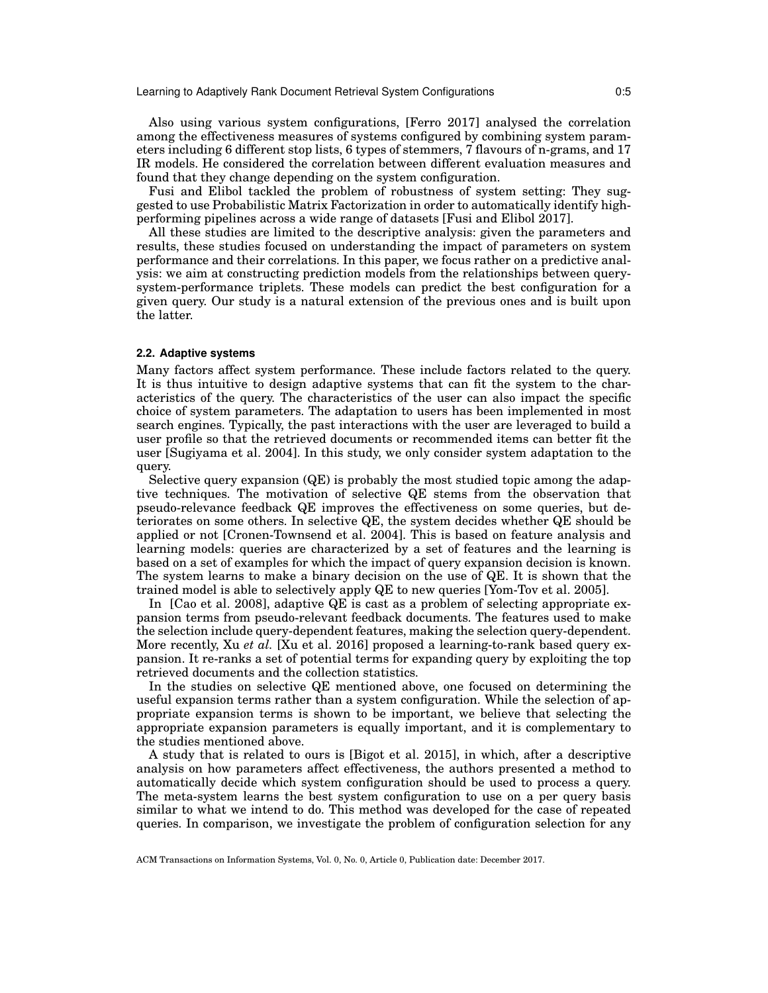Learning to Adaptively Rank Document Retrieval System Configurations 0:5

Also using various system configurations, [Ferro 2017] analysed the correlation among the effectiveness measures of systems configured by combining system parameters including 6 different stop lists, 6 types of stemmers, 7 flavours of n-grams, and 17 IR models. He considered the correlation between different evaluation measures and found that they change depending on the system configuration.

Fusi and Elibol tackled the problem of robustness of system setting: They suggested to use Probabilistic Matrix Factorization in order to automatically identify highperforming pipelines across a wide range of datasets [Fusi and Elibol 2017].

All these studies are limited to the descriptive analysis: given the parameters and results, these studies focused on understanding the impact of parameters on system performance and their correlations. In this paper, we focus rather on a predictive analysis: we aim at constructing prediction models from the relationships between querysystem-performance triplets. These models can predict the best configuration for a given query. Our study is a natural extension of the previous ones and is built upon the latter.

#### **2.2. Adaptive systems**

Many factors affect system performance. These include factors related to the query. It is thus intuitive to design adaptive systems that can fit the system to the characteristics of the query. The characteristics of the user can also impact the specific choice of system parameters. The adaptation to users has been implemented in most search engines. Typically, the past interactions with the user are leveraged to build a user profile so that the retrieved documents or recommended items can better fit the user [Sugiyama et al. 2004]. In this study, we only consider system adaptation to the query.

Selective query expansion (QE) is probably the most studied topic among the adaptive techniques. The motivation of selective QE stems from the observation that pseudo-relevance feedback QE improves the effectiveness on some queries, but deteriorates on some others. In selective QE, the system decides whether QE should be applied or not [Cronen-Townsend et al. 2004]. This is based on feature analysis and learning models: queries are characterized by a set of features and the learning is based on a set of examples for which the impact of query expansion decision is known. The system learns to make a binary decision on the use of QE. It is shown that the trained model is able to selectively apply QE to new queries [Yom-Tov et al. 2005].

In [Cao et al. 2008], adaptive QE is cast as a problem of selecting appropriate expansion terms from pseudo-relevant feedback documents. The features used to make the selection include query-dependent features, making the selection query-dependent. More recently, Xu *et al.* [Xu et al. 2016] proposed a learning-to-rank based query expansion. It re-ranks a set of potential terms for expanding query by exploiting the top retrieved documents and the collection statistics.

In the studies on selective QE mentioned above, one focused on determining the useful expansion terms rather than a system configuration. While the selection of appropriate expansion terms is shown to be important, we believe that selecting the appropriate expansion parameters is equally important, and it is complementary to the studies mentioned above.

A study that is related to ours is [Bigot et al. 2015], in which, after a descriptive analysis on how parameters affect effectiveness, the authors presented a method to automatically decide which system configuration should be used to process a query. The meta-system learns the best system configuration to use on a per query basis similar to what we intend to do. This method was developed for the case of repeated queries. In comparison, we investigate the problem of configuration selection for any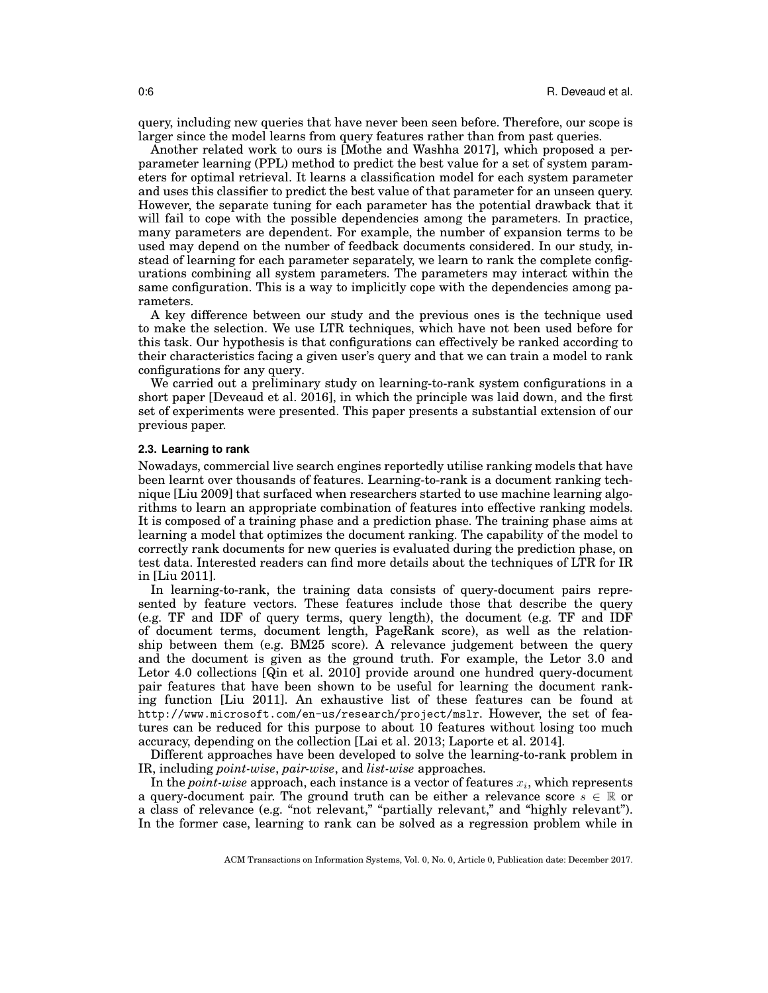query, including new queries that have never been seen before. Therefore, our scope is larger since the model learns from query features rather than from past queries.

Another related work to ours is [Mothe and Washha 2017], which proposed a perparameter learning (PPL) method to predict the best value for a set of system parameters for optimal retrieval. It learns a classification model for each system parameter and uses this classifier to predict the best value of that parameter for an unseen query. However, the separate tuning for each parameter has the potential drawback that it will fail to cope with the possible dependencies among the parameters. In practice, many parameters are dependent. For example, the number of expansion terms to be used may depend on the number of feedback documents considered. In our study, instead of learning for each parameter separately, we learn to rank the complete configurations combining all system parameters. The parameters may interact within the same configuration. This is a way to implicitly cope with the dependencies among parameters.

A key difference between our study and the previous ones is the technique used to make the selection. We use LTR techniques, which have not been used before for this task. Our hypothesis is that configurations can effectively be ranked according to their characteristics facing a given user's query and that we can train a model to rank configurations for any query.

We carried out a preliminary study on learning-to-rank system configurations in a short paper [Deveaud et al. 2016], in which the principle was laid down, and the first set of experiments were presented. This paper presents a substantial extension of our previous paper.

#### **2.3. Learning to rank**

Nowadays, commercial live search engines reportedly utilise ranking models that have been learnt over thousands of features. Learning-to-rank is a document ranking technique [Liu 2009] that surfaced when researchers started to use machine learning algorithms to learn an appropriate combination of features into effective ranking models. It is composed of a training phase and a prediction phase. The training phase aims at learning a model that optimizes the document ranking. The capability of the model to correctly rank documents for new queries is evaluated during the prediction phase, on test data. Interested readers can find more details about the techniques of LTR for IR in [Liu 2011].

In learning-to-rank, the training data consists of query-document pairs represented by feature vectors. These features include those that describe the query (e.g. TF and IDF of query terms, query length), the document (e.g. TF and IDF of document terms, document length, PageRank score), as well as the relationship between them (e.g. BM25 score). A relevance judgement between the query and the document is given as the ground truth. For example, the Letor 3.0 and Letor 4.0 collections [Qin et al. 2010] provide around one hundred query-document pair features that have been shown to be useful for learning the document ranking function [Liu 2011]. An exhaustive list of these features can be found at http://www.microsoft.com/en-us/research/project/mslr. However, the set of features can be reduced for this purpose to about 10 features without losing too much accuracy, depending on the collection [Lai et al. 2013; Laporte et al. 2014].

Different approaches have been developed to solve the learning-to-rank problem in IR, including *point-wise*, *pair-wise*, and *list-wise* approaches.

In the *point-wise* approach, each instance is a vector of features  $x_i$ , which represents a query-document pair. The ground truth can be either a relevance score  $s \in \mathbb{R}$  or a class of relevance (e.g. "not relevant," "partially relevant," and "highly relevant"). In the former case, learning to rank can be solved as a regression problem while in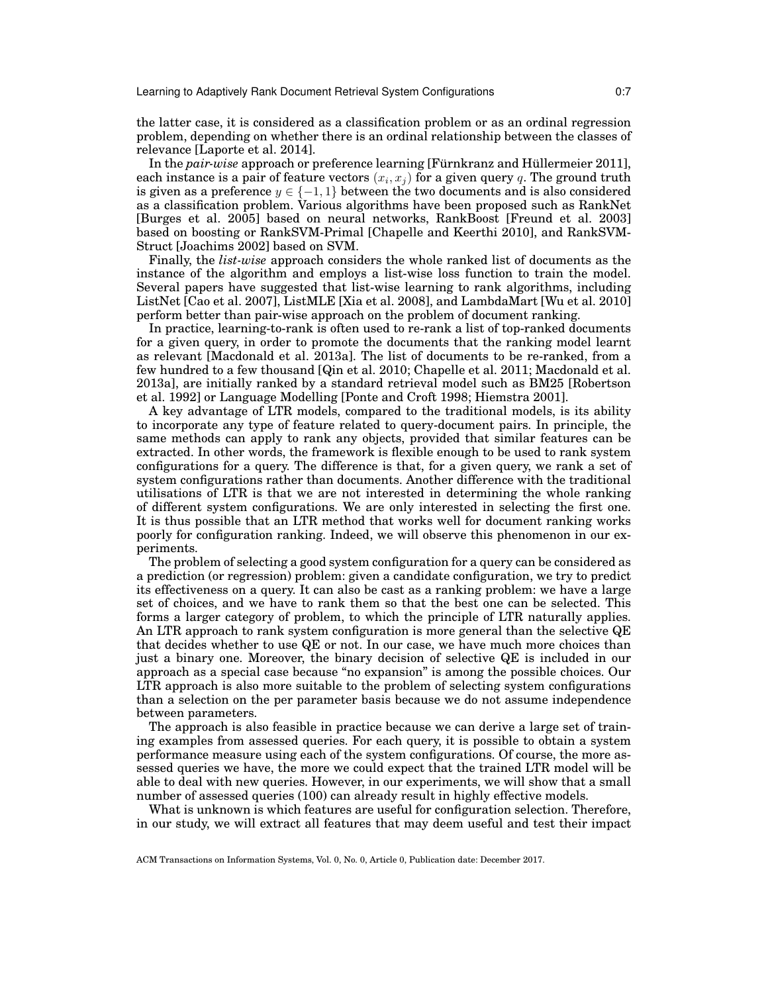the latter case, it is considered as a classification problem or as an ordinal regression problem, depending on whether there is an ordinal relationship between the classes of relevance [Laporte et al. 2014].

In the *pair-wise* approach or preference learning [Fürnkranz and Hüllermeier 2011], each instance is a pair of feature vectors  $\left(x_{i},x_{j}\right)$  for a given query  $q.$  The ground truth is given as a preference  $y \in \{-1,1\}$  between the two documents and is also considered as a classification problem. Various algorithms have been proposed such as RankNet [Burges et al. 2005] based on neural networks, RankBoost [Freund et al. 2003] based on boosting or RankSVM-Primal [Chapelle and Keerthi 2010], and RankSVM-Struct [Joachims 2002] based on SVM.

Finally, the *list-wise* approach considers the whole ranked list of documents as the instance of the algorithm and employs a list-wise loss function to train the model. Several papers have suggested that list-wise learning to rank algorithms, including ListNet [Cao et al. 2007], ListMLE [Xia et al. 2008], and LambdaMart [Wu et al. 2010] perform better than pair-wise approach on the problem of document ranking.

In practice, learning-to-rank is often used to re-rank a list of top-ranked documents for a given query, in order to promote the documents that the ranking model learnt as relevant [Macdonald et al. 2013a]. The list of documents to be re-ranked, from a few hundred to a few thousand [Qin et al. 2010; Chapelle et al. 2011; Macdonald et al. 2013a], are initially ranked by a standard retrieval model such as BM25 [Robertson et al. 1992] or Language Modelling [Ponte and Croft 1998; Hiemstra 2001].

A key advantage of LTR models, compared to the traditional models, is its ability to incorporate any type of feature related to query-document pairs. In principle, the same methods can apply to rank any objects, provided that similar features can be extracted. In other words, the framework is flexible enough to be used to rank system configurations for a query. The difference is that, for a given query, we rank a set of system configurations rather than documents. Another difference with the traditional utilisations of LTR is that we are not interested in determining the whole ranking of different system configurations. We are only interested in selecting the first one. It is thus possible that an LTR method that works well for document ranking works poorly for configuration ranking. Indeed, we will observe this phenomenon in our experiments.

The problem of selecting a good system configuration for a query can be considered as a prediction (or regression) problem: given a candidate configuration, we try to predict its effectiveness on a query. It can also be cast as a ranking problem: we have a large set of choices, and we have to rank them so that the best one can be selected. This forms a larger category of problem, to which the principle of LTR naturally applies. An LTR approach to rank system configuration is more general than the selective QE that decides whether to use QE or not. In our case, we have much more choices than just a binary one. Moreover, the binary decision of selective QE is included in our approach as a special case because "no expansion" is among the possible choices. Our LTR approach is also more suitable to the problem of selecting system configurations than a selection on the per parameter basis because we do not assume independence between parameters.

The approach is also feasible in practice because we can derive a large set of training examples from assessed queries. For each query, it is possible to obtain a system performance measure using each of the system configurations. Of course, the more assessed queries we have, the more we could expect that the trained LTR model will be able to deal with new queries. However, in our experiments, we will show that a small number of assessed queries (100) can already result in highly effective models.

What is unknown is which features are useful for configuration selection. Therefore, in our study, we will extract all features that may deem useful and test their impact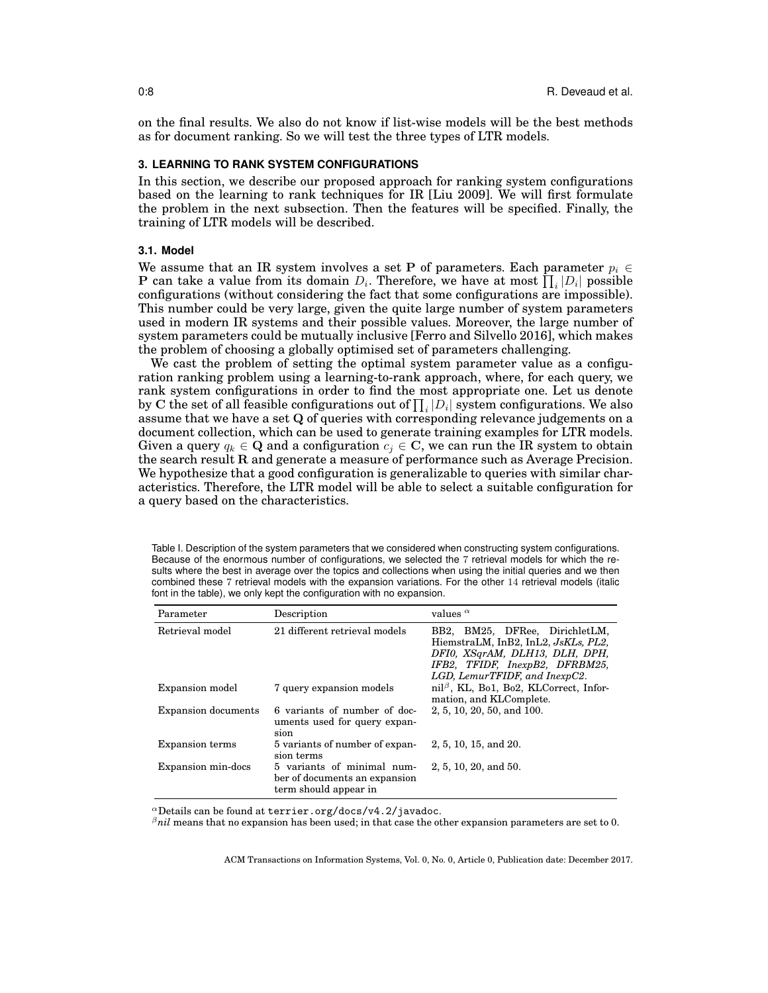on the final results. We also do not know if list-wise models will be the best methods as for document ranking. So we will test the three types of LTR models.

## **3. LEARNING TO RANK SYSTEM CONFIGURATIONS**

In this section, we describe our proposed approach for ranking system configurations based on the learning to rank techniques for IR [Liu 2009]. We will first formulate the problem in the next subsection. Then the features will be specified. Finally, the training of LTR models will be described.

## **3.1. Model**

We assume that an IR system involves a set P of parameters. Each parameter  $p_i \in$ **P** can take a value from its domain  $D_i$ . Therefore, we have at most  $\prod_i |D_i|$  possible configurations (without considering the fact that some configurations are impossible). This number could be very large, given the quite large number of system parameters used in modern IR systems and their possible values. Moreover, the large number of system parameters could be mutually inclusive [Ferro and Silvello 2016], which makes the problem of choosing a globally optimised set of parameters challenging.

We cast the problem of setting the optimal system parameter value as a configuration ranking problem using a learning-to-rank approach, where, for each query, we rank system configurations in order to find the most appropriate one. Let us denote by C the set of all feasible configurations out of  $\prod_i |D_i|$  system configurations. We also assume that we have a set Q of queries with corresponding relevance judgements on a document collection, which can be used to generate training examples for LTR models. Given a query  $q_k \in \mathbf{Q}$  and a configuration  $c_j \in \mathbf{C}$ , we can run the IR system to obtain the search result R and generate a measure of performance such as Average Precision. We hypothesize that a good configuration is generalizable to queries with similar characteristics. Therefore, the LTR model will be able to select a suitable configuration for a query based on the characteristics.

Table I. Description of the system parameters that we considered when constructing system configurations. Because of the enormous number of configurations, we selected the 7 retrieval models for which the results where the best in average over the topics and collections when using the initial queries and we then combined these 7 retrieval models with the expansion variations. For the other 14 retrieval models (italic font in the table), we only kept the configuration with no expansion.

| Parameter                  | Description                                                                          | values $\alpha$                                                                                                                                                            |
|----------------------------|--------------------------------------------------------------------------------------|----------------------------------------------------------------------------------------------------------------------------------------------------------------------------|
| Retrieval model            | 21 different retrieval models                                                        | BB2, BM25, DFRee, DirichletLM,<br>HiemstraLM, InB2, InL2, JsKLs, PL2,<br>DFI0, XSqrAM, DLH13, DLH, DPH,<br>IFB2, TFIDF, InexpB2, DFRBM25,<br>LGD, LemurTFIDF, and InexpC2. |
| Expansion model            | 7 query expansion models                                                             | $\text{nil}^{\beta}$ , KL, Bo1, Bo2, KLCorrect, Infor-<br>mation, and KLComplete.                                                                                          |
| <b>Expansion documents</b> | 6 variants of number of doc-<br>uments used for query expan-<br>sion                 | 2, 5, 10, 20, 50, and 100.                                                                                                                                                 |
| <b>Expansion terms</b>     | 5 variants of number of expan-<br>sion terms                                         | 2, 5, 10, 15, and 20.                                                                                                                                                      |
| Expansion min-docs         | 5 variants of minimal num-<br>ber of documents an expansion<br>term should appear in | $2, 5, 10, 20,$ and 50.                                                                                                                                                    |

 $\alpha$ Details can be found at terrier.org/docs/v4.2/javadoc.

<sup>β</sup>*nil* means that no expansion has been used; in that case the other expansion parameters are set to 0.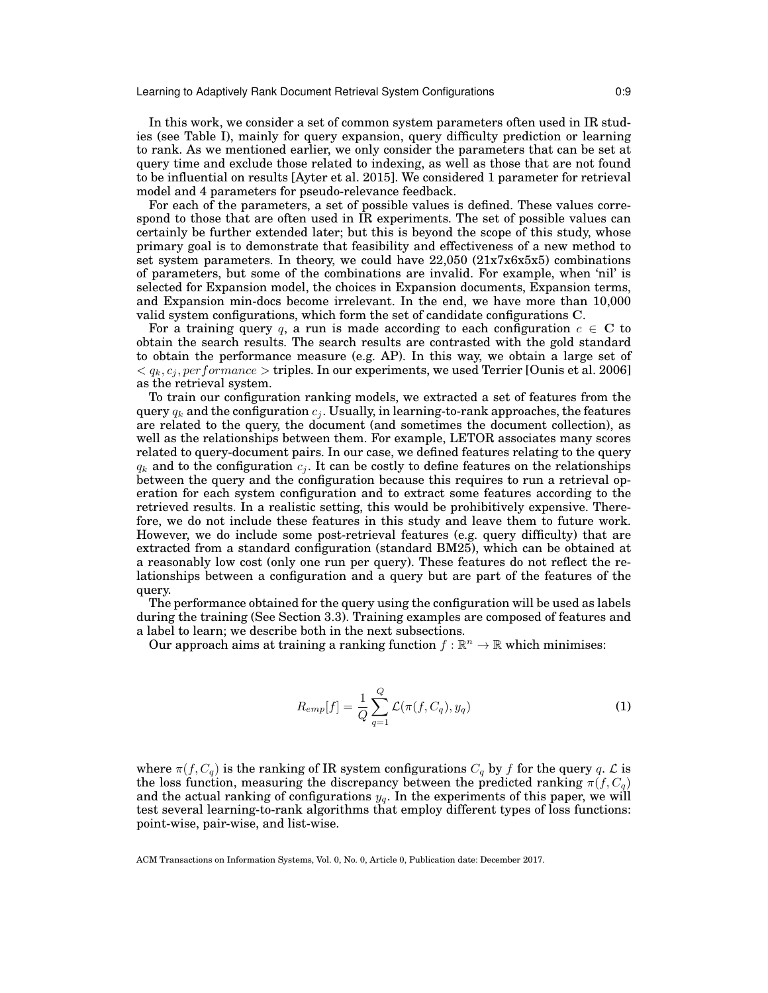#### Learning to Adaptively Rank Document Retrieval System Configurations 0:9

In this work, we consider a set of common system parameters often used in IR studies (see Table I), mainly for query expansion, query difficulty prediction or learning to rank. As we mentioned earlier, we only consider the parameters that can be set at query time and exclude those related to indexing, as well as those that are not found to be influential on results [Ayter et al. 2015]. We considered 1 parameter for retrieval model and 4 parameters for pseudo-relevance feedback.

For each of the parameters, a set of possible values is defined. These values correspond to those that are often used in IR experiments. The set of possible values can certainly be further extended later; but this is beyond the scope of this study, whose primary goal is to demonstrate that feasibility and effectiveness of a new method to set system parameters. In theory, we could have  $22,050$  ( $21x7x6x5x5$ ) combinations of parameters, but some of the combinations are invalid. For example, when 'nil' is selected for Expansion model, the choices in Expansion documents, Expansion terms, and Expansion min-docs become irrelevant. In the end, we have more than 10,000 valid system configurations, which form the set of candidate configurations C.

For a training query q, a run is made according to each configuration  $c \in \mathbb{C}$  to obtain the search results. The search results are contrasted with the gold standard to obtain the performance measure (e.g. AP). In this way, we obtain a large set of  $\langle q_k, c_i, performance > triples.$  In our experiments, we used Terrier [Ounis et al. 2006] as the retrieval system.

To train our configuration ranking models, we extracted a set of features from the query  $q_k$  and the configuration  $c_j$ . Usually, in learning-to-rank approaches, the features are related to the query, the document (and sometimes the document collection), as well as the relationships between them. For example, LETOR associates many scores related to query-document pairs. In our case, we defined features relating to the query  $q_k$  and to the configuration  $c_j$ . It can be costly to define features on the relationships between the query and the configuration because this requires to run a retrieval operation for each system configuration and to extract some features according to the retrieved results. In a realistic setting, this would be prohibitively expensive. Therefore, we do not include these features in this study and leave them to future work. However, we do include some post-retrieval features (e.g. query difficulty) that are extracted from a standard configuration (standard BM25), which can be obtained at a reasonably low cost (only one run per query). These features do not reflect the relationships between a configuration and a query but are part of the features of the query.

The performance obtained for the query using the configuration will be used as labels during the training (See Section 3.3). Training examples are composed of features and a label to learn; we describe both in the next subsections.

Our approach aims at training a ranking function  $f : \mathbb{R}^n \to \mathbb{R}$  which minimises:

$$
R_{emp}[f] = \frac{1}{Q} \sum_{q=1}^{Q} \mathcal{L}(\pi(f, C_q), y_q)
$$
 (1)

where  $\pi(f, C_q)$  is the ranking of IR system configurations  $C_q$  by f for the query q.  $\mathcal L$  is the loss function, measuring the discrepancy between the predicted ranking  $\pi(f, C_q)$ and the actual ranking of configurations  $y_q$ . In the experiments of this paper, we will test several learning-to-rank algorithms that employ different types of loss functions: point-wise, pair-wise, and list-wise.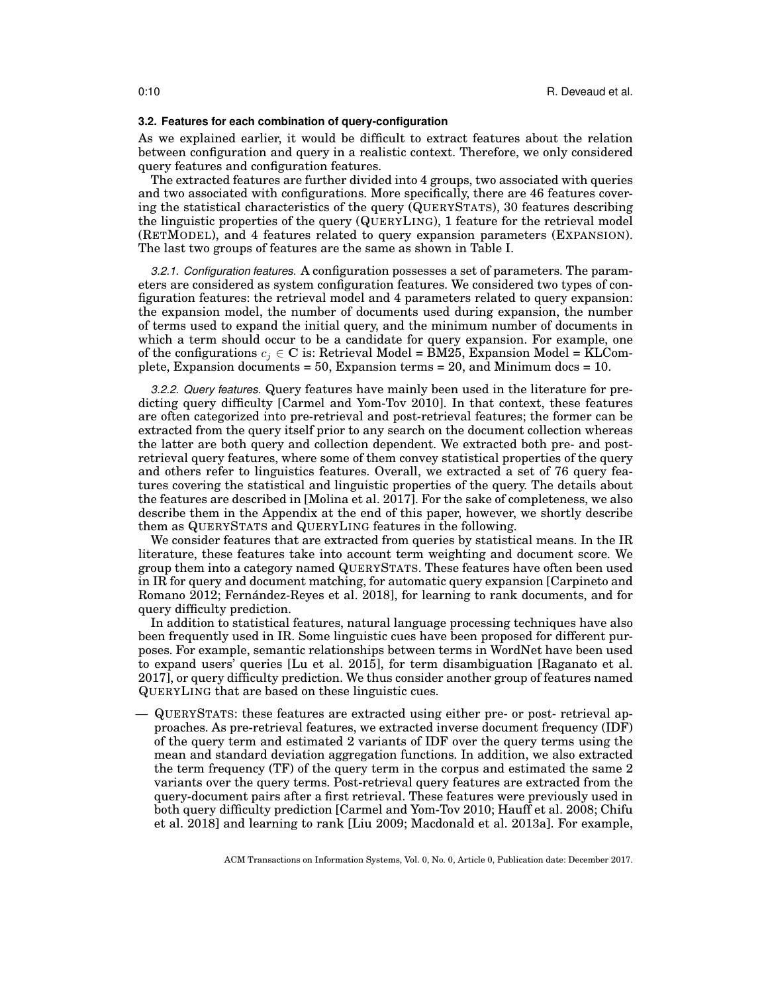#### **3.2. Features for each combination of query-configuration**

As we explained earlier, it would be difficult to extract features about the relation between configuration and query in a realistic context. Therefore, we only considered query features and configuration features.

The extracted features are further divided into 4 groups, two associated with queries and two associated with configurations. More specifically, there are 46 features covering the statistical characteristics of the query (QUERYSTATS), 30 features describing the linguistic properties of the query (QUERYLING), 1 feature for the retrieval model (RETMODEL), and 4 features related to query expansion parameters (EXPANSION). The last two groups of features are the same as shown in Table I.

*3.2.1. Configuration features.* A configuration possesses a set of parameters. The parameters are considered as system configuration features. We considered two types of configuration features: the retrieval model and 4 parameters related to query expansion: the expansion model, the number of documents used during expansion, the number of terms used to expand the initial query, and the minimum number of documents in which a term should occur to be a candidate for query expansion. For example, one of the configurations  $c_i \in \mathbb{C}$  is: Retrieval Model = BM25, Expansion Model = KLComplete, Expansion documents = 50, Expansion terms = 20, and Minimum docs = 10.

*3.2.2. Query features.* Query features have mainly been used in the literature for predicting query difficulty [Carmel and Yom-Tov 2010]. In that context, these features are often categorized into pre-retrieval and post-retrieval features; the former can be extracted from the query itself prior to any search on the document collection whereas the latter are both query and collection dependent. We extracted both pre- and postretrieval query features, where some of them convey statistical properties of the query and others refer to linguistics features. Overall, we extracted a set of 76 query features covering the statistical and linguistic properties of the query. The details about the features are described in [Molina et al. 2017]. For the sake of completeness, we also describe them in the Appendix at the end of this paper, however, we shortly describe them as QUERYSTATS and QUERYLING features in the following.

We consider features that are extracted from queries by statistical means. In the IR literature, these features take into account term weighting and document score. We group them into a category named QUERYSTATS. These features have often been used in IR for query and document matching, for automatic query expansion [Carpineto and Romano 2012; Fernández-Reyes et al. 2018, for learning to rank documents, and for query difficulty prediction.

In addition to statistical features, natural language processing techniques have also been frequently used in IR. Some linguistic cues have been proposed for different purposes. For example, semantic relationships between terms in WordNet have been used to expand users' queries [Lu et al. 2015], for term disambiguation [Raganato et al. 2017], or query difficulty prediction. We thus consider another group of features named QUERYLING that are based on these linguistic cues.

— QUERYSTATS: these features are extracted using either pre- or post- retrieval approaches. As pre-retrieval features, we extracted inverse document frequency (IDF) of the query term and estimated 2 variants of IDF over the query terms using the mean and standard deviation aggregation functions. In addition, we also extracted the term frequency (TF) of the query term in the corpus and estimated the same 2 variants over the query terms. Post-retrieval query features are extracted from the query-document pairs after a first retrieval. These features were previously used in both query difficulty prediction [Carmel and Yom-Tov 2010; Hauff et al. 2008; Chifu et al. 2018] and learning to rank [Liu 2009; Macdonald et al. 2013a]. For example,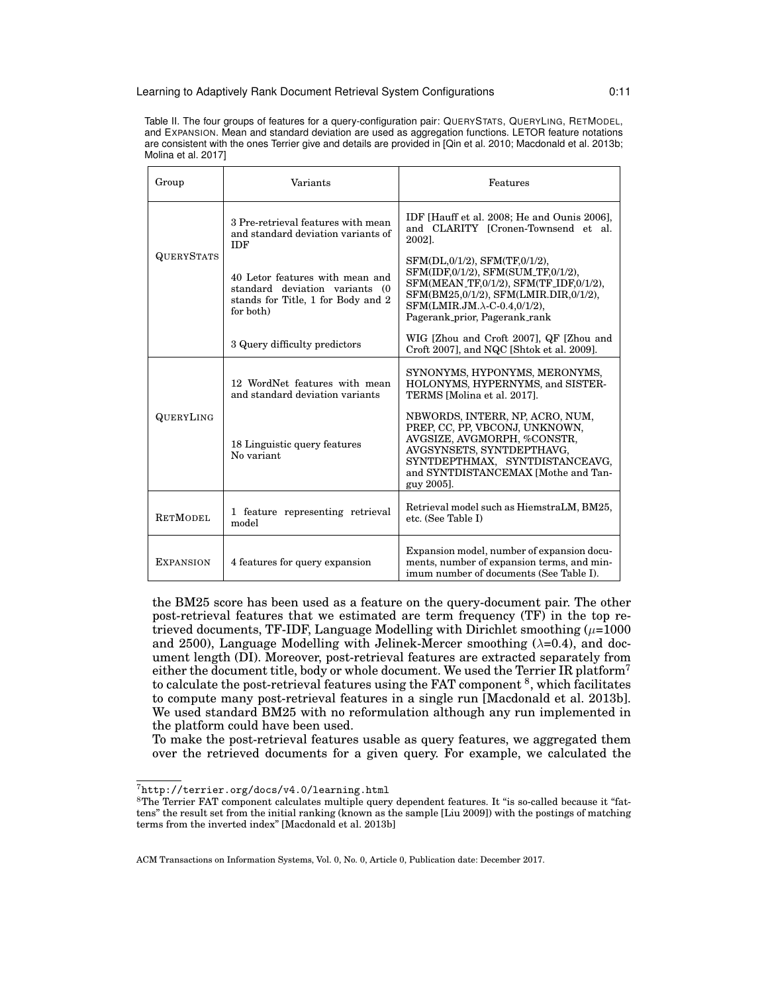#### Learning to Adaptively Rank Document Retrieval System Configurations 0:11

Table II. The four groups of features for a query-configuration pair: QUERYSTATS, QUERYLING, RETMODEL, and EXPANSION. Mean and standard deviation are used as aggregation functions. LETOR feature notations are consistent with the ones Terrier give and details are provided in [Qin et al. 2010; Macdonald et al. 2013b; Molina et al. 2017]

| Group             | Variants                                                                                                             | Features                                                                                                                                                                                                                       |
|-------------------|----------------------------------------------------------------------------------------------------------------------|--------------------------------------------------------------------------------------------------------------------------------------------------------------------------------------------------------------------------------|
|                   | 3 Pre-retrieval features with mean<br>and standard deviation variants of<br><b>IDF</b>                               | IDF [Hauff et al. 2008; He and Ounis 2006],<br>and CLARITY [Cronen-Townsend et al.<br>2002].                                                                                                                                   |
| <b>QUERYSTATS</b> | 40 Letor features with mean and<br>standard deviation variants (0<br>stands for Title, 1 for Body and 2<br>for both) | SFM(DL,0/1/2), SFM(TF,0/1/2),<br>SFM(IDF,0/1/2), SFM(SUM_TF,0/1/2),<br>SFM(MEAN_TF,0/1/2), SFM(TF_IDF,0/1/2),<br>SFM(BM25,0/1/2), SFM(LMIR.DIR,0/1/2),<br>$SFM(LMIR.JM.\lambda-C-0.4,0/1/2),$<br>Pagerank_prior, Pagerank_rank |
|                   | 3 Query difficulty predictors                                                                                        | WIG [Zhou and Croft 2007], QF [Zhou and<br>Croft 2007], and NQC [Shtok et al. 2009].                                                                                                                                           |
|                   | 12 WordNet features with mean<br>and standard deviation variants                                                     | SYNONYMS, HYPONYMS, MERONYMS,<br>HOLONYMS, HYPERNYMS, and SISTER-<br>TERMS [Molina et al. 2017].                                                                                                                               |
| QUERYLING         | 18 Linguistic query features<br>No variant.                                                                          | NBWORDS, INTERR, NP, ACRO, NUM,<br>PREP, CC, PP, VBCONJ, UNKNOWN,<br>AVGSIZE, AVGMORPH, %CONSTR,<br>AVGSYNSETS, SYNTDEPTHAVG,<br>SYNTDEPTHMAX, SYNTDISTANCEAVG,<br>and SYNTDISTANCEMAX [Mothe and Tan-<br>guy 2005].           |
| <b>RETMODEL</b>   | 1 feature representing retrieval<br>model                                                                            | Retrieval model such as HiemstraLM, BM25,<br>etc. (See Table I)                                                                                                                                                                |
| <b>EXPANSION</b>  | 4 features for query expansion                                                                                       | Expansion model, number of expansion docu-<br>ments, number of expansion terms, and min-<br>imum number of documents (See Table I).                                                                                            |

the BM25 score has been used as a feature on the query-document pair. The other post-retrieval features that we estimated are term frequency (TF) in the top retrieved documents, TF-IDF, Language Modelling with Dirichlet smoothing  $(\mu=1000$ and 2500), Language Modelling with Jelinek-Mercer smoothing  $(\lambda=0.4)$ , and document length (DI). Moreover, post-retrieval features are extracted separately from either the document title, body or whole document. We used the Terrier IR platform<sup>7</sup> to calculate the post-retrieval features using the FAT component <sup>8</sup>, which facilitates to compute many post-retrieval features in a single run [Macdonald et al. 2013b]. We used standard BM25 with no reformulation although any run implemented in the platform could have been used.

To make the post-retrieval features usable as query features, we aggregated them over the retrieved documents for a given query. For example, we calculated the

<sup>7</sup>http://terrier.org/docs/v4.0/learning.html

<sup>8</sup>The Terrier FAT component calculates multiple query dependent features. It "is so-called because it "fattens" the result set from the initial ranking (known as the sample [Liu 2009]) with the postings of matching terms from the inverted index" [Macdonald et al. 2013b]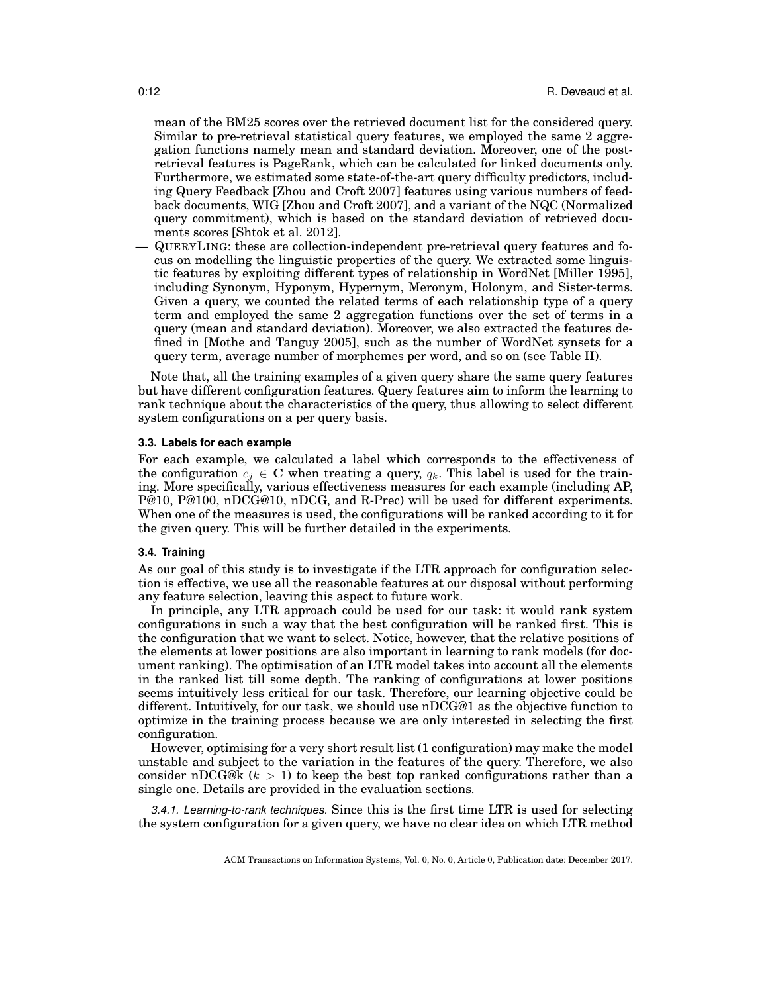mean of the BM25 scores over the retrieved document list for the considered query. Similar to pre-retrieval statistical query features, we employed the same 2 aggregation functions namely mean and standard deviation. Moreover, one of the postretrieval features is PageRank, which can be calculated for linked documents only. Furthermore, we estimated some state-of-the-art query difficulty predictors, including Query Feedback [Zhou and Croft 2007] features using various numbers of feedback documents, WIG [Zhou and Croft 2007], and a variant of the NQC (Normalized query commitment), which is based on the standard deviation of retrieved documents scores [Shtok et al. 2012].

— QUERYLING: these are collection-independent pre-retrieval query features and focus on modelling the linguistic properties of the query. We extracted some linguistic features by exploiting different types of relationship in WordNet [Miller 1995], including Synonym, Hyponym, Hypernym, Meronym, Holonym, and Sister-terms. Given a query, we counted the related terms of each relationship type of a query term and employed the same 2 aggregation functions over the set of terms in a query (mean and standard deviation). Moreover, we also extracted the features defined in [Mothe and Tanguy 2005], such as the number of WordNet synsets for a query term, average number of morphemes per word, and so on (see Table II).

Note that, all the training examples of a given query share the same query features but have different configuration features. Query features aim to inform the learning to rank technique about the characteristics of the query, thus allowing to select different system configurations on a per query basis.

#### **3.3. Labels for each example**

For each example, we calculated a label which corresponds to the effectiveness of the configuration  $c_j \in \mathbb{C}$  when treating a query,  $q_k$ . This label is used for the training. More specifically, various effectiveness measures for each example (including AP, P@10, P@100, nDCG@10, nDCG, and R-Prec) will be used for different experiments. When one of the measures is used, the configurations will be ranked according to it for the given query. This will be further detailed in the experiments.

## **3.4. Training**

As our goal of this study is to investigate if the LTR approach for configuration selection is effective, we use all the reasonable features at our disposal without performing any feature selection, leaving this aspect to future work.

In principle, any LTR approach could be used for our task: it would rank system configurations in such a way that the best configuration will be ranked first. This is the configuration that we want to select. Notice, however, that the relative positions of the elements at lower positions are also important in learning to rank models (for document ranking). The optimisation of an LTR model takes into account all the elements in the ranked list till some depth. The ranking of configurations at lower positions seems intuitively less critical for our task. Therefore, our learning objective could be different. Intuitively, for our task, we should use nDCG@1 as the objective function to optimize in the training process because we are only interested in selecting the first configuration.

However, optimising for a very short result list (1 configuration) may make the model unstable and subject to the variation in the features of the query. Therefore, we also consider nDCG@k  $(k > 1)$  to keep the best top ranked configurations rather than a single one. Details are provided in the evaluation sections.

*3.4.1. Learning-to-rank techniques.* Since this is the first time LTR is used for selecting the system configuration for a given query, we have no clear idea on which LTR method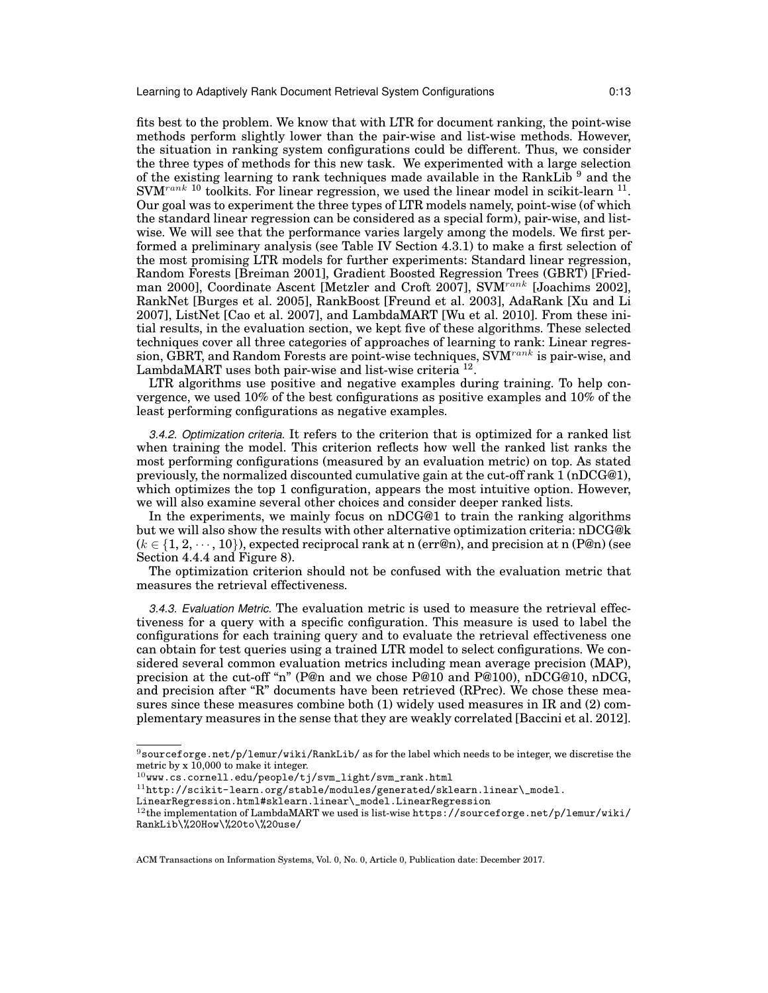fits best to the problem. We know that with LTR for document ranking, the point-wise methods perform slightly lower than the pair-wise and list-wise methods. However, the situation in ranking system configurations could be different. Thus, we consider the three types of methods for this new task. We experimented with a large selection of the existing learning to rank techniques made available in the RankLib<sup>9</sup> and the  $\text{SVM}^\text{rank}$  10 toolkits. For linear regression, we used the linear model in scikit-learn  $^{11}$ . Our goal was to experiment the three types of LTR models namely, point-wise (of which the standard linear regression can be considered as a special form), pair-wise, and listwise. We will see that the performance varies largely among the models. We first performed a preliminary analysis (see Table IV Section 4.3.1) to make a first selection of the most promising LTR models for further experiments: Standard linear regression, Random Forests [Breiman 2001], Gradient Boosted Regression Trees (GBRT) [Friedman 2000], Coordinate Ascent [Metzler and Croft 2007], SVM<sup>rank</sup> [Joachims 2002], RankNet [Burges et al. 2005], RankBoost [Freund et al. 2003], AdaRank [Xu and Li 2007], ListNet [Cao et al. 2007], and LambdaMART [Wu et al. 2010]. From these initial results, in the evaluation section, we kept five of these algorithms. These selected techniques cover all three categories of approaches of learning to rank: Linear regression, GBRT, and Random Forests are point-wise techniques,  $\widetilde{\text{SVM}}^{rank}$  is pair-wise, and LambdaMART uses both pair-wise and list-wise criteria<sup>12</sup>.

LTR algorithms use positive and negative examples during training. To help convergence, we used 10% of the best configurations as positive examples and 10% of the least performing configurations as negative examples.

*3.4.2. Optimization criteria.* It refers to the criterion that is optimized for a ranked list when training the model. This criterion reflects how well the ranked list ranks the most performing configurations (measured by an evaluation metric) on top. As stated previously, the normalized discounted cumulative gain at the cut-off rank 1 (nDCG@1), which optimizes the top 1 configuration, appears the most intuitive option. However, we will also examine several other choices and consider deeper ranked lists.

In the experiments, we mainly focus on nDCG@1 to train the ranking algorithms but we will also show the results with other alternative optimization criteria: nDCG@k  $(k \in \{1, 2, \dots, 10\})$ , expected reciprocal rank at n (err@n), and precision at n (P@n) (see Section 4.4.4 and Figure 8).

The optimization criterion should not be confused with the evaluation metric that measures the retrieval effectiveness.

*3.4.3. Evaluation Metric.* The evaluation metric is used to measure the retrieval effectiveness for a query with a specific configuration. This measure is used to label the configurations for each training query and to evaluate the retrieval effectiveness one can obtain for test queries using a trained LTR model to select configurations. We considered several common evaluation metrics including mean average precision (MAP), precision at the cut-off "n" (P@n and we chose P@10 and P@100), nDCG@10, nDCG, and precision after "R" documents have been retrieved (RPrec). We chose these measures since these measures combine both (1) widely used measures in IR and (2) complementary measures in the sense that they are weakly correlated [Baccini et al. 2012].

 $9$ sourceforge.net/p/lemur/wiki/RankLib/ as for the label which needs to be integer, we discretise the metric by x 10,000 to make it integer.

 $10$ www.cs.cornell.edu/people/tj/svm\_light/svm\_rank.html

 $^{11}\text{http://scikit-learn.org/stable/modules/generated/sklearn.linear}\_\text{model}.$ 

LinearRegression.html#sklearn.linear\\_model.LinearRegression

 $^{12}$ the implementation of LambdaMART we used is list-wise https://sourceforge.net/p/lemur/wiki/ RankLib\%20How\%20to\%20use/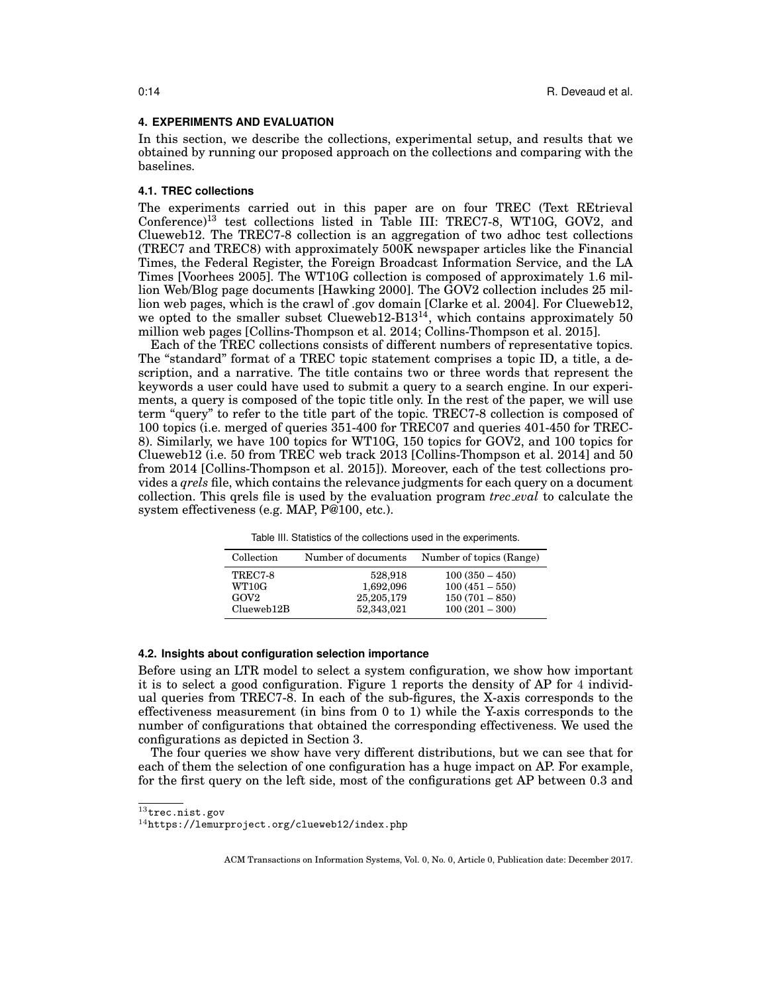#### **4. EXPERIMENTS AND EVALUATION**

In this section, we describe the collections, experimental setup, and results that we obtained by running our proposed approach on the collections and comparing with the baselines.

## **4.1. TREC collections**

The experiments carried out in this paper are on four TREC (Text REtrieval Conference)<sup>13</sup> test collections listed in Table III: TREC7-8, WT10G, GOV2, and Clueweb12. The TREC7-8 collection is an aggregation of two adhoc test collections (TREC7 and TREC8) with approximately 500K newspaper articles like the Financial Times, the Federal Register, the Foreign Broadcast Information Service, and the LA Times [Voorhees 2005]. The WT10G collection is composed of approximately 1.6 million Web/Blog page documents [Hawking 2000]. The GOV2 collection includes 25 million web pages, which is the crawl of .gov domain [Clarke et al. 2004]. For Clueweb12, we opted to the smaller subset Clueweb12-B13<sup>14</sup>, which contains approximately  $50$ million web pages [Collins-Thompson et al. 2014; Collins-Thompson et al. 2015].

Each of the TREC collections consists of different numbers of representative topics. The "standard" format of a TREC topic statement comprises a topic ID, a title, a description, and a narrative. The title contains two or three words that represent the keywords a user could have used to submit a query to a search engine. In our experiments, a query is composed of the topic title only. In the rest of the paper, we will use term "query" to refer to the title part of the topic. TREC7-8 collection is composed of 100 topics (i.e. merged of queries 351-400 for TREC07 and queries 401-450 for TREC-8). Similarly, we have 100 topics for WT10G, 150 topics for GOV2, and 100 topics for Clueweb12 (i.e. 50 from TREC web track 2013 [Collins-Thompson et al. 2014] and 50 from 2014 [Collins-Thompson et al. 2015]). Moreover, each of the test collections provides a *qrels* file, which contains the relevance judgments for each query on a document collection. This qrels file is used by the evaluation program *trec eval* to calculate the system effectiveness (e.g. MAP, P@100, etc.).

| Collection       | Number of documents | Number of topics (Range) |
|------------------|---------------------|--------------------------|
| TREC7-8          | 528,918             | $100(350-450)$           |
| WT10G            | 1,692,096           | $100(451 - 550)$         |
| GOV <sub>2</sub> | 25,205,179          | $150(701 - 850)$         |
| $C$ lueweb $12B$ | 52,343,021          | $100(201 - 300)$         |

Table III. Statistics of the collections used in the experiments.

# **4.2. Insights about configuration selection importance**

Before using an LTR model to select a system configuration, we show how important it is to select a good configuration. Figure 1 reports the density of AP for 4 individual queries from TREC7-8. In each of the sub-figures, the X-axis corresponds to the effectiveness measurement (in bins from 0 to 1) while the Y-axis corresponds to the number of configurations that obtained the corresponding effectiveness. We used the configurations as depicted in Section 3.

The four queries we show have very different distributions, but we can see that for each of them the selection of one configuration has a huge impact on AP. For example, for the first query on the left side, most of the configurations get AP between 0.3 and

<sup>13</sup>trec.nist.gov

<sup>14</sup>https://lemurproject.org/clueweb12/index.php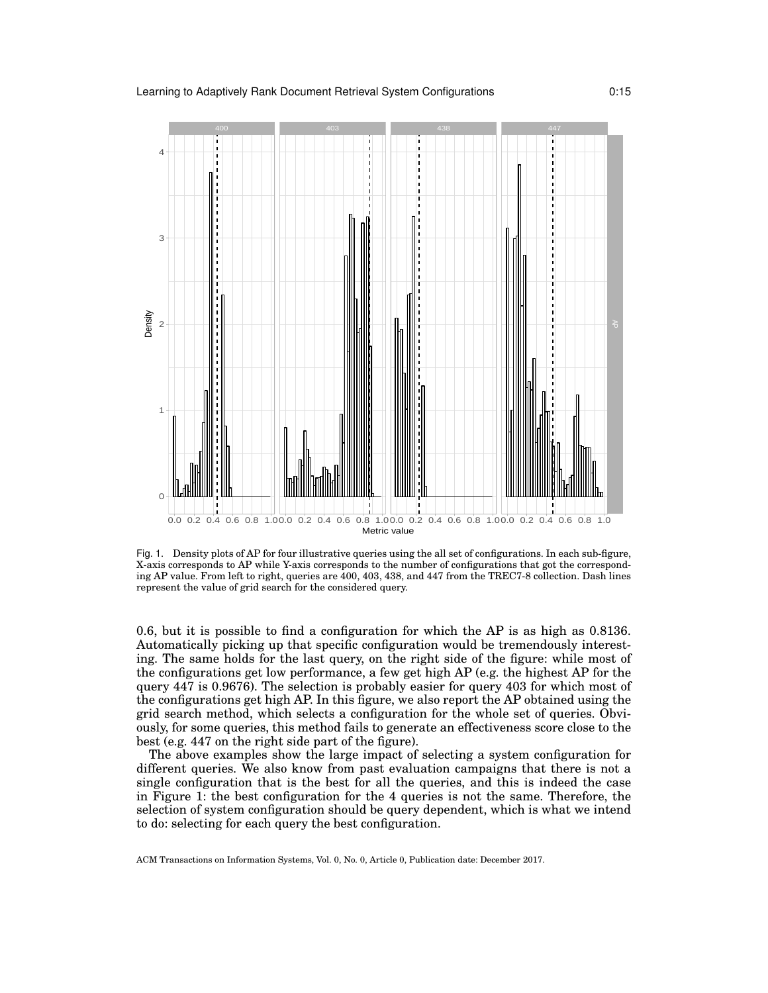

Fig. 1. Density plots of AP for four illustrative queries using the all set of configurations. In each sub-figure, X-axis corresponds to AP while Y-axis corresponds to the number of configurations that got the corresponding AP value. From left to right, queries are 400, 403, 438, and 447 from the TREC7-8 collection. Dash lines represent the value of grid search for the considered query.

0.6, but it is possible to find a configuration for which the AP is as high as 0.8136. Automatically picking up that specific configuration would be tremendously interesting. The same holds for the last query, on the right side of the figure: while most of the configurations get low performance, a few get high AP (e.g. the highest AP for the query 447 is 0.9676). The selection is probably easier for query 403 for which most of the configurations get high AP. In this figure, we also report the AP obtained using the grid search method, which selects a configuration for the whole set of queries. Obviously, for some queries, this method fails to generate an effectiveness score close to the best (e.g. 447 on the right side part of the figure).

The above examples show the large impact of selecting a system configuration for different queries. We also know from past evaluation campaigns that there is not a single configuration that is the best for all the queries, and this is indeed the case in Figure 1: the best configuration for the 4 queries is not the same. Therefore, the selection of system configuration should be query dependent, which is what we intend to do: selecting for each query the best configuration.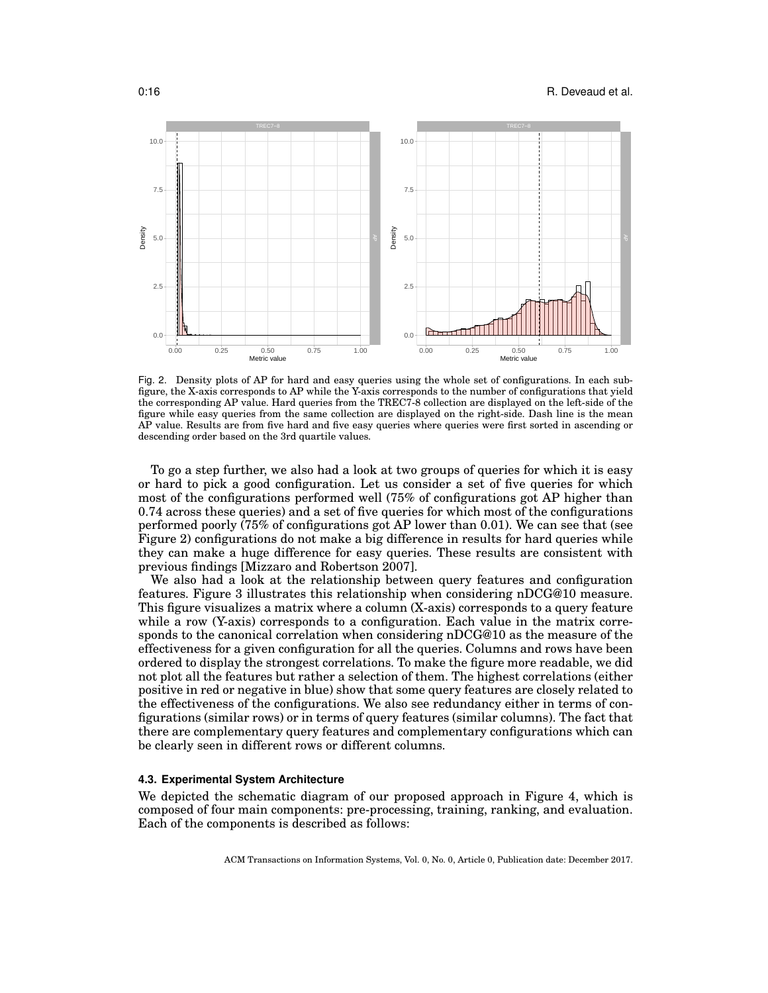#### 0:16 **R. Deveaud et al.**



Fig. 2. Density plots of AP for hard and easy queries using the whole set of configurations. In each subfigure, the X-axis corresponds to AP while the Y-axis corresponds to the number of configurations that yield the corresponding AP value. Hard queries from the TREC7-8 collection are displayed on the left-side of the figure while easy queries from the same collection are displayed on the right-side. Dash line is the mean AP value. Results are from five hard and five easy queries where queries were first sorted in ascending or descending order based on the 3rd quartile values.

To go a step further, we also had a look at two groups of queries for which it is easy or hard to pick a good configuration. Let us consider a set of five queries for which most of the configurations performed well (75% of configurations got AP higher than 0.74 across these queries) and a set of five queries for which most of the configurations performed poorly (75% of configurations got AP lower than 0.01). We can see that (see Figure 2) configurations do not make a big difference in results for hard queries while they can make a huge difference for easy queries. These results are consistent with previous findings [Mizzaro and Robertson 2007].

We also had a look at the relationship between query features and configuration features. Figure 3 illustrates this relationship when considering nDCG@10 measure. This figure visualizes a matrix where a column (X-axis) corresponds to a query feature while a row (Y-axis) corresponds to a configuration. Each value in the matrix corresponds to the canonical correlation when considering nDCG@10 as the measure of the effectiveness for a given configuration for all the queries. Columns and rows have been ordered to display the strongest correlations. To make the figure more readable, we did not plot all the features but rather a selection of them. The highest correlations (either positive in red or negative in blue) show that some query features are closely related to the effectiveness of the configurations. We also see redundancy either in terms of configurations (similar rows) or in terms of query features (similar columns). The fact that there are complementary query features and complementary configurations which can be clearly seen in different rows or different columns.

#### **4.3. Experimental System Architecture**

We depicted the schematic diagram of our proposed approach in Figure 4, which is composed of four main components: pre-processing, training, ranking, and evaluation. Each of the components is described as follows: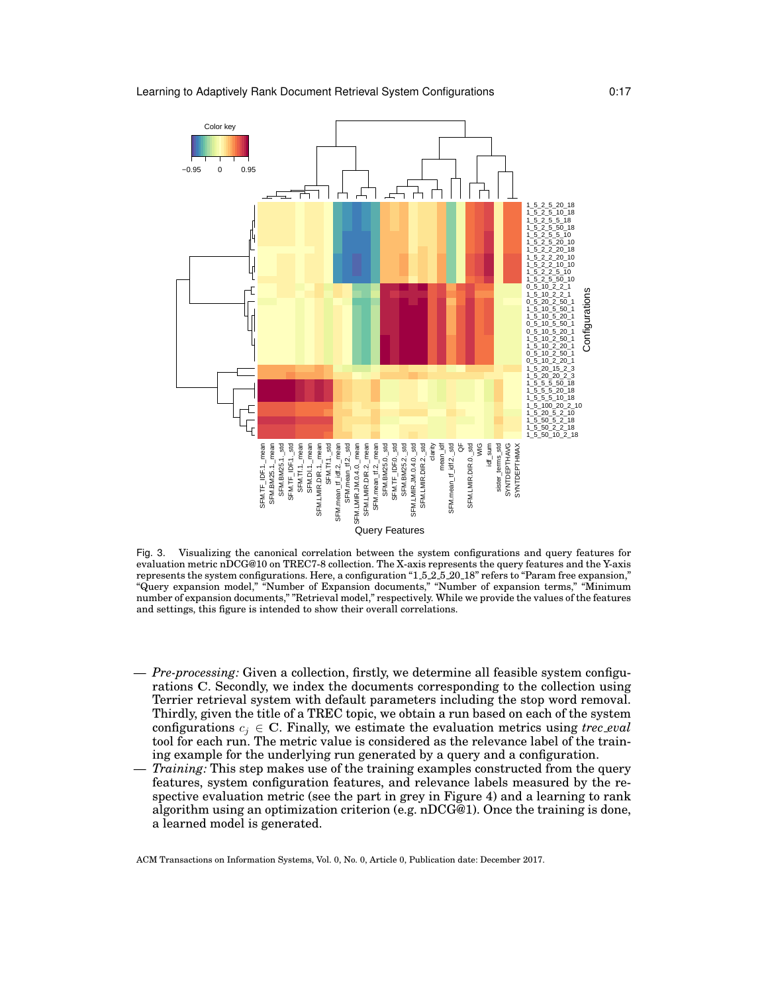

Fig. 3. Visualizing the canonical correlation between the system configurations and query features for evaluation metric nDCG@10 on TREC7-8 collection. The X-axis represents the query features and the Y-axis represents the system configurations. Here, a configuration "1 5 2 5 20 18" refers to "Param free expansion," "Query expansion model," "Number of Expansion documents," "Number of expansion terms," "Minimum number of expansion documents," "Retrieval model," respectively. While we provide the values of the features and settings, this figure is intended to show their overall correlations.

- *Pre-processing:* Given a collection, firstly, we determine all feasible system configurations C. Secondly, we index the documents corresponding to the collection using Terrier retrieval system with default parameters including the stop word removal. Thirdly, given the title of a TREC topic, we obtain a run based on each of the system configurations  $c_j \in \mathbb{C}$ . Finally, we estimate the evaluation metrics using *trec\_eval* tool for each run. The metric value is considered as the relevance label of the training example for the underlying run generated by a query and a configuration.
- *Training:* This step makes use of the training examples constructed from the query features, system configuration features, and relevance labels measured by the respective evaluation metric (see the part in grey in Figure 4) and a learning to rank algorithm using an optimization criterion (e.g. nDCG@1). Once the training is done, a learned model is generated.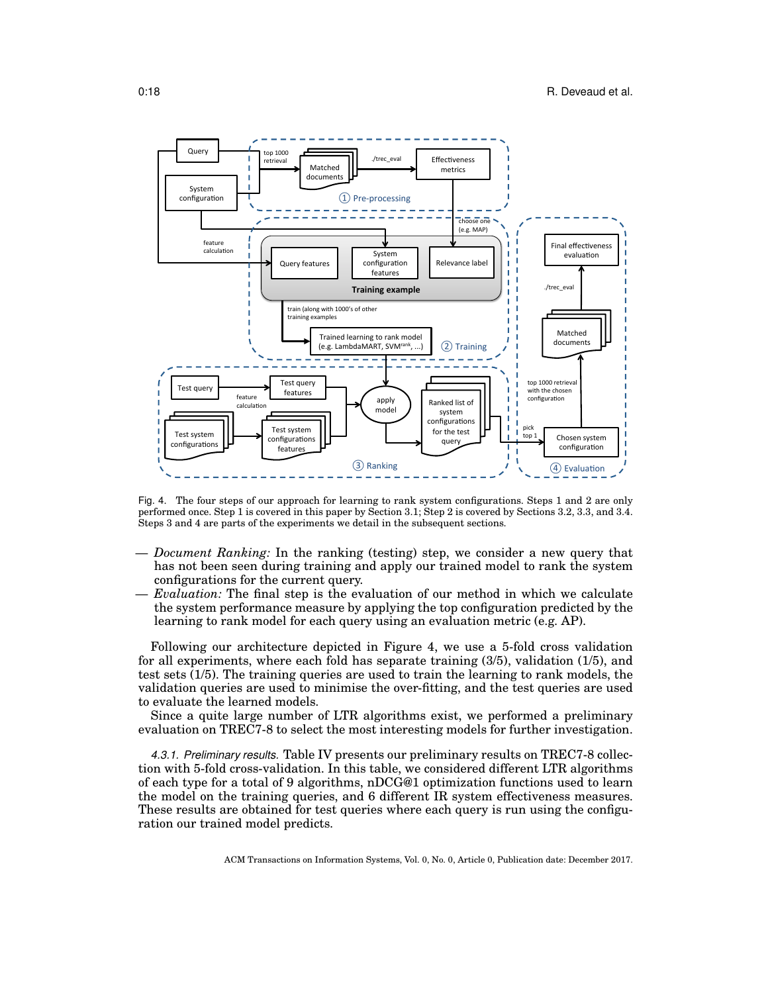

Fig. 4. The four steps of our approach for learning to rank system configurations. Steps 1 and 2 are only performed once. Step 1 is covered in this paper by Section 3.1; Step 2 is covered by Sections 3.2, 3.3, and 3.4. Steps 3 and 4 are parts of the experiments we detail in the subsequent sections.

- *Document Ranking:* In the ranking (testing) step, we consider a new query that has not been seen during training and apply our trained model to rank the system configurations for the current query.
- *Evaluation:* The final step is the evaluation of our method in which we calculate the system performance measure by applying the top configuration predicted by the learning to rank model for each query using an evaluation metric (e.g. AP).

Following our architecture depicted in Figure 4, we use a 5-fold cross validation for all experiments, where each fold has separate training (3/5), validation (1/5), and test sets (1/5). The training queries are used to train the learning to rank models, the validation queries are used to minimise the over-fitting, and the test queries are used to evaluate the learned models.

Since a quite large number of LTR algorithms exist, we performed a preliminary evaluation on TREC7-8 to select the most interesting models for further investigation.

*4.3.1. Preliminary results.* Table IV presents our preliminary results on TREC7-8 collection with 5-fold cross-validation. In this table, we considered different LTR algorithms of each type for a total of 9 algorithms, nDCG@1 optimization functions used to learn the model on the training queries, and 6 different IR system effectiveness measures. These results are obtained for test queries where each query is run using the configuration our trained model predicts.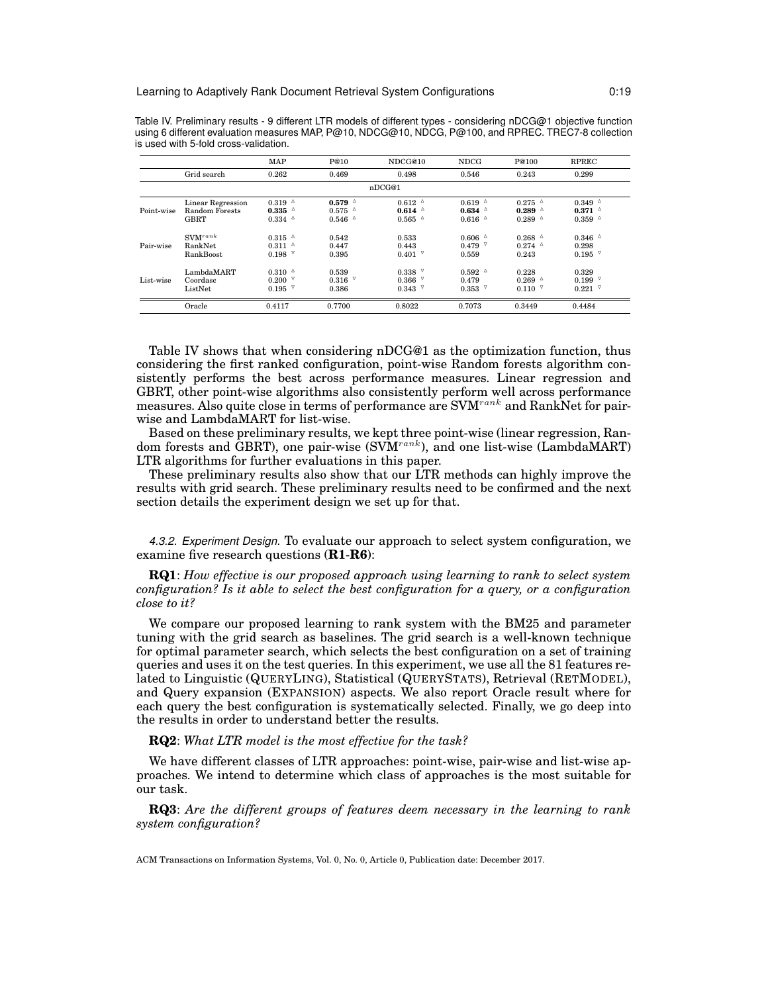|            |                       | <b>MAP</b>          | P@10                | NDCG@10             | <b>NDCG</b>                               | P@100                                     | <b>RPREC</b>               |
|------------|-----------------------|---------------------|---------------------|---------------------|-------------------------------------------|-------------------------------------------|----------------------------|
|            | Grid search           | 0.262               | 0.469               | 0.498               | 0.546                                     | 0.243                                     | 0.299                      |
|            |                       |                     |                     | nDCG@1              |                                           |                                           |                            |
|            | Linear Regression     | $0.319$ $^{\circ}$  | $0.579$ $^{\circ}$  | $0.612$ $^{\circ}$  | $0.619$ <sup><math>\triangle</math></sup> | $0.275$ $^{\circ}$                        | $0.349$ $^{\circ}$         |
| Point-wise | <b>Random Forests</b> | $0.335$ $\triangle$ | $0.575$ $^{\circ}$  | $0.614$ $^{\circ}$  | $0.634$ $^{\circ}$                        | $0.289$ $^{\circ}$                        | $0.371$ $^{\circ}$         |
|            | <b>GBRT</b>           | $0.334$ $^{\circ}$  | $0.546$ $\triangle$ | $0.565$ $\triangle$ | $0.616$ $\triangle$                       | $0.289$ <sup><math>\triangle</math></sup> | $0.359$ $^{\triangle}$     |
|            | $\text{SVM}^{rank}$   | $0.315$ $^{\circ}$  | 0.542               | 0.533               | $0.606$ $^{\circ}$                        | $0.268$ $\triangle$                       | $0.346$ $\triangle$        |
| Pair-wise  | <b>RankNet</b>        | $0.311$ $\triangle$ | 0.447               | 0.443               | $0.479$ $\sqrt{ }$                        | $0.274$ $^{\circ}$                        | 0.298                      |
|            | <b>RankBoost</b>      | $0.198$ $^{\nabla}$ | 0.395               | 0.401               | 0.559                                     | 0.243                                     | $0.195$ $^{\triangledown}$ |
|            | LambdaMART            | $0.310^{-4}$        | 0.539               | $0.338$ $\vee$      | $0.592$ $^{\circ}$                        | 0.228                                     | 0.329                      |
| List-wise  | Coordasc              | $0.200$ $^{\circ}$  | $0.316$ $^{\nabla}$ | ▽<br>0.366          | 0.479                                     | $0.269$ $^{\circ}$                        | $0.199$ $\sqrt{ }$         |
|            | ListNet               | $0.195$ $\sqrt{ }$  | 0.386               | $0.343$ $\sqrt{ }$  | $0.353$ $^{\circ}$                        | $0.110$ $^{\nabla}$                       | $0.221$ $^{\circ}$         |
|            | Oracle                | 0.4117              | 0.7700              | 0.8022              | 0.7073                                    | 0.3449                                    | 0.4484                     |

Table IV. Preliminary results - 9 different LTR models of different types - considering nDCG@1 objective function using 6 different evaluation measures MAP, P@10, NDCG@10, NDCG, P@100, and RPREC. TREC7-8 collection is used with 5-fold cross-validation.

Table IV shows that when considering nDCG@1 as the optimization function, thus considering the first ranked configuration, point-wise Random forests algorithm consistently performs the best across performance measures. Linear regression and GBRT, other point-wise algorithms also consistently perform well across performance measures. Also quite close in terms of performance are SVM<sup>rank</sup> and RankNet for pairwise and LambdaMART for list-wise.

Based on these preliminary results, we kept three point-wise (linear regression, Random forests and GBRT), one pair-wise  $(SVM^{rank})$ , and one list-wise (LambdaMART) LTR algorithms for further evaluations in this paper.

These preliminary results also show that our LTR methods can highly improve the results with grid search. These preliminary results need to be confirmed and the next section details the experiment design we set up for that.

*4.3.2. Experiment Design.* To evaluate our approach to select system configuration, we examine five research questions (**R1**-**R6**):

**RQ1**: *How effective is our proposed approach using learning to rank to select system configuration? Is it able to select the best configuration for a query, or a configuration close to it?*

We compare our proposed learning to rank system with the BM25 and parameter tuning with the grid search as baselines. The grid search is a well-known technique for optimal parameter search, which selects the best configuration on a set of training queries and uses it on the test queries. In this experiment, we use all the 81 features related to Linguistic (QUERYLING), Statistical (QUERYSTATS), Retrieval (RETMODEL), and Query expansion (EXPANSION) aspects. We also report Oracle result where for each query the best configuration is systematically selected. Finally, we go deep into the results in order to understand better the results.

#### **RQ2**: *What LTR model is the most effective for the task?*

We have different classes of LTR approaches: point-wise, pair-wise and list-wise approaches. We intend to determine which class of approaches is the most suitable for our task.

**RQ3**: *Are the different groups of features deem necessary in the learning to rank system configuration?*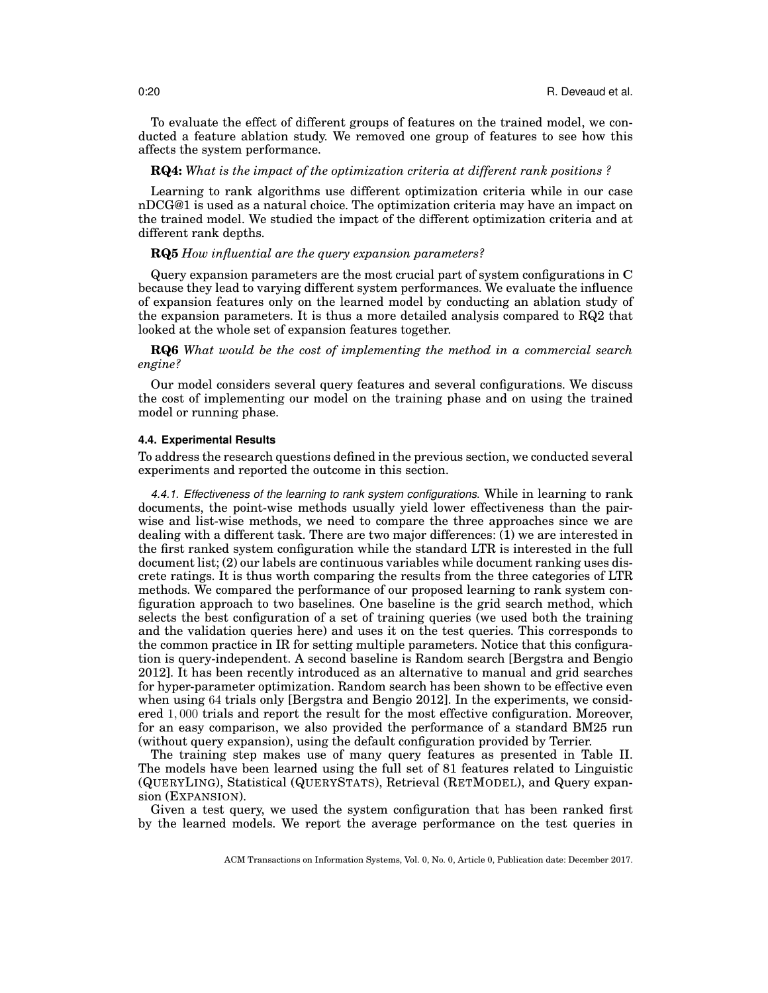To evaluate the effect of different groups of features on the trained model, we conducted a feature ablation study. We removed one group of features to see how this affects the system performance.

# **RQ4:** *What is the impact of the optimization criteria at different rank positions ?*

Learning to rank algorithms use different optimization criteria while in our case nDCG@1 is used as a natural choice. The optimization criteria may have an impact on the trained model. We studied the impact of the different optimization criteria and at different rank depths.

## **RQ5** *How influential are the query expansion parameters?*

Query expansion parameters are the most crucial part of system configurations in C because they lead to varying different system performances. We evaluate the influence of expansion features only on the learned model by conducting an ablation study of the expansion parameters. It is thus a more detailed analysis compared to RQ2 that looked at the whole set of expansion features together.

**RQ6** *What would be the cost of implementing the method in a commercial search engine?*

Our model considers several query features and several configurations. We discuss the cost of implementing our model on the training phase and on using the trained model or running phase.

#### **4.4. Experimental Results**

To address the research questions defined in the previous section, we conducted several experiments and reported the outcome in this section.

*4.4.1. Effectiveness of the learning to rank system configurations.* While in learning to rank documents, the point-wise methods usually yield lower effectiveness than the pairwise and list-wise methods, we need to compare the three approaches since we are dealing with a different task. There are two major differences: (1) we are interested in the first ranked system configuration while the standard LTR is interested in the full document list; (2) our labels are continuous variables while document ranking uses discrete ratings. It is thus worth comparing the results from the three categories of LTR methods. We compared the performance of our proposed learning to rank system configuration approach to two baselines. One baseline is the grid search method, which selects the best configuration of a set of training queries (we used both the training and the validation queries here) and uses it on the test queries. This corresponds to the common practice in IR for setting multiple parameters. Notice that this configuration is query-independent. A second baseline is Random search [Bergstra and Bengio 2012]. It has been recently introduced as an alternative to manual and grid searches for hyper-parameter optimization. Random search has been shown to be effective even when using 64 trials only [Bergstra and Bengio 2012]. In the experiments, we considered 1, 000 trials and report the result for the most effective configuration. Moreover, for an easy comparison, we also provided the performance of a standard BM25 run (without query expansion), using the default configuration provided by Terrier.

The training step makes use of many query features as presented in Table II. The models have been learned using the full set of 81 features related to Linguistic (QUERYLING), Statistical (QUERYSTATS), Retrieval (RETMODEL), and Query expansion (EXPANSION).

Given a test query, we used the system configuration that has been ranked first by the learned models. We report the average performance on the test queries in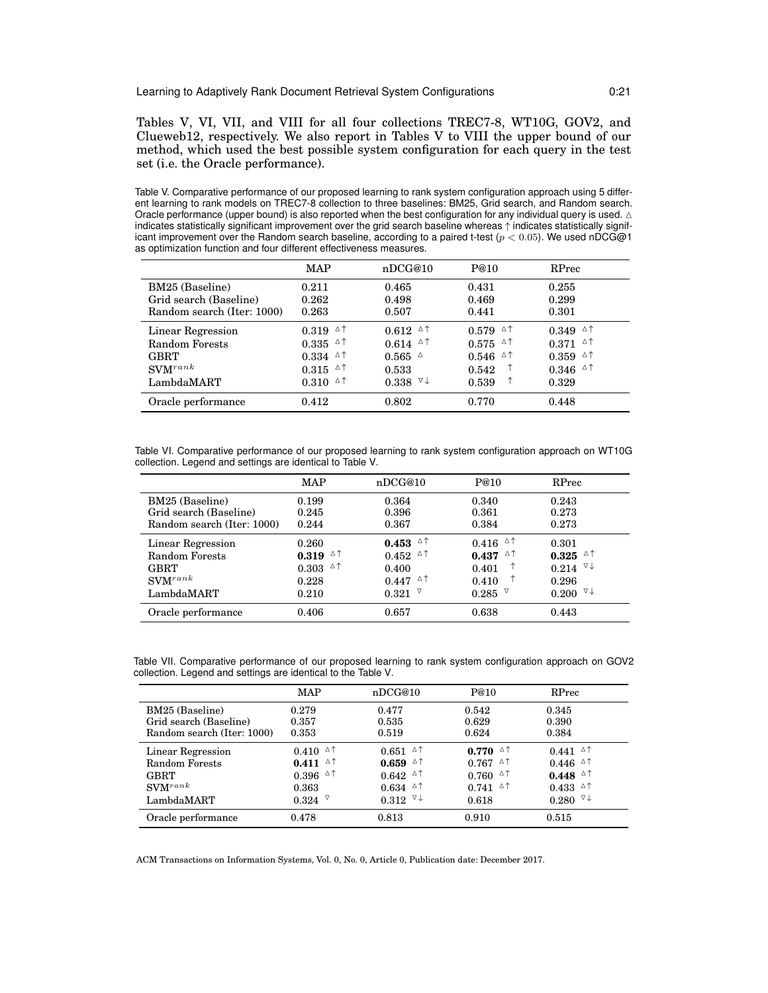Tables V, VI, VII, and VIII for all four collections TREC7-8, WT10G, GOV2, and Clueweb12, respectively. We also report in Tables V to VIII the upper bound of our method, which used the best possible system configuration for each query in the test set (i.e. the Oracle performance).

Table V. Comparative performance of our proposed learning to rank system configuration approach using 5 different learning to rank models on TREC7-8 collection to three baselines: BM25, Grid search, and Random search. Oracle performance (upper bound) is also reported when the best configuration for any individual query is used.  $\triangle$ indicates statistically significant improvement over the grid search baseline whereas ↑ indicates statistically significant improvement over the Random search baseline, according to a paired t-test ( $p < 0.05$ ). We used nDCG@1 as optimization function and four different effectiveness measures.

|                            | MAP                                        | nDCG@10                        | P@10                                      | RPrec                                                          |
|----------------------------|--------------------------------------------|--------------------------------|-------------------------------------------|----------------------------------------------------------------|
| BM25 (Baseline)            | 0.211                                      | 0.465                          | 0.431                                     | 0.255                                                          |
| Grid search (Baseline)     | 0.262                                      | 0.498                          | 0.469                                     | 0.299                                                          |
| Random search (Iter: 1000) | 0.263                                      | 0.507                          | 0.441                                     | 0.301                                                          |
| Linear Regression          | $0.319$ <sup><math>\triangle</math>↑</sup> | $0.612$ $\triangle$ $\uparrow$ | $0.579$ <sup><math>\triangle</math></sup> | $0.349$ $\circ$ $\uparrow$                                     |
| Random Forests             | Δ↑<br>0.335                                | Δ↑<br>0.614                    | $0.575$ $\circ$ $\uparrow$                | $0.371$ <sup><math>\triangle</math><math>\uparrow</math></sup> |
| <b>GBRT</b>                | Δ↑<br>0.334                                | $0.565$ $\triangle$            | △↑<br>0.546                               | $0.359$ $\circ$ $\uparrow$                                     |
| $\text{SVM}^{rank}$        | Δ↑<br>0.315                                | 0.533                          | 0.542                                     | $0.346$ <sup><math>\triangle</math>↑</sup>                     |
| LambdaMART                 | Δ↑<br>0.310                                | $0.338$ $\vee\downarrow$       | ↑<br>0.539                                | 0.329                                                          |
| Oracle performance         | 0.412                                      | 0.802                          | 0.770                                     | 0.448                                                          |

Table VI. Comparative performance of our proposed learning to rank system configuration approach on WT10G collection. Legend and settings are identical to Table V.

|                            | <b>MAP</b>  | nDCG@10                    | P@10                                       | RPrec       |
|----------------------------|-------------|----------------------------|--------------------------------------------|-------------|
| BM25 (Baseline)            | 0.199       | 0.364                      | 0.340                                      | 0.243       |
| Grid search (Baseline)     | 0.245       | 0.396                      | 0.361                                      | 0.273       |
| Random search (Iter: 1000) | 0.244       | 0.367                      | 0.384                                      | 0.273       |
| Linear Regression          | 0.260       | $0.453$ $\circ$ $\uparrow$ | $0.416$ <sup><math>\triangle</math>↑</sup> | 0.301       |
| Random Forests             | Δ↑<br>0.319 | $0.452$ $\circ$ $\uparrow$ | Δ↑<br>0.437                                | Δ↑<br>0.325 |
| GBRT                       | △↑<br>0.303 | 0.400                      | 0.401                                      | ∇↓<br>0.214 |
| $\mathrm{SVM}^{rank}$      | 0.228       | $0.447$ $\circ$ $\uparrow$ | 0.410                                      | 0.296       |
| LambdaMART                 | 0.210       | $0.321$ $\vee$             | 0.285                                      | ∇↓<br>0.200 |
| Oracle performance         | 0.406       | 0.657                      | 0.638                                      | 0.443       |

Table VII. Comparative performance of our proposed learning to rank system configuration approach on GOV2 collection. Legend and settings are identical to the Table V.

|                             | MAP                        | nDCG@10                                   | P@10                                       | RPrec                                     |
|-----------------------------|----------------------------|-------------------------------------------|--------------------------------------------|-------------------------------------------|
| BM25 (Baseline)             | 0.279                      | 0.477                                     | 0.542                                      | 0.345                                     |
| Grid search (Baseline)      | 0.357                      | 0.535                                     | 0.629                                      | 0.390                                     |
| Random search (Iter: 1000)  | 0.353                      | 0.519                                     | 0.624                                      | 0.384                                     |
| Linear Regression           | $0.410$ $\circ$ $\uparrow$ | $0.651$ $\circ$ $\uparrow$                | $0.770$ $\triangle$ $\uparrow$             | $0.441$ $\circ$ $\uparrow$                |
| Random Forests              | Δ↑<br>0.411                | Δ↑<br>0.659                               | Δ↑<br>0.767                                | $0.446$ <sup><math>\triangle</math></sup> |
| <b>GBRT</b>                 | $0.396$ $\circ$ $\uparrow$ | $0.642$ $\circ$ $\uparrow$                | Δ↑<br>0.760                                | $0.448$ $\circ$ $\uparrow$                |
| $\text{SVM}^{rank}$         | 0.363                      | $0.634$ <sup><math>\triangle</math></sup> | $0.741$ <sup><math>\triangle</math>↑</sup> | $0.433$ <sup><math>\triangle</math></sup> |
| $\operatorname{LambdaMART}$ | $0.324$ $\vee$             | $0.312$ $\vee\downarrow$                  | 0.618                                      | $0.280$ $\vee\downarrow$                  |
| Oracle performance          | 0.478                      | 0.813                                     | 0.910                                      | 0.515                                     |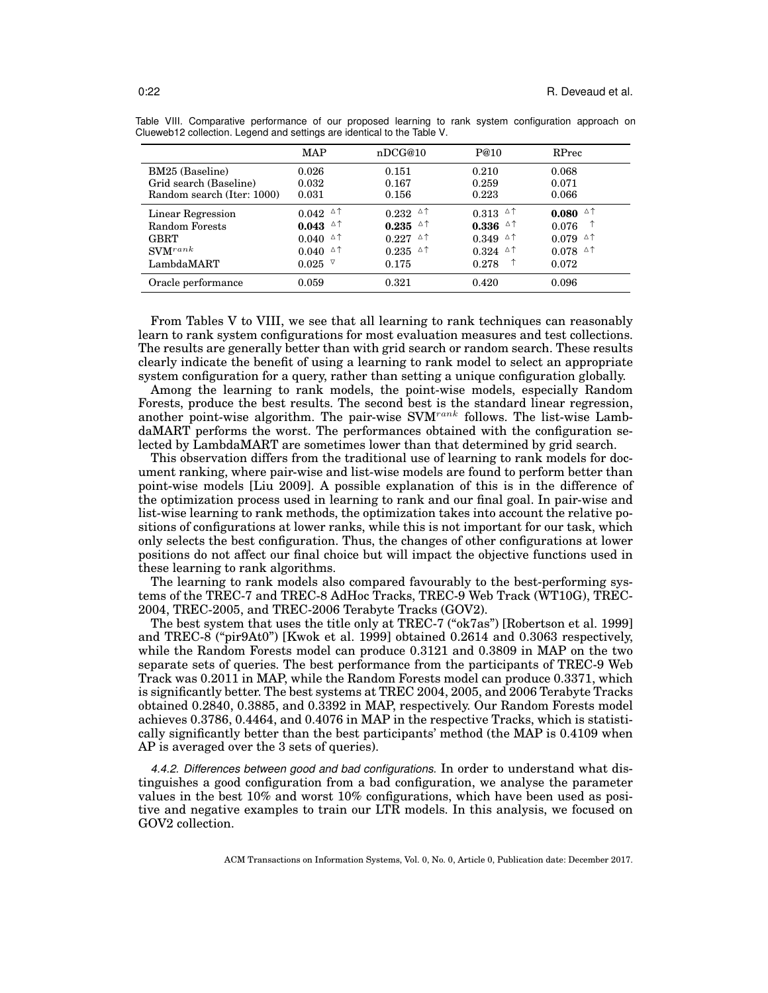|                            | MAP                                        | nDCG@10                                    | P@10                           | RPrec                                                          |
|----------------------------|--------------------------------------------|--------------------------------------------|--------------------------------|----------------------------------------------------------------|
| BM25 (Baseline)            | 0.026                                      | 0.151                                      | 0.210                          | 0.068                                                          |
| Grid search (Baseline)     | 0.032                                      | 0.167                                      | 0.259                          | 0.071                                                          |
| Random search (Iter: 1000) | 0.031                                      | 0.156                                      | 0.223                          | 0.066                                                          |
| Linear Regression          | $0.042$ <sup><math>\triangle</math>↑</sup> | $0.232$ <sup><math>\triangle</math>↑</sup> | $0.313$ $\triangle$ $\uparrow$ | △↑<br>0.080                                                    |
| Random Forests             | Δ↑<br>0.043                                | △↑<br>0.235                                | $0.336$ $\triangle$ $\uparrow$ | 0.076                                                          |
| GBRT                       | Δ↑<br>0.040                                | Δ↑<br>0.227                                | Δ↑<br>0.349                    | Δ↑<br>0.079                                                    |
| $\text{SVM}^{rank}$        | Δ↑<br>0.040                                | Δ↑<br>0.235                                | △↑<br>0.324                    | $0.078$ <sup><math>\triangle</math><math>\uparrow</math></sup> |
| LambdaMART                 | ▽<br>0.025                                 | 0.175                                      | ↑<br>0.278                     | 0.072                                                          |
| Oracle performance         | 0.059                                      | 0.321                                      | 0.420                          | 0.096                                                          |

Table VIII. Comparative performance of our proposed learning to rank system configuration approach on Clueweb12 collection. Legend and settings are identical to the Table V.

From Tables V to VIII, we see that all learning to rank techniques can reasonably learn to rank system configurations for most evaluation measures and test collections. The results are generally better than with grid search or random search. These results clearly indicate the benefit of using a learning to rank model to select an appropriate system configuration for a query, rather than setting a unique configuration globally.

Among the learning to rank models, the point-wise models, especially Random Forests, produce the best results. The second best is the standard linear regression, another point-wise algorithm. The pair-wise  $\text{SVM}^{rank}$  follows. The list-wise LambdaMART performs the worst. The performances obtained with the configuration selected by LambdaMART are sometimes lower than that determined by grid search.

This observation differs from the traditional use of learning to rank models for document ranking, where pair-wise and list-wise models are found to perform better than point-wise models [Liu 2009]. A possible explanation of this is in the difference of the optimization process used in learning to rank and our final goal. In pair-wise and list-wise learning to rank methods, the optimization takes into account the relative positions of configurations at lower ranks, while this is not important for our task, which only selects the best configuration. Thus, the changes of other configurations at lower positions do not affect our final choice but will impact the objective functions used in these learning to rank algorithms.

The learning to rank models also compared favourably to the best-performing systems of the TREC-7 and TREC-8 AdHoc Tracks, TREC-9 Web Track (WT10G), TREC-2004, TREC-2005, and TREC-2006 Terabyte Tracks (GOV2).

The best system that uses the title only at TREC-7 ("ok7as") [Robertson et al. 1999] and TREC-8 ("pir9At0") [Kwok et al. 1999] obtained 0.2614 and 0.3063 respectively, while the Random Forests model can produce 0.3121 and 0.3809 in MAP on the two separate sets of queries. The best performance from the participants of TREC-9 Web Track was 0.2011 in MAP, while the Random Forests model can produce 0.3371, which is significantly better. The best systems at TREC 2004, 2005, and 2006 Terabyte Tracks obtained 0.2840, 0.3885, and 0.3392 in MAP, respectively. Our Random Forests model achieves 0.3786, 0.4464, and 0.4076 in MAP in the respective Tracks, which is statistically significantly better than the best participants' method (the MAP is 0.4109 when AP is averaged over the 3 sets of queries).

*4.4.2. Differences between good and bad configurations.* In order to understand what distinguishes a good configuration from a bad configuration, we analyse the parameter values in the best 10% and worst 10% configurations, which have been used as positive and negative examples to train our LTR models. In this analysis, we focused on GOV2 collection.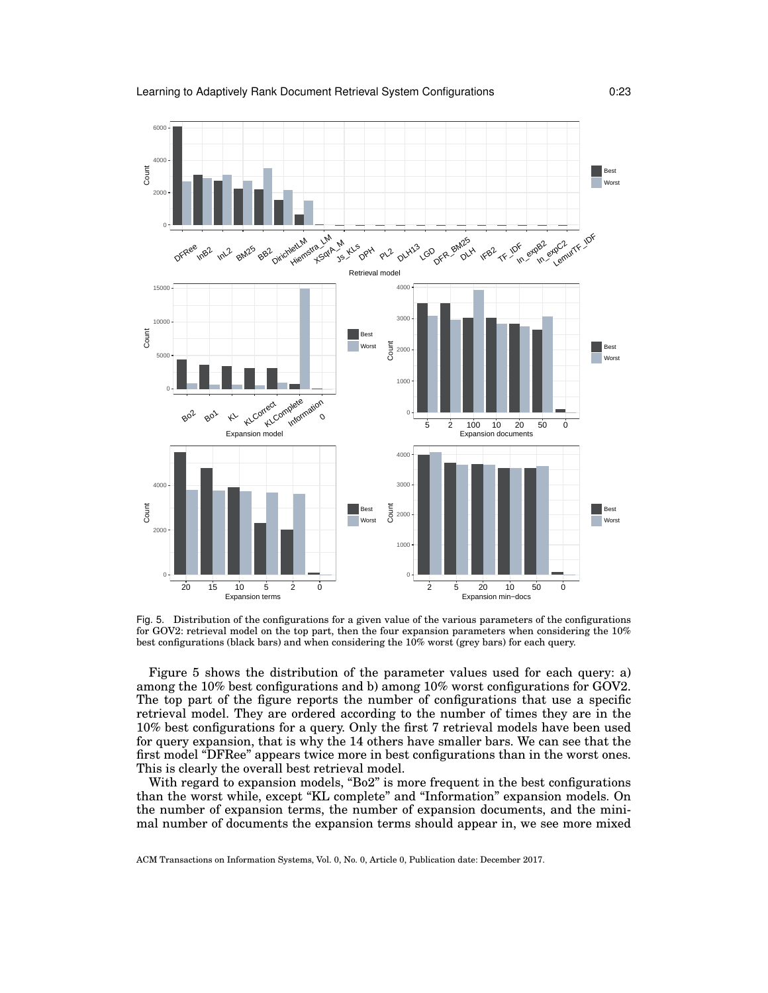

Fig. 5. Distribution of the configurations for a given value of the various parameters of the configurations for GOV2: retrieval model on the top part, then the four expansion parameters when considering the 10% best configurations (black bars) and when considering the 10% worst (grey bars) for each query.

Figure 5 shows the distribution of the parameter values used for each query: a) among the 10% best configurations and b) among 10% worst configurations for GOV2. The top part of the figure reports the number of configurations that use a specific retrieval model. They are ordered according to the number of times they are in the 10% best configurations for a query. Only the first 7 retrieval models have been used for query expansion, that is why the 14 others have smaller bars. We can see that the first model "DFRee" appears twice more in best configurations than in the worst ones. This is clearly the overall best retrieval model.

With regard to expansion models, "Bo2" is more frequent in the best configurations than the worst while, except "KL complete" and "Information" expansion models. On the number of expansion terms, the number of expansion documents, and the minimal number of documents the expansion terms should appear in, we see more mixed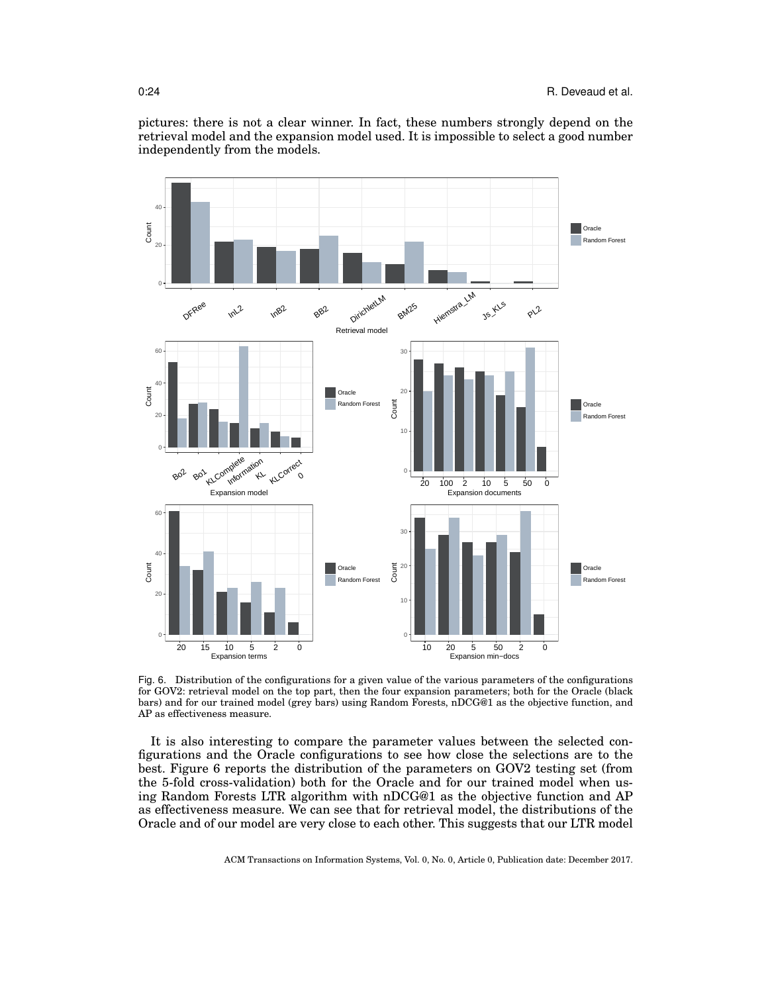

pictures: there is not a clear winner. In fact, these numbers strongly depend on the retrieval model and the expansion model used. It is impossible to select a good number independently from the models.

Fig. 6. Distribution of the configurations for a given value of the various parameters of the configurations for GOV2: retrieval model on the top part, then the four expansion parameters; both for the Oracle (black bars) and for our trained model (grey bars) using Random Forests, nDCG@1 as the objective function, and AP as effectiveness measure.

It is also interesting to compare the parameter values between the selected configurations and the Oracle configurations to see how close the selections are to the best. Figure 6 reports the distribution of the parameters on GOV2 testing set (from the 5-fold cross-validation) both for the Oracle and for our trained model when using Random Forests LTR algorithm with nDCG@1 as the objective function and AP as effectiveness measure. We can see that for retrieval model, the distributions of the Oracle and of our model are very close to each other. This suggests that our LTR model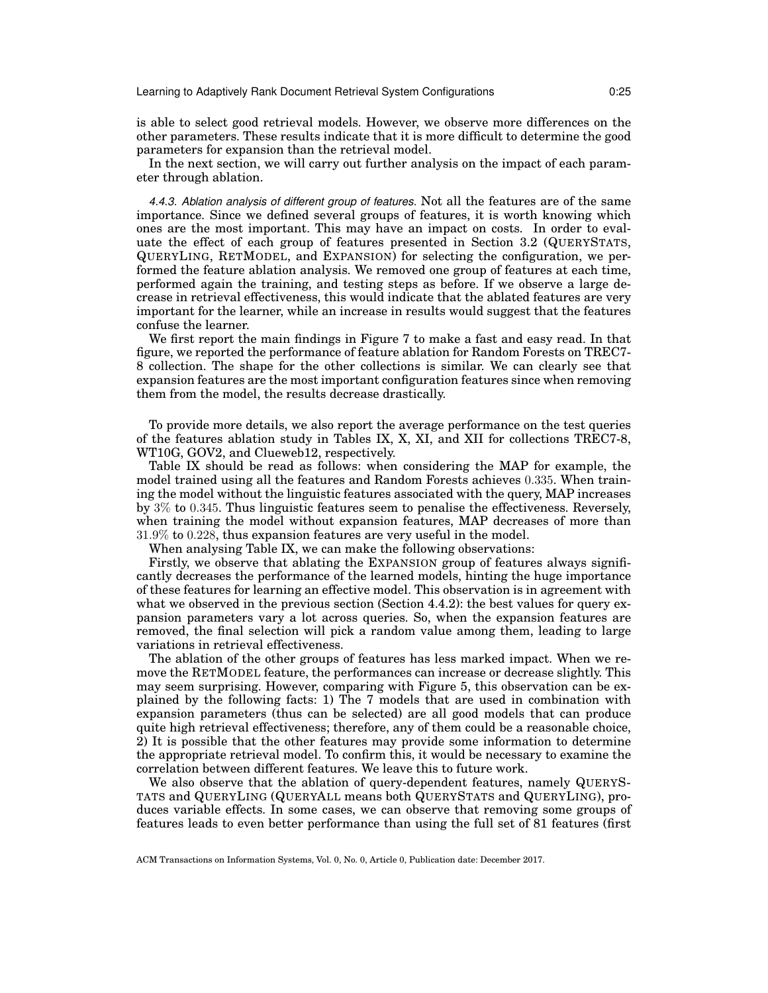is able to select good retrieval models. However, we observe more differences on the other parameters. These results indicate that it is more difficult to determine the good parameters for expansion than the retrieval model.

In the next section, we will carry out further analysis on the impact of each parameter through ablation.

*4.4.3. Ablation analysis of different group of features.* Not all the features are of the same importance. Since we defined several groups of features, it is worth knowing which ones are the most important. This may have an impact on costs. In order to evaluate the effect of each group of features presented in Section 3.2 (QUERYSTATS, QUERYLING, RETMODEL, and EXPANSION) for selecting the configuration, we performed the feature ablation analysis. We removed one group of features at each time, performed again the training, and testing steps as before. If we observe a large decrease in retrieval effectiveness, this would indicate that the ablated features are very important for the learner, while an increase in results would suggest that the features confuse the learner.

We first report the main findings in Figure 7 to make a fast and easy read. In that figure, we reported the performance of feature ablation for Random Forests on TREC7- 8 collection. The shape for the other collections is similar. We can clearly see that expansion features are the most important configuration features since when removing them from the model, the results decrease drastically.

To provide more details, we also report the average performance on the test queries of the features ablation study in Tables IX, X, XI, and XII for collections TREC7-8, WT10G, GOV2, and Clueweb12, respectively.

Table IX should be read as follows: when considering the MAP for example, the model trained using all the features and Random Forests achieves 0.335. When training the model without the linguistic features associated with the query, MAP increases by 3% to 0.345. Thus linguistic features seem to penalise the effectiveness. Reversely, when training the model without expansion features, MAP decreases of more than 31.9% to 0.228, thus expansion features are very useful in the model.

When analysing Table IX, we can make the following observations:

Firstly, we observe that ablating the EXPANSION group of features always significantly decreases the performance of the learned models, hinting the huge importance of these features for learning an effective model. This observation is in agreement with what we observed in the previous section (Section 4.4.2): the best values for query expansion parameters vary a lot across queries. So, when the expansion features are removed, the final selection will pick a random value among them, leading to large variations in retrieval effectiveness.

The ablation of the other groups of features has less marked impact. When we remove the RETMODEL feature, the performances can increase or decrease slightly. This may seem surprising. However, comparing with Figure 5, this observation can be explained by the following facts: 1) The 7 models that are used in combination with expansion parameters (thus can be selected) are all good models that can produce quite high retrieval effectiveness; therefore, any of them could be a reasonable choice, 2) It is possible that the other features may provide some information to determine the appropriate retrieval model. To confirm this, it would be necessary to examine the correlation between different features. We leave this to future work.

We also observe that the ablation of query-dependent features, namely QUERYS-TATS and QUERYLING (QUERYALL means both QUERYSTATS and QUERYLING), produces variable effects. In some cases, we can observe that removing some groups of features leads to even better performance than using the full set of 81 features (first

ACM Transactions on Information Systems, Vol. 0, No. 0, Article 0, Publication date: December 2017.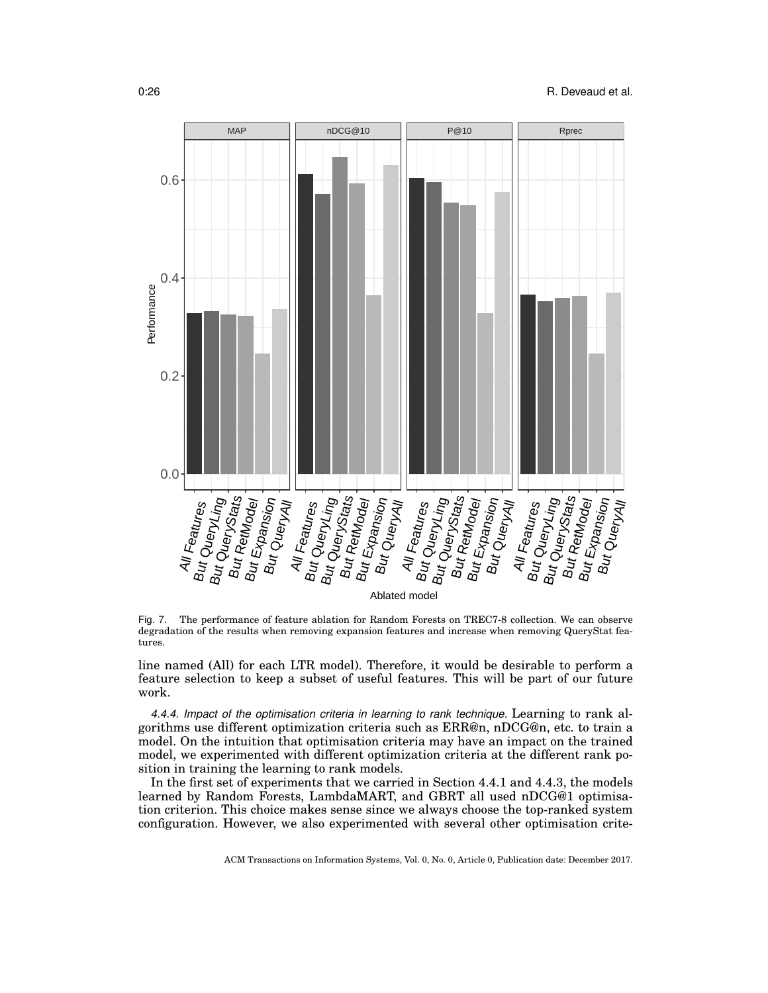

Fig. 7. The performance of feature ablation for Random Forests on TREC7-8 collection. We can observe degradation of the results when removing expansion features and increase when removing QueryStat features.

line named (All) for each LTR model). Therefore, it would be desirable to perform a feature selection to keep a subset of useful features. This will be part of our future work.

*4.4.4. Impact of the optimisation criteria in learning to rank technique.* Learning to rank algorithms use different optimization criteria such as ERR@n, nDCG@n, etc. to train a model. On the intuition that optimisation criteria may have an impact on the trained model, we experimented with different optimization criteria at the different rank position in training the learning to rank models.

In the first set of experiments that we carried in Section 4.4.1 and 4.4.3, the models learned by Random Forests, LambdaMART, and GBRT all used nDCG@1 optimisation criterion. This choice makes sense since we always choose the top-ranked system configuration. However, we also experimented with several other optimisation crite-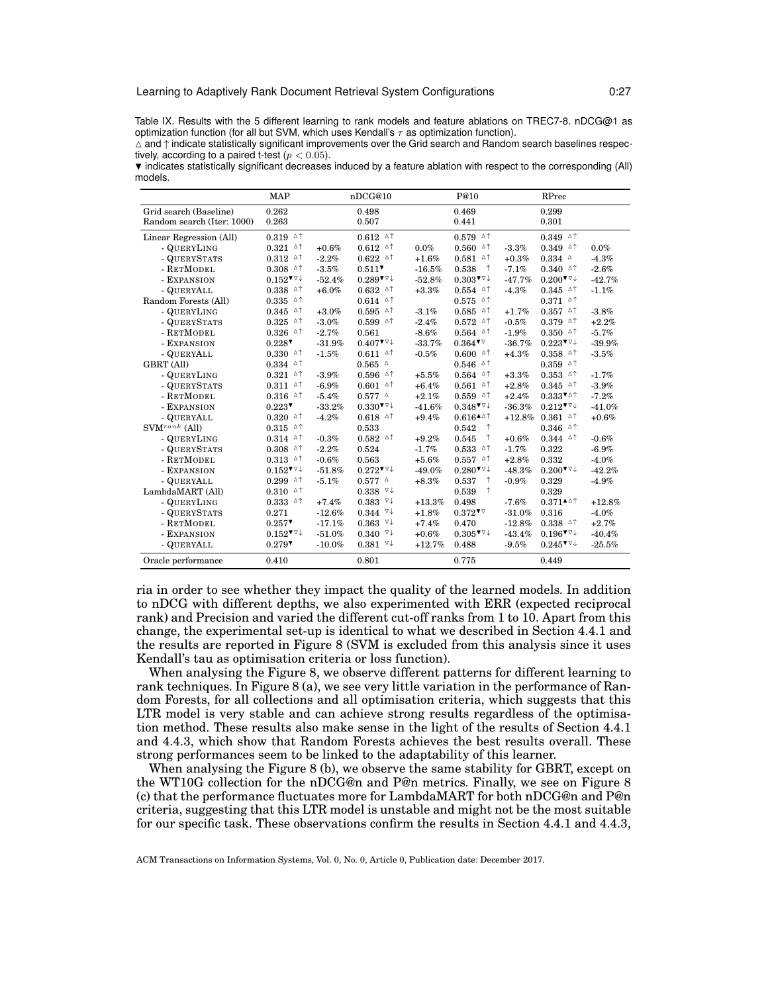#### Learning to Adaptively Rank Document Retrieval System Configurations 0:27

Table IX. Results with the 5 different learning to rank models and feature ablations on TREC7-8. nDCG@1 as optimization function (for all but SVM, which uses Kendall's  $\tau$  as optimization function).

 $\triangle$  and  $\uparrow$  indicate statistically significant improvements over the Grid search and Random search baselines respectively, according to a paired t-test ( $p < 0.05$ ).

 $\blacktriangledown$  indicates statistically significant decreases induced by a feature ablation with respect to the corresponding (All) models.

|                            | <b>MAP</b>                                                     |           | nDCG@10                                                        |          | P@10                                                           |          | RPrec                                                          |          |
|----------------------------|----------------------------------------------------------------|-----------|----------------------------------------------------------------|----------|----------------------------------------------------------------|----------|----------------------------------------------------------------|----------|
| Grid search (Baseline)     | 0.262                                                          |           | 0.498                                                          |          | 0.469                                                          |          | 0.299                                                          |          |
| Random search (Iter: 1000) | 0.263                                                          |           | 0.507                                                          |          | 0.441                                                          |          | 0.301                                                          |          |
| Linear Regression (All)    | $0.319$ $\circ$ $\uparrow$                                     |           | $0.612$ $\triangle$ $\uparrow$                                 |          | $0.579$ $\circ$ $\uparrow$                                     |          | $0.349$ <sup><math>\triangle</math>†</sup>                     |          |
| - QUERYLING                | $0.321$ $\circ$ $\uparrow$                                     | $+0.6%$   | $0.612$ <sup><math>\triangle</math>↑</sup>                     | $0.0\%$  | Δ↑<br>0.560                                                    | $-3.3%$  | $0.349$ <sup><math>\triangle</math>↑</sup>                     | $0.0\%$  |
| - QUERYSTATS               | $0.312$ <sup><math>\triangle</math>↑</sup>                     | $-2.2%$   | $0.622$ $^{\circ}$                                             | $+1.6%$  | $0.581$ <sup><math>\triangle</math>↑</sup>                     | $+0.3%$  | $0.334$ $\triangle$                                            | $-4.3%$  |
| - RETMODEL                 | $0.308$ <sup><math>\triangle</math>↑</sup>                     | $-3.5%$   | $0.511$ <sup>V</sup>                                           | $-16.5%$ | ↑<br>0.538                                                     | $-7.1%$  | $0.340$ <sup><math>\triangle</math><math>\uparrow</math></sup> | $-2.6%$  |
| - EXPANSION                | $0.152$ <sup>V<math>\vee</math></sup> <sup>+</sup>             | $-52.4%$  | $0.289$ <sup>V<math>\forall\downarrow</math></sup>             | $-52.8%$ | $0.303$ <sup>V<math>\vee</math></sup>                          | $-47.7%$ | $0.200$ <sup><math>\overline{v}</math></sup> $\overline{v}$    | $-42.7%$ |
| - QUERYALL                 | $0.338$ <sup><math>\triangle</math>↑</sup>                     | $+6.0\%$  | $0.632$ <sup><math>\triangle</math><math>\uparrow</math></sup> | $+3.3%$  | $0.554$ $\circ$ $\uparrow$                                     | $-4.3%$  | $0.345$ <sup><math>\triangle</math>↑</sup>                     | $-1.1%$  |
| Random Forests (All)       | $0.335$ $\circ$ $\uparrow$                                     |           | $0.614$ <sup><math>\triangle</math><math>\uparrow</math></sup> |          | $0.575$ $^{\triangle \uparrow}$                                |          | $0.371$ <sup><math>\triangle</math>↑</sup>                     |          |
| - QUERYLING                | $0.345$ $\circ$ $\uparrow$                                     | $+3.0%$   | $0.595$ <sup><math>\triangle</math>↑</sup>                     | $-3.1%$  | $0.585$ $\triangle$ $\uparrow$                                 | $+1.7%$  | $0.357$ $\triangle$ $\uparrow$                                 | $-3.8%$  |
| - QUERYSTATS               | $0.325$ $\circ$ $\uparrow$                                     | $-3.0%$   | $0.599$ <sup><math>\triangle</math>↑</sup>                     | $-2.4%$  | $0.572$ $\circ$ $\uparrow$                                     | $-0.5\%$ | $0.379$ <sup><math>\triangle</math><math>\uparrow</math></sup> | $+2.2%$  |
| - RETMODEL                 | $0.326$ <sup><math>\triangle</math>↑</sup>                     | $-2.7%$   | 0.561                                                          | $-8.6%$  | $0.564$ <sup><math>\triangle</math>↑</sup>                     | $-1.9%$  | $0.350$ <sup><math>\triangle</math><math>\uparrow</math></sup> | $-5.7%$  |
| - EXPANSION                | $0.228$ <sup>V</sup>                                           | $-31.9%$  | $0.407$ <sup>V<math>\forall</math></sup>                       | $-33.7%$ | $0.364$ <sup>V</sup>                                           | $-36.7%$ | $0.223$ <sup>V<math>\triangledown</math></sup>                 | $-39.9%$ |
| - QUERYALL                 | $0.330$ <sup><math>\triangle</math>↑</sup>                     | $-1.5%$   | $0.611$ <sup><math>\triangle</math>↑</sup>                     | $-0.5%$  | $0.600$ <sup><math>\triangle</math><math>\uparrow</math></sup> | $+4.3%$  | $0.358$ <sup><math>\triangle</math><math>\uparrow</math></sup> | $-3.5%$  |
| GBRT (All)                 | $0.334$ $\circ$ $\uparrow$                                     |           | $0.565$ $\triangle$                                            |          | $0.546$ ^^                                                     |          | $0.359$ $^{\circ}$ $^{\circ}$                                  |          |
| - QUERYLING                | $0.321$ $\circ$ $\uparrow$                                     | $-3.9%$   | $0.596$ <sup><math>\triangle</math>↑</sup>                     | $+5.5%$  | $0.564$ $\circ$ $\uparrow$                                     | $+3.3%$  | $0.353$ $\circ$ $\uparrow$                                     | $-1.7%$  |
| - QUERYSTATS               | $0.311$ <sup><math>\triangle</math>↑</sup>                     | $-6.9%$   | $0.601$ <sup><math>\triangle</math>↑</sup>                     | $+6.4%$  | ∆↑<br>0.561                                                    | $+2.8%$  | $0.345$ <sup><math>\triangle</math>↑</sup>                     | $-3.9%$  |
| - RETMODEL                 | $0.316$ <sup><math>\triangle</math>↑</sup>                     | $-5.4%$   | $0.577$ $^{\circ}$                                             | $+2.1%$  | $0.559$ $\circ$ $\uparrow$                                     | $+2.4%$  | $0.333$ <sup>V<math>\triangle</math></sup>                     | $-7.2%$  |
| - EXPANSION                | $0.223$ <sup>V</sup>                                           | $-33.2%$  | $0.330$ <sup>V<math>\forall\downarrow</math></sup>             | $-41.6%$ | $0.348$ <sup>V<math>\vee</math></sup>                          | $-36.3%$ | $0.212$ <sup>V<math>\triangledown</math></sup>                 | $-41.0%$ |
| - QUERYALL                 | $0.320$ <sup><math>\triangle</math>↑</sup>                     | $-4.2%$   | $0.618$ <sup><math>\triangle</math>↑</sup>                     | $+9.4%$  | $0.616^{\texttt{A}}$ <sup><math>\uparrow</math></sup>          | $+12.8%$ | $0.361$ <sup><math>\triangle</math><math>\uparrow</math></sup> | $+0.6%$  |
| $\text{SVM}^{rank}$ (All)  | $0.315$ <sup><math>\triangle</math><math>\uparrow</math></sup> |           | 0.533                                                          |          | ↑<br>0.542                                                     |          | $0.346$ <sup><math>\triangle</math>↑</sup>                     |          |
| - QUERYLING                | $0.314$ <sup><math>\triangle</math>↑</sup>                     | $-0.3%$   | $0.582$ <sup><math>\triangle</math>↑</sup>                     | $+9.2%$  | ↑<br>0.545                                                     | $+0.6%$  | $0.344$ <sup><math>\triangle</math>↑</sup>                     | $-0.6%$  |
| - QUERYSTATS               | $0.308$ <sup><math>\triangle</math>↑</sup>                     | $-2.2%$   | 0.524                                                          | $-1.7%$  | $0.533$ $\circ$ $\uparrow$                                     | $-1.7%$  | 0.322                                                          | $-6.9\%$ |
| - RETMODEL                 | $0.313$ <sup><math>\triangle</math>↑</sup>                     | $-0.6%$   | 0.563                                                          | $+5.6%$  | $0.557$ $\circ$ $\uparrow$                                     | $+2.8%$  | 0.332                                                          | $-4.0%$  |
| - EXPANSION                | $0.152$ <sup>V<math>\triangledown</math></sup>                 | $-51.8%$  | $0.272$ <sup>V<math>\forall\downarrow</math></sup>             | $-49.0%$ | $0.280$ <sup>V<math>\forall\downarrow</math></sup>             | $-48.3%$ | $0.200$ <sup>V<math>\forall\downarrow</math></sup>             | $-42.2%$ |
| - QUERYALL                 | $0.299$ $^{\circ}$ $^{\circ}$                                  | $-5.1%$   | $0.577$ $^{\circ}$                                             | $+8.3\%$ | ↑<br>0.537                                                     | $-0.9%$  | 0.329                                                          | $-4.9%$  |
| LambdaMART (All)           | $0.310$ $\triangle$ $\uparrow$                                 |           | $0.338$ $\nabla \downarrow$                                    |          | ↑<br>0.539                                                     |          | 0.329                                                          |          |
| - QUERYLING                | $0.333$ $\circ$ $\uparrow$                                     | $+7.4%$   | $0.383$ $\sqrt{4}$                                             | $+13.3%$ | 0.498                                                          | $-7.6%$  | $0.371^{\text{A}\triangle \uparrow}$                           | $+12.8%$ |
| - QUERYSTATS               | 0.271                                                          | $-12.6%$  | $0.344$ $\vee\downarrow$                                       | $+1.8%$  | $0.372$ <sup>V</sup>                                           | $-31.0%$ | 0.316                                                          | $-4.0%$  |
| - RETMODEL                 | 0.257                                                          | $-17.1%$  | $0.363$ $\sqrt{4}$                                             | $+7.4%$  | 0.470                                                          | $-12.8%$ | $0.338$ <sup><math>\triangle</math>↑</sup>                     | $+2.7%$  |
| - EXPANSION                | $0.152$ <sup>V<math>\triangledown</math></sup>                 | $-51.0%$  | $0.340~\rm{V}$                                                 | $+0.6%$  | $0.305$ <sup>V<math>\vee</math></sup>                          | $-43.4%$ | $0.196$ <sup>V<math>\forall\downarrow</math></sup>             | $-40.4%$ |
| - QUERYALL                 | $0.279$ <sup>V</sup>                                           | $-10.0\%$ | $0.381$ $\sqrt{4}$                                             | $+12.7%$ | 0.488                                                          | $-9.5%$  | $0.245$ <sup>V<math>\forall\downarrow</math></sup>             | $-25.5%$ |
| Oracle performance         | 0.410                                                          |           | 0.801                                                          |          | 0.775                                                          |          | 0.449                                                          |          |

ria in order to see whether they impact the quality of the learned models. In addition to nDCG with different depths, we also experimented with ERR (expected reciprocal rank) and Precision and varied the different cut-off ranks from 1 to 10. Apart from this change, the experimental set-up is identical to what we described in Section 4.4.1 and the results are reported in Figure 8 (SVM is excluded from this analysis since it uses Kendall's tau as optimisation criteria or loss function).

When analysing the Figure 8, we observe different patterns for different learning to rank techniques. In Figure 8 (a), we see very little variation in the performance of Random Forests, for all collections and all optimisation criteria, which suggests that this LTR model is very stable and can achieve strong results regardless of the optimisation method. These results also make sense in the light of the results of Section 4.4.1 and 4.4.3, which show that Random Forests achieves the best results overall. These strong performances seem to be linked to the adaptability of this learner.

When analysing the Figure 8 (b), we observe the same stability for GBRT, except on the WT10G collection for the nDCG@n and P@n metrics. Finally, we see on Figure 8 (c) that the performance fluctuates more for LambdaMART for both nDCG@n and P@n criteria, suggesting that this LTR model is unstable and might not be the most suitable for our specific task. These observations confirm the results in Section 4.4.1 and 4.4.3,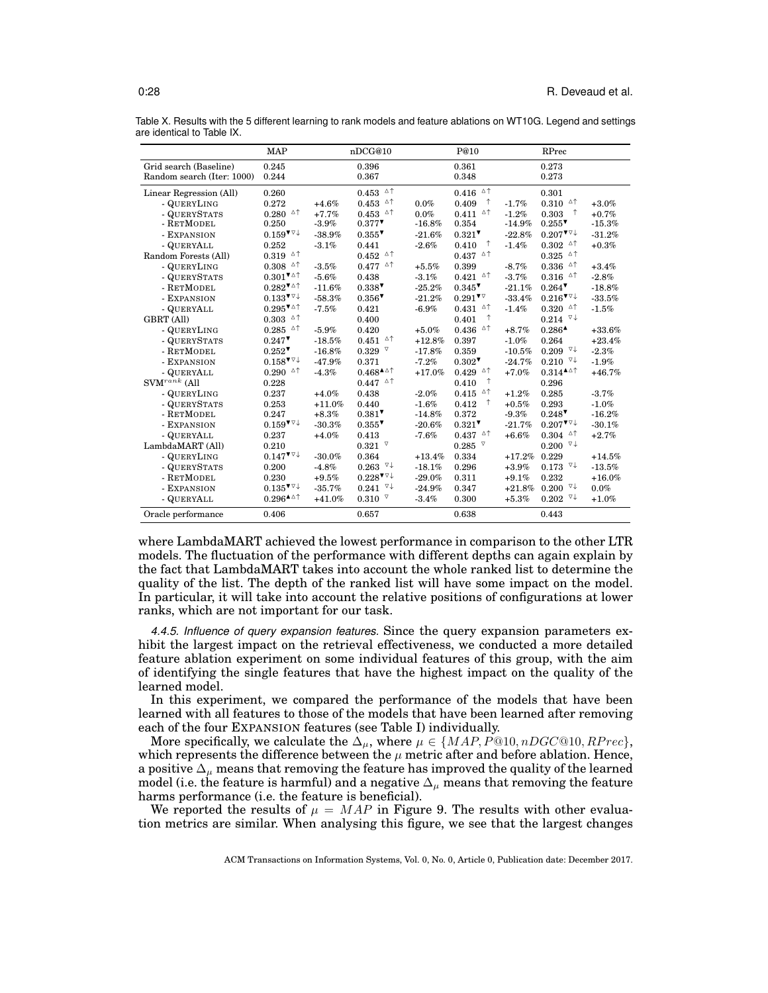|                            | <b>MAP</b>                                     |          | nDCG@10                                        |          | P@10                                                           |          | RPrec                                      |          |
|----------------------------|------------------------------------------------|----------|------------------------------------------------|----------|----------------------------------------------------------------|----------|--------------------------------------------|----------|
| Grid search (Baseline)     | 0.245                                          |          | 0.396                                          |          | 0.361                                                          |          | 0.273                                      |          |
| Random search (Iter: 1000) | 0.244                                          |          | 0.367                                          |          | 0.348                                                          |          | 0.273                                      |          |
| Linear Regression (All)    | 0.260                                          |          | $0.453$ $\circ$ $\uparrow$                     |          | $0.416$ <sup><math>\triangle</math>↑</sup>                     |          | 0.301                                      |          |
| - QUERYLING                | 0.272                                          | $+4.6%$  | $0.453$ $^{\circ}$ $^{\circ}$                  | 0.0%     | $\uparrow$<br>0.409                                            | $-1.7%$  | $0.310$ <sup><math>\triangle</math>↑</sup> | $+3.0\%$ |
| - QUERYSTATS               | Δ↑<br>0.280                                    | $+7.7%$  | $0.453$ $\circ$ $\uparrow$                     | 0.0%     | $0.411$ $\triangle^{\uparrow}$                                 | $-1.2%$  | $\uparrow$<br>0.303                        | $+0.7%$  |
| - RETMODEL                 | 0.250                                          | $-3.9%$  | $0.377$ <sup>V</sup>                           | $-16.8%$ | 0.354                                                          | $-14.9%$ | $0.255$ <sup>V</sup>                       | $-15.3%$ |
| - EXPANSION                | $0.159$ <sup>V<math>\forall</math></sup>       | $-38.9%$ | 0.355                                          | $-21.6%$ | $0.321$ <sup>V</sup>                                           | $-22.8%$ | $0.207$ <sup>V<math>\vee</math></sup>      | $-31.2%$ |
| - QUERYALL                 | 0.252                                          | $-3.1%$  | 0.441                                          | $-2.6%$  | ↑<br>0.410                                                     | $-1.4%$  | $0.302$ <sup><math>\triangle</math>↑</sup> | $+0.3%$  |
| Random Forests (All)       | Δ↑<br>0.319                                    |          | $0.452$ $^{\circ}$ $^{\circ}$                  |          | $0.437$ <sup><math>\triangle</math><math>\uparrow</math></sup> |          | $0.325$ $\circ$ $\uparrow$                 |          |
| - QUERYLING                | 0.308<br>Δ↑                                    | $-3.5%$  | $0.477$ <sup><math>\triangle</math>↑</sup>     | $+5.5%$  | 0.399                                                          | $-8.7%$  | $0.336$ <sup><math>\triangle</math>↑</sup> | $+3.4%$  |
| - QUERYSTATS               | $0.301$ <sup>VA</sup> <sup>1</sup>             | $-5.6%$  | 0.438                                          | $-3.1%$  | $0.421$ $\circ$ <sup>1</sup>                                   | $-3.7%$  | $0.316$ <sup><math>\triangle</math>↑</sup> | $-2.8%$  |
| - RETMODEL                 | $0.282$ <sup>VA</sup> <sup>1</sup>             | $-11.6%$ | $0.338$ <sup><math>\triangledown</math></sup>  | $-25.2%$ | $0.345$ <sup>V</sup>                                           | $-21.1%$ | 0.264                                      | $-18.8%$ |
| - EXPANSION                | $0.133$ <sup>V<math>\triangledown</math></sup> | $-58.3%$ | $0.356$ <sup>V</sup>                           | $-21.2%$ | $0.291$ <sup>V</sup>                                           | $-33.4%$ | $0.216$ <sup>V<math>\vee</math></sup>      | $-33.5%$ |
| - QUERYALL                 | $0.295$ <sup>V<math>\triangle</math></sup>     | $-7.5%$  | 0.421                                          | $-6.9%$  | $0.431$ <sup><math>\triangle</math>↑</sup>                     | $-1.4%$  | $0.320$ <sup><math>\triangle</math>↑</sup> | $-1.5%$  |
| <b>GBRT</b> (All)          | Δ↑<br>0.303                                    |          | 0.400                                          |          | $\uparrow$<br>0.401                                            |          | $0.214$ $\vee\downarrow$                   |          |
| - QUERYLING                | $0.285$ $\circ$ $\uparrow$                     | $-5.9%$  | 0.420                                          | $+5.0%$  | $0.436$ <sup><math>\triangle</math>↑</sup>                     | $+8.7%$  | $0.286$ <sup><math>\triangle</math></sup>  | $+33.6%$ |
| - QUERYSTATS               | $0.247$ <sup>V</sup>                           | $-18.5%$ | $0.451$ $^{\triangle \uparrow}$                | $+12.8%$ | 0.397                                                          | $-1.0%$  | 0.264                                      | $+23.4%$ |
| - RETMODEL                 | $0.252$ <sup>V</sup>                           | $-16.8%$ | $0.329$ $^{\nabla}$                            | $-17.8%$ | 0.359                                                          | $-10.5%$ | $0.209$ $\sqrt{4}$                         | $-2.3%$  |
| - EXPANSION                | $0.158$ <sup>V<math>\forall</math></sup>       | $-47.9%$ | 0.371                                          | $-7.2%$  | $0.302$ <sup>V</sup>                                           | $-24.7%$ | $0.210^{-7}$                               | $-1.9%$  |
| - QUERYALL                 | $0.290$ <sup><math>\triangle</math>†</sup>     | $-4.3%$  | $0.468^{\text{A}\triangleup}$                  | $+17.0%$ | $0.429$ $^{4+}$                                                | $+7.0%$  | $0.314^{\triangle}\mathrm{A}$              | $+46.7%$ |
| $\text{SVM}^{rank}$ (All   | 0.228                                          |          | $0.447$ $\triangle$ $\uparrow$                 |          | $\uparrow$<br>0.410                                            |          | 0.296                                      |          |
| - QUERYLING                | 0.237                                          | $+4.0%$  | 0.438                                          | $-2.0\%$ | Δ↑<br>0.415                                                    | $+1.2%$  | 0.285                                      | $-3.7%$  |
| - QUERYSTATS               | 0.253                                          | $+11.0%$ | 0.440                                          | $-1.6%$  | $\uparrow$<br>0.412                                            | $+0.5%$  | 0.293                                      | $-1.0%$  |
| - RETMODEL                 | 0.247                                          | $+8.3%$  | $0.381$ <sup>V</sup>                           | $-14.8%$ | 0.372                                                          | $-9.3%$  | $0.248$ <sup>V</sup>                       | $-16.2%$ |
| - EXPANSION                | $0.159$ <sup>V<math>\forall</math></sup>       | $-30.3%$ | $0.355$ <sup>V</sup>                           | $-20.6%$ | $0.321$ <sup>V</sup>                                           | $-21.7%$ | $0.207$ <sup>V</sup>                       | $-30.1%$ |
| - QUERYALL                 | 0.237                                          | $+4.0%$  | 0.413                                          | $-7.6%$  | $0.437$ <sup><math>\triangle</math>↑</sup>                     | $+6.6%$  | $0.304$ <sup><math>\triangle</math>↑</sup> | $+2.7%$  |
| LambdaMART (All)           | 0.210                                          |          | $0.321$ $\sqrt{ }$                             |          | $0.285$ $\sqrt{ }$                                             |          | $0.200$ $\vee\downarrow$                   |          |
| - QUERYLING                | $0.147$ <sup>V<math>\forall</math></sup>       | $-30.0%$ | 0.364                                          | $+13.4%$ | 0.334                                                          | $+17.2%$ | 0.229                                      | $+14.5%$ |
| - QUERYSTATS               | 0.200                                          | $-4.8%$  | $0.263$ $\nabla \downarrow$                    | $-18.1%$ | 0.296                                                          | $+3.9%$  | $0.173$ $\nabla \downarrow$                | $-13.5%$ |
| - RETMODEL                 | 0.230                                          | $+9.5%$  | $0.228$ <sup>V<math>\triangledown</math></sup> | $-29.0%$ | 0.311                                                          | $+9.1%$  | 0.232                                      | $+16.0%$ |
| - EXPANSION                | $0.135$ <sup>V<math>\vee</math></sup>          | $-35.7%$ | $0.241$ $\vee\downarrow$                       | $-24.9%$ | 0.347                                                          | $+21.8%$ | $0.200~\sqrt{1}$                           | $0.0\%$  |
| - QUERYALL                 | $0.296^{\text{A}\triangleup}$                  | $+41.0%$ | 0.310<br>V                                     | $-3.4%$  | 0.300                                                          | $+5.3%$  | $0.202$ $\sqrt{4}$                         | $+1.0%$  |
| Oracle performance         | 0.406                                          |          | 0.657                                          |          | 0.638                                                          |          | 0.443                                      |          |

Table X. Results with the 5 different learning to rank models and feature ablations on WT10G. Legend and settings are identical to Table IX.

where LambdaMART achieved the lowest performance in comparison to the other LTR models. The fluctuation of the performance with different depths can again explain by the fact that LambdaMART takes into account the whole ranked list to determine the quality of the list. The depth of the ranked list will have some impact on the model. In particular, it will take into account the relative positions of configurations at lower ranks, which are not important for our task.

*4.4.5. Influence of query expansion features.* Since the query expansion parameters exhibit the largest impact on the retrieval effectiveness, we conducted a more detailed feature ablation experiment on some individual features of this group, with the aim of identifying the single features that have the highest impact on the quality of the learned model.

In this experiment, we compared the performance of the models that have been learned with all features to those of the models that have been learned after removing each of the four EXPANSION features (see Table I) individually.

More specifically, we calculate the  $\Delta_{\mu}$ , where  $\mu \in \{MAP, P@10, nDGC@10, RPrec\},\$ which represents the difference between the  $\mu$  metric after and before ablation. Hence, a positive  $\Delta_{\mu}$  means that removing the feature has improved the quality of the learned model (i.e. the feature is harmful) and a negative  $\Delta_{\mu}$  means that removing the feature harms performance (i.e. the feature is beneficial).

We reported the results of  $\mu = MAP$  in Figure 9. The results with other evaluation metrics are similar. When analysing this figure, we see that the largest changes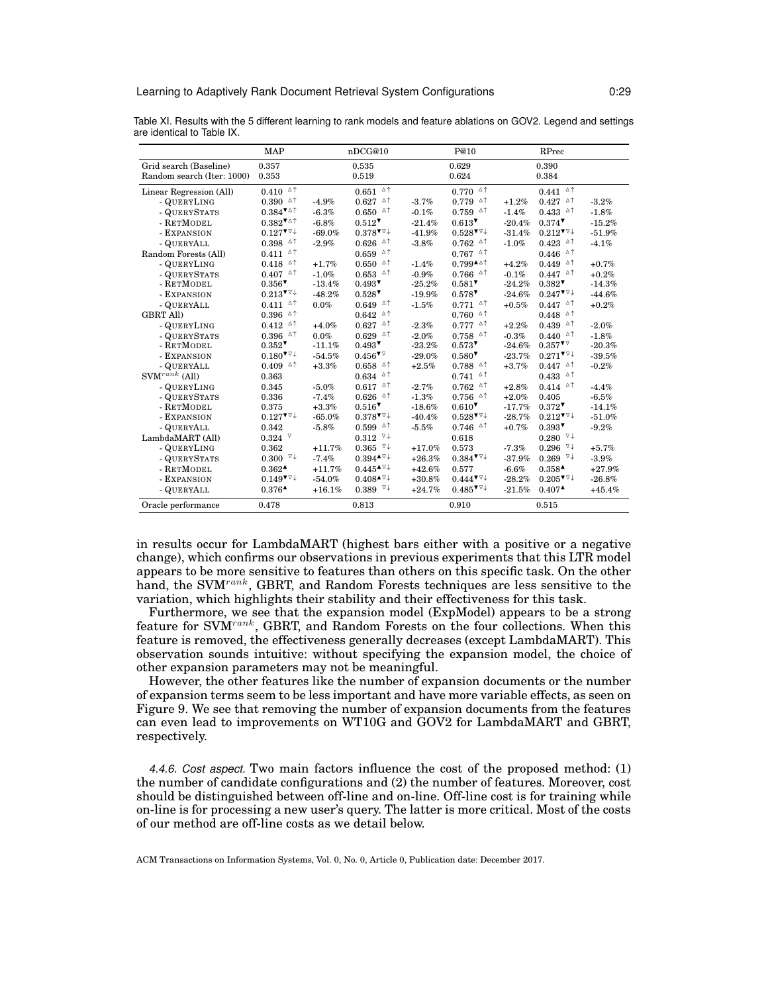|                            | <b>MAP</b>                                                     |          | nDCG@10                                                        |          | P@10                                                           |           | RPrec                                          |          |
|----------------------------|----------------------------------------------------------------|----------|----------------------------------------------------------------|----------|----------------------------------------------------------------|-----------|------------------------------------------------|----------|
| Grid search (Baseline)     | 0.357                                                          |          | 0.535                                                          |          | 0.629                                                          |           | 0.390                                          |          |
| Random search (Iter: 1000) | 0.353                                                          |          | 0.519                                                          |          | 0.624                                                          |           | 0.384                                          |          |
| Linear Regression (All)    | $0.410$ <sup><math>\triangle</math>↑</sup>                     |          | $0.651$ $\triangle$ $\uparrow$                                 |          | $0.770$ <sup><math>\triangle</math><math>\uparrow</math></sup> |           | $0.441$ $\triangle$ $\uparrow$                 |          |
| - QUERYLING                | $0.390$ <sup><math>\triangle</math>↑</sup>                     | $-4.9%$  | $0.627$ $\circ$ $\uparrow$                                     | $-3.7%$  | $0.779$ <sup><math>\triangle</math>↑</sup>                     | $+1.2%$   | 0.427<br>Δ↑                                    | $-3.2%$  |
| - QUERYSTATS               | $0.384$ <sup>V <math>\triangle</math></sup>                    | $-6.3%$  | $0.650$ <sup><math>\triangle</math><math>\uparrow</math></sup> | $-0.1%$  | $0.759$ <sup><math>\triangle</math><math>\uparrow</math></sup> | $-1.4%$   | $0.433$ <sup><math>\triangle</math>↑</sup>     | $-1.8%$  |
| - RETMODEL                 | $0.382$ <sup>V <math>\triangle</math></sup>                    | $-6.8%$  | $0.512$ <sup>V</sup>                                           | $-21.4%$ | $0.613$ <sup>V</sup>                                           | $-20.4%$  | $0.374$ <sup>V</sup>                           | $-15.2%$ |
| - EXPANSION                | $0.127$ <sup>V<math>\triangledown</math></sup>                 | $-69.0%$ | $0.378$ <sup>V<math>\vee</math></sup>                          | $-41.9%$ | $0.528$ <sup>V<math>\triangledown</math></sup>                 | $-31.4%$  | $0.212$ <sup>V<math>\triangledown</math></sup> | $-51.9%$ |
| - QUERYALL                 | $0.398$ <sup><math>\triangle</math><math>\uparrow</math></sup> | $-2.9%$  | $0.626$ <sup><math>\triangle</math><math>\uparrow</math></sup> | $-3.8%$  | $0.762$ <sup><math>\triangle</math><math>\uparrow</math></sup> | $-1.0%$   | $0.423$ <sup><math>\triangle</math>↑</sup>     | $-4.1%$  |
| Random Forests (All)       | $0.411$ $^{\circ}$ $^{\uparrow}$                               |          | $0.659$ <sup><math>\triangle</math></sup>                      |          | $0.767$ $\triangle$ $\uparrow$                                 |           | $0.446$ <sup><math>\triangle</math></sup>      |          |
| - QUERYLING                | $0.418$ <sup><math>\triangle</math>↑</sup>                     | $+1.7%$  | $0.650$ <sup><math>\triangle</math><math>\uparrow</math></sup> | $-1.4%$  | $0.799^{\texttt{AA}}$                                          | $+4.2%$   | $0.449$ <sup><math>\triangle</math>↑</sup>     | $+0.7%$  |
| - QUERYSTATS               | $0.407$ <sup><math>\triangle</math>↑</sup>                     | $-1.0%$  | $0.653$ $\circ$ $\uparrow$                                     | $-0.9%$  | $0.766$ <sup><math>\triangle</math>↑</sup>                     | $-0.1%$   | $0.447$ $\triangle$ $\uparrow$                 | $+0.2%$  |
| - RETMODEL                 | $0.356$ <sup>V</sup>                                           | $-13.4%$ | $0.493$ <sup>V</sup>                                           | $-25.2%$ | $0.581$ <sup>V</sup>                                           | $-24.2%$  | $0.382$ <sup>V</sup>                           | $-14.3%$ |
| - EXPANSION                | $0.213$ <sup>V<math>\triangledown</math></sup>                 | $-48.2%$ | $0.528$ <sup>V</sup>                                           | $-19.9%$ | $0.578$ <sup>V</sup>                                           | $-24.6%$  | $0.247$ <sup>V<math>\vee</math></sup>          | $-44.6%$ |
| - QUERYALL                 | $0.411$ $\circ$ <sup>1</sup>                                   | 0.0%     | $0.649$ <sup><math>\triangle</math>↑</sup>                     | $-1.5%$  | $0.771$ <sup><math>\triangle</math>↑</sup>                     | $+0.5%$   | $0.447$ <sup><math>\triangle</math>↑</sup>     | $+0.2%$  |
| <b>GBRT All)</b>           | △↑<br>0.396                                                    |          | $0.642$ <sup><math>\triangle</math>↑</sup>                     |          | $0.760$ <sup><math>\triangle</math><math>\uparrow</math></sup> |           | △↑<br>0.448                                    |          |
| - QUERYLING                | $0.412$ <sup><math>\triangle</math>↑</sup>                     | $+4.0%$  | $0.627$ <sup><math>\triangle</math>↑</sup>                     | $-2.3%$  | $0.777$ $\triangle$ $\uparrow$                                 | $+2.2%$   | $0.439$ <sup><math>\triangle</math>↑</sup>     | $-2.0%$  |
| - QUERYSTATS               | $0.396$ <sup><math>\triangle</math>↑</sup>                     | 0.0%     | $0.629$ $^{\circ}$ $^{\circ}$                                  | $-2.0%$  | $0.758$ <sup><math>\triangle</math>↑</sup>                     | $-0.3%$   | $0.440$ <sup><math>\triangle</math>↑</sup>     | $-1.8%$  |
| - RETMODEL                 | $0.352$ <sup>V</sup>                                           | $-11.1%$ | $0.493$ <sup>V</sup>                                           | $-23.2%$ | $0.573$ <sup>V</sup>                                           | $-24.6%$  | $0.357$ <sup>V</sup>                           | $-20.3%$ |
| - EXPANSION                | $0.180$ <sup>V</sup> <sup><math>\vee</math></sup>              | $-54.5%$ | $0.456$ <sup>V<math>\triangledown</math></sup>                 | $-29.0%$ | $0.580$ <sup>V</sup>                                           | $-23.7%$  | $0.271$ <sup>V<math>\triangledown</math></sup> | $-39.5%$ |
| - QUERYALL                 | $0.409$ <sup><math>\triangle</math><math>\uparrow</math></sup> | $+3.3%$  | $0.658$ <sup><math>\triangle</math><math>\uparrow</math></sup> | $+2.5%$  | $0.788$ <sup><math>\triangle</math><math>\uparrow</math></sup> | $+3.7%$   | $0.447$ <sup><math>\triangle</math>↑</sup>     | $-0.2%$  |
| $\text{SVM}^{rank}$ (All)  | 0.363                                                          |          | $0.634$ <sup><math>\triangle</math>↑</sup>                     |          | $0.741$ <sup><math>\triangle</math>↑</sup>                     |           | $0.433$ $~^{\vartriangle\uparrow}$             |          |
| - QUERYLING                | 0.345                                                          | $-5.0%$  | $0.617$ <sup><math>\Delta</math>↑</sup>                        | $-2.7%$  | $0.762$ <sup><math>\triangle</math>↑</sup>                     | $+2.8%$   | $0.414$ <sup><math>\Delta</math>†</sup>        | $-4.4%$  |
| - QUERYSTATS               | 0.336                                                          | $-7.4%$  | $0.626$ <sup><math>\triangle</math><math>\uparrow</math></sup> | $-1.3%$  | $0.756$ <sup><math>\triangle</math><math>\uparrow</math></sup> | $+2.0%$   | 0.405                                          | $-6.5%$  |
| - RETMODEL                 | 0.375                                                          | $+3.3%$  | 0.516                                                          | $-18.6%$ | $0.610$ <sup>V</sup>                                           | $-17.7%$  | $0.372$ <sup><math>\triangledown</math></sup>  | $-14.1%$ |
| - EXPANSION                | $0.127$ <sup>V<math>\vee</math></sup>                          | $-65.0%$ | $0.378$ <sup>V<math>\vee</math></sup>                          | $-40.4%$ | $0.528$ <sup>V<math>\triangledown</math></sup>                 | $-28.7%$  | $0.212$ <sup>V<math>\triangledown</math></sup> | $-51.0%$ |
| - QUERYALL                 | 0.342                                                          | $-5.8%$  | $0.599$ <sup><math>\triangle</math><math>\uparrow</math></sup> | $-5.5%$  | $0.746$ <sup><math>\triangle</math>↑</sup>                     | $+0.7%$   | $0.393$ <sup>V</sup>                           | $-9.2%$  |
| LambdaMART (All)           | $0.324$ $\sqrt{ }$                                             |          | $0.312 \sqrt{4}$                                               |          | 0.618                                                          |           | $0.280~\sqrt{4}$                               |          |
| - QUERYLING                | 0.362                                                          | $+11.7%$ | $0.365$ $\sqrt{4}$                                             | $+17.0%$ | 0.573                                                          | $-7.3%$   | $0.296$ $\sqrt{4}$                             | $+5.7%$  |
| - QUERYSTATS               | $0.300$ $\sqrt{4}$                                             | $-7.4%$  | $0.394 \star 7+$                                               | $+26.3%$ | $0.384$ <sup>V<math>\vee</math></sup>                          | $-37.9%$  | $0.269$ $\sqrt{4}$                             | $-3.9%$  |
| - RETMODEL                 | $0.362$ <sup><math>\triangle</math></sup>                      | $+11.7%$ | $0.445^{\text{A}\vee\downarrow}$                               | $+42.6%$ | 0.577                                                          | $-6.6%$   | $0.358$ <sup><math>\triangle</math></sup>      | $+27.9%$ |
| - EXPANSION                | $0.149$ <sup>V</sup>                                           | $-54.0%$ | $0.408^{\text{A}\nabla\downarrow}$                             | $+30.8%$ | $0.444$ <sup>V<math>\triangledown</math></sup>                 | $-28.2\%$ | $0.205$ <sup>V<math>\vee</math></sup>          | $-26.8%$ |
| - QUERYALL                 | $0.376$ <sup><math>\triangle</math></sup>                      | $+16.1%$ | $0.389$ $\vee\downarrow$                                       | $+24.7%$ | $0.485$ <sup>V<math>\triangledown</math></sup>                 | $-21.5%$  | $0.407$ <sup><math>\triangle</math></sup>      | $+45.4%$ |
| Oracle performance         | 0.478                                                          |          | 0.813                                                          |          | 0.910                                                          |           | 0.515                                          |          |

Table XI. Results with the 5 different learning to rank models and feature ablations on GOV2. Legend and settings are identical to Table IX.

in results occur for LambdaMART (highest bars either with a positive or a negative change), which confirms our observations in previous experiments that this LTR model appears to be more sensitive to features than others on this specific task. On the other hand, the SVM<sup>rank</sup>, GBRT, and Random Forests techniques are less sensitive to the variation, which highlights their stability and their effectiveness for this task.

Furthermore, we see that the expansion model (ExpModel) appears to be a strong feature for SVM<sup>rank</sup>, GBRT, and Random Forests on the four collections. When this feature is removed, the effectiveness generally decreases (except LambdaMART). This observation sounds intuitive: without specifying the expansion model, the choice of other expansion parameters may not be meaningful.

However, the other features like the number of expansion documents or the number of expansion terms seem to be less important and have more variable effects, as seen on Figure 9. We see that removing the number of expansion documents from the features can even lead to improvements on WT10G and GOV2 for LambdaMART and GBRT, respectively.

*4.4.6. Cost aspect.* Two main factors influence the cost of the proposed method: (1) the number of candidate configurations and (2) the number of features. Moreover, cost should be distinguished between off-line and on-line. Off-line cost is for training while on-line is for processing a new user's query. The latter is more critical. Most of the costs of our method are off-line costs as we detail below.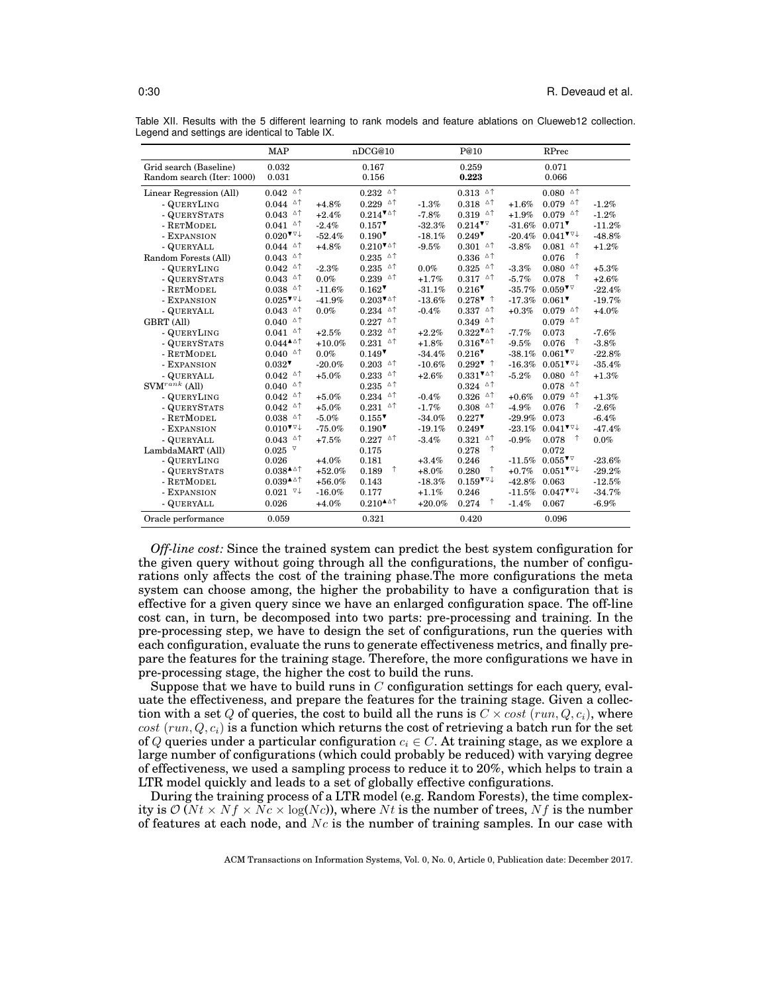|                            | <b>MAP</b>                                              |           | nDCG@10                                                        |          | P@10                                               |          | RPrec                                                                      |          |
|----------------------------|---------------------------------------------------------|-----------|----------------------------------------------------------------|----------|----------------------------------------------------|----------|----------------------------------------------------------------------------|----------|
| Grid search (Baseline)     | 0.032                                                   |           | 0.167                                                          |          | 0.259                                              |          | 0.071                                                                      |          |
| Random search (Iter: 1000) | 0.031                                                   |           | 0.156                                                          |          | 0.223                                              |          | 0.066                                                                      |          |
| Linear Regression (All)    | $0.042$ $^{\circ}$ $^{\circ}$                           |           | $0.232$ $^{\circ}$ $^{\circ}$                                  |          | $0.313$ ^^                                         |          | $0.080$ <sup><math>\triangle</math><math>\uparrow</math></sup>             |          |
| - QUERYLING                | $0.044$ $\circ$ $\uparrow$                              | $+4.8%$   | $0.229$ $^{\circ}$                                             | $-1.3%$  | $0.318$ $\circ$ <sup><math>\uparrow</math></sup>   | $+1.6%$  | $0.079$ <sup><math>\triangle</math>↑</sup>                                 | $-1.2%$  |
| - QUERYSTATS               | $0.043$ ^^                                              | $+2.4%$   | $0.214$ <sup>V<math>\triangle</math></sup>                     | $-7.8%$  | $0.319$ <sup><math>\triangle</math>↑</sup>         | $+1.9%$  | $0.079$ <sup><math>\triangle</math><math>\uparrow</math></sup>             | $-1.2%$  |
| - RETMODEL                 | $0.041$ <sup><math>\triangle</math>↑</sup>              | $-2.4%$   | $0.157$ <sup>V</sup>                                           | $-32.3%$ | $0.214$ <sup>V<math>\triangledown</math></sup>     | $-31.6%$ | $0.071$ <sup>V</sup>                                                       | $-11.2%$ |
| - EXPANSION                | $0.020$ <sup><math>\triangledown\downarrow</math></sup> | $-52.4%$  | $0.190$ <sup><math>\triangledown</math></sup>                  | $-18.1%$ | 0.249                                              | $-20.4%$ | $0.041$ <sup><math>\triangledown\downarrow</math></sup>                    | $-48.8%$ |
| - QUERYALL                 | $0.044$ <sup><math>\triangle</math>↑</sup>              | $+4.8%$   | $0.210$ <sup>V<math>\triangle</math></sup>                     | $-9.5%$  | $0.301$ <sup><math>\triangle</math>↑</sup>         | $-3.8%$  | $0.081$ <sup><math>\triangle</math>↑</sup>                                 | $+1.2%$  |
| Random Forests (All)       | $0.043$ $\circ$ $\uparrow$                              |           | $0.235$ $\circ$ $\uparrow$                                     |          | $0.336$ <sup><math>\triangle</math>↑</sup>         |          | $\uparrow$<br>0.076                                                        |          |
| - QUERYLING                | $0.042$ <sup><math>\triangle \uparrow</math></sup>      | $-2.3%$   | $0.235$ $\circ$ $\uparrow$                                     | $0.0\%$  | $0.325$ $\circ$ $\uparrow$                         | $-3.3%$  | $0.080$ ^^                                                                 | $+5.3%$  |
| - QUERYSTATS               | $0.043$ <sup><math>\triangle</math>↑</sup>              | $0.0\%$   | $0.239$ <sup><math>\triangle</math>↑</sup>                     | $+1.7%$  | $0.317$ $\circ$ $\uparrow$                         | $-5.7%$  | $\uparrow$<br>0.078                                                        | $+2.6%$  |
| - RETMODEL                 | $0.038$ $\triangle$ $\uparrow$                          | $-11.6%$  | 0.162                                                          | $-31.1%$ | 0.216                                              | $-35.7%$ | $0.059$ <sup>V<math>\triangledown</math></sup>                             | $-22.4%$ |
| - EXPANSION                | $0.025$ <sup>V<math>\triangledown</math></sup>          | $-41.9%$  | $0.203$ <sup>VA</sup> <sup>1</sup>                             | $-13.6%$ | $0.2787$ <sup>↑</sup>                              | $-17.3%$ | $0.061$ <sup>V</sup>                                                       | $-19.7%$ |
| - QUERYALL                 | $0.043$ ^^                                              | $0.0\%$   | $0.234$ $\circ$ $\uparrow$                                     | $-0.4%$  | $0.337$ ^^                                         | $+0.3%$  | $0.079$ <sup><math>\triangle</math>↑</sup>                                 | $+4.0%$  |
| GBRT (All)                 | $0.040$ <sup><math>\triangle</math></sup>               |           | $0.227$ $\circ$ $\uparrow$                                     |          | $0.349$ <sup><math>\triangle</math>↑</sup>         |          | $0.079$ <sup><math>\triangle</math>†</sup>                                 |          |
| - QUERYLING                | $0.041$ <sup><math>\triangle</math>↑</sup>              | $+2.5%$   | $0.232$ $\circ$ $\uparrow$                                     | $+2.2%$  | $0.322$ <sup>V<math>\triangle</math></sup>         | $-7.7%$  | 0.073                                                                      | $-7.6%$  |
| - QUERYSTATS               | $0.044^{\triangle}\text{A}$                             | $+10.0%$  | $0.231$ <sup><math>\triangle</math>↑</sup>                     | $+1.8%$  | $0.316$ <sup>V<math>\triangle</math></sup>         | $-9.5%$  | 0.076                                                                      | $-3.8%$  |
| - RETMODEL                 | $0.040$ <sup><math>\triangle</math>†</sup>              | $0.0\%$   | $0.149$ <sup>V</sup>                                           | $-34.4%$ | $0.216$ <sup>V</sup>                               | $-38.1%$ | $0.061$ <sup>V</sup>                                                       | $-22.8%$ |
| - EXPANSION                | $0.032$ <sup>V</sup>                                    | $-20.0%$  | $0.203$ <sup><math>\triangle</math><math>\uparrow</math></sup> | $-10.6%$ | $0.292$ <sup><math>\tau</math></sup> <sup>↑</sup>  | $-16.3%$ | $0.051$ <sup>V<math>\triangledown</math></sup>                             | $-35.4%$ |
| - QUERYALL                 | $0.042$ <sup><math>\triangle</math>↑</sup>              | $+5.0%$   | $0.233$ $\triangle$ $\uparrow$                                 | $+2.6%$  | $0.331$ <sup>V<math>\triangle</math></sup>         | $-5.2%$  | $0.080$ <sup><math>\triangle</math><math>\uparrow</math></sup>             | $+1.3%$  |
| $\text{SVM}^{rank}$ (All)  | $0.040$ <sup><math>\triangle</math>†</sup>              |           | $0.235$ $\triangle$ $\uparrow$                                 |          | $0.324$ <sup><math>\triangle</math></sup>          |          | $0.078$ <sup><math>\triangle</math></sup> <sup><math>\uparrow</math></sup> |          |
| - QUERYLING                | $0.042$ <sup><math>\triangle</math>↑</sup>              | $+5.0%$   | $0.234$ <sup><math>\triangle</math>↑</sup>                     | $-0.4%$  | $0.326$ <sup><math>\triangle</math>↑</sup>         | $+0.6%$  | $0.079$ <sup><math>\triangle</math>↑</sup>                                 | $+1.3%$  |
| - QUERYSTATS               | $0.042$ <sup><math>\triangle</math>↑</sup>              | $+5.0%$   | $0.231$ $\circ$ <sup><math>\uparrow</math></sup>               | $-1.7%$  | $0.308$ <sup><math>\triangle</math>↑</sup>         | $-4.9%$  | $\uparrow$<br>0.076                                                        | $-2.6%$  |
| - RETMODEL                 | $0.038$ <sup><math>\triangle</math>↑</sup>              | $-5.0%$   | $0.155$ <sup>V</sup>                                           | $-34.0%$ | 0.227                                              | $-29.9%$ | 0.073                                                                      | $-6.4%$  |
| - EXPANSION                | $0.010$ <sup><math>\triangledown\downarrow</math></sup> | $-75.0%$  | $0.190$ <sup><math>\triangledown</math></sup>                  | $-19.1%$ | 0.249                                              | $-23.1%$ | $0.041$ <sup><math>\triangledown\downarrow</math></sup>                    | $-47.4%$ |
| - QUERYALL                 | $0.043$ <sup><math>\triangle</math>↑</sup>              | $+7.5%$   | $0.227$ $\circ$ $\uparrow$                                     | $-3.4%$  | $0.321$ ^^                                         | $-0.9%$  | $\uparrow$<br>0.078                                                        | $0.0\%$  |
| LambdaMART (All)           | $0.025$ $^{\nabla}$                                     |           | 0.175                                                          |          | $\uparrow$<br>0.278                                |          | 0.072                                                                      |          |
| - QUERYLING                | 0.026                                                   | $+4.0%$   | 0.181                                                          | $+3.4%$  | 0.246                                              | $-11.5%$ | $0.055$ <sup>V</sup>                                                       | $-23.6%$ |
| - QUERYSTATS               | $0.038^{\text{A}\Delta\uparrow}$                        | $+52.0%$  | ↑<br>0.189                                                     | $+8.0\%$ | ↑<br>0.280                                         | $+0.7%$  | $0.051$ <sup>V<math>\triangledown</math></sup>                             | $-29.2%$ |
| - RETMODEL                 | $0.039^{\blacktriangle\triangle\uparrow}$               | $+56.0%$  | 0.143                                                          | $-18.3%$ | $0.159$ <sup>V<math>\forall\downarrow</math></sup> | $-42.8%$ | 0.063                                                                      | $-12.5%$ |
| - EXPANSION                | $0.021$ $\sqrt{4}$                                      | $-16.0\%$ | 0.177                                                          | $+1.1%$  | 0.246                                              | $-11.5%$ | $0.047$ <sup><math>\triangledown\downarrow</math></sup>                    | $-34.7%$ |
| - QUERYALL                 | 0.026                                                   | $+4.0%$   | $0.210^{\text{A}\Delta\uparrow}$                               | $+20.0%$ | 0.274<br>↑                                         | $-1.4%$  | 0.067                                                                      | $-6.9\%$ |
| Oracle performance         | 0.059                                                   |           | 0.321                                                          |          | 0.420                                              |          | 0.096                                                                      |          |

Table XII. Results with the 5 different learning to rank models and feature ablations on Clueweb12 collection. Legend and settings are identical to Table IX.

*Off-line cost:* Since the trained system can predict the best system configuration for the given query without going through all the configurations, the number of configurations only affects the cost of the training phase.The more configurations the meta system can choose among, the higher the probability to have a configuration that is effective for a given query since we have an enlarged configuration space. The off-line cost can, in turn, be decomposed into two parts: pre-processing and training. In the pre-processing step, we have to design the set of configurations, run the queries with each configuration, evaluate the runs to generate effectiveness metrics, and finally prepare the features for the training stage. Therefore, the more configurations we have in pre-processing stage, the higher the cost to build the runs.

Suppose that we have to build runs in  $C$  configuration settings for each query, evaluate the effectiveness, and prepare the features for the training stage. Given a collection with a set Q of queries, the cost to build all the runs is  $C \times \text{cost}(run, Q, c_i)$ , where  $cost (run, Q, c_i)$  is a function which returns the cost of retrieving a batch run for the set of Q queries under a particular configuration  $c_i \in C$ . At training stage, as we explore a large number of configurations (which could probably be reduced) with varying degree of effectiveness, we used a sampling process to reduce it to 20%, which helps to train a LTR model quickly and leads to a set of globally effective configurations.

During the training process of a LTR model (e.g. Random Forests), the time complexity is  $\mathcal{O}(N t \times N f \times N c \times \log(N c))$ , where Nt is the number of trees, Nf is the number of features at each node, and  $Nc$  is the number of training samples. In our case with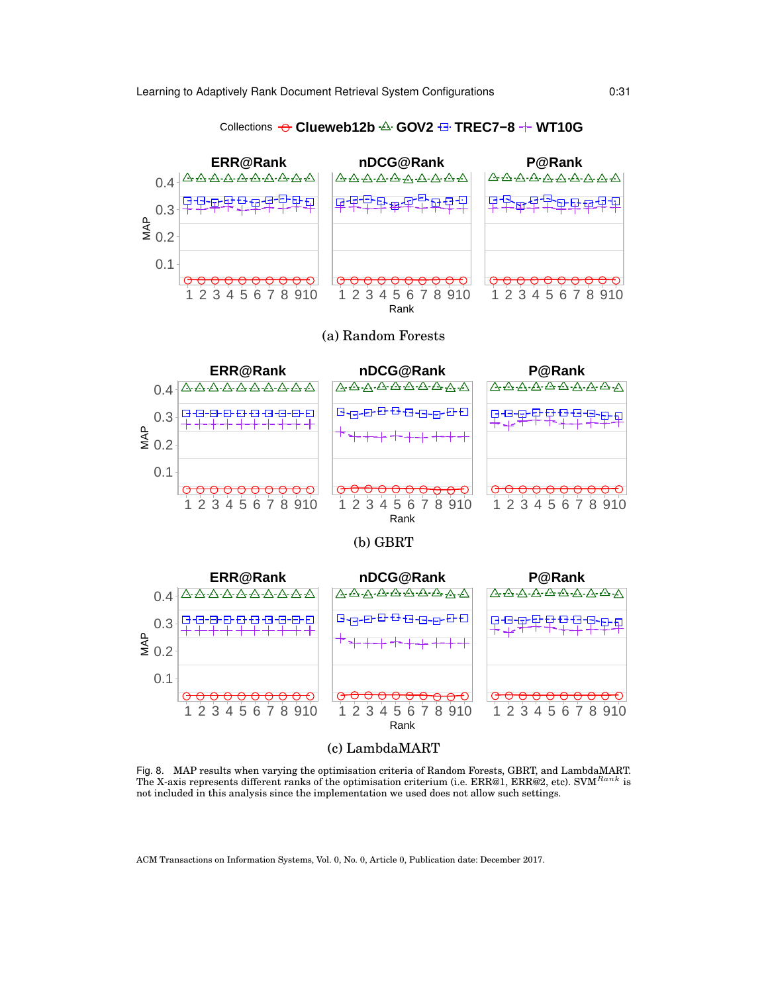

## Collections ● **Clueweb12b GOV2 TREC7−8 WT10G**

Fig. 8. MAP results when varying the optimisation criteria of Random Forests, GBRT, and LambdaMART. The X-axis represents different ranks of the optimisation criterium (i.e.  $ERR@1, ERR@2, etc.$ ). SVM  $Rank$  is not included in this analysis since the implementation we used does not allow such settings.

(c) LambdaMART

● ● ● ● ● ● ● ● ● ● ● ● ● ● ● ● ● ● ● ● ● ● ● ● ● ● ● ● ● ●

1 2 3 4 5 6 7 8 910 1 2 3 4 5 6 7 8 910 1 2 3 4 5 6 7 8 910

Rank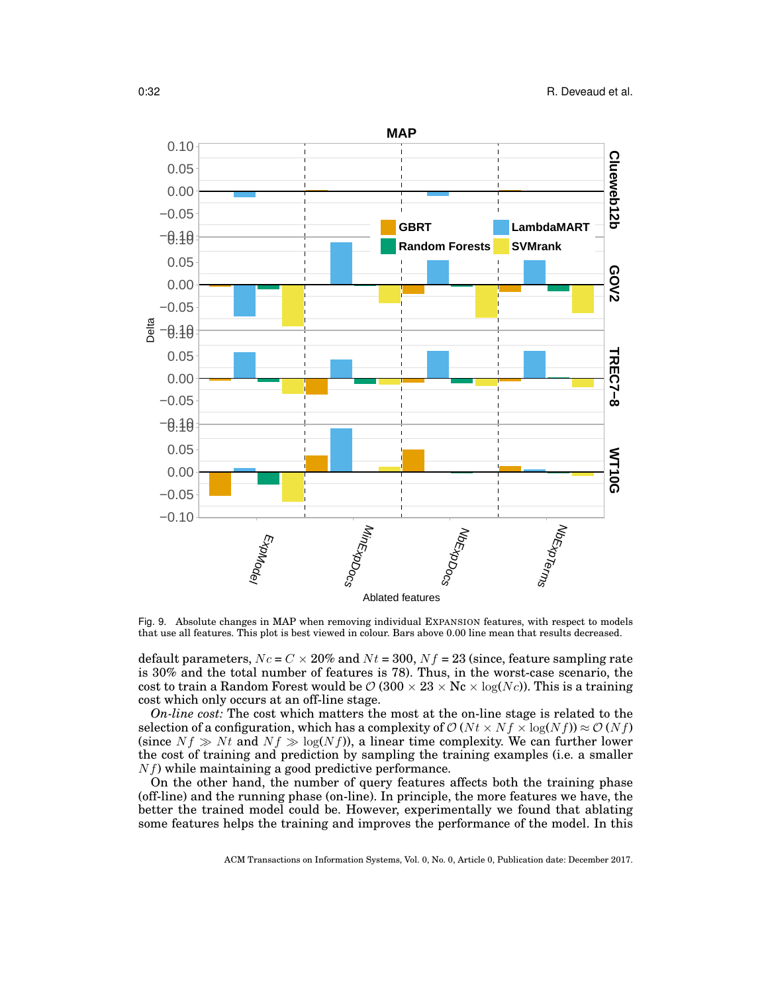

Fig. 9. Absolute changes in MAP when removing individual EXPANSION features, with respect to models that use all features. This plot is best viewed in colour. Bars above 0.00 line mean that results decreased.

default parameters,  $N_c = C \times 20\%$  and  $N_t = 300$ ,  $N_f = 23$  (since, feature sampling rate is 30% and the total number of features is 78). Thus, in the worst-case scenario, the cost to train a Random Forest would be  $\mathcal{O}(300 \times 23 \times N_c \times \log(N_c))$ . This is a training cost which only occurs at an off-line stage.

*On-line cost:* The cost which matters the most at the on-line stage is related to the selection of a configuration, which has a complexity of  $\mathcal{O}(N t \times N f \times \log(N f)) \approx \mathcal{O}(N f)$ (since  $Nf \gg Nt$  and  $Nf \gg \log(Nf)$ ), a linear time complexity. We can further lower the cost of training and prediction by sampling the training examples (i.e. a smaller  $N_f$ ) while maintaining a good predictive performance.

On the other hand, the number of query features affects both the training phase (off-line) and the running phase (on-line). In principle, the more features we have, the better the trained model could be. However, experimentally we found that ablating some features helps the training and improves the performance of the model. In this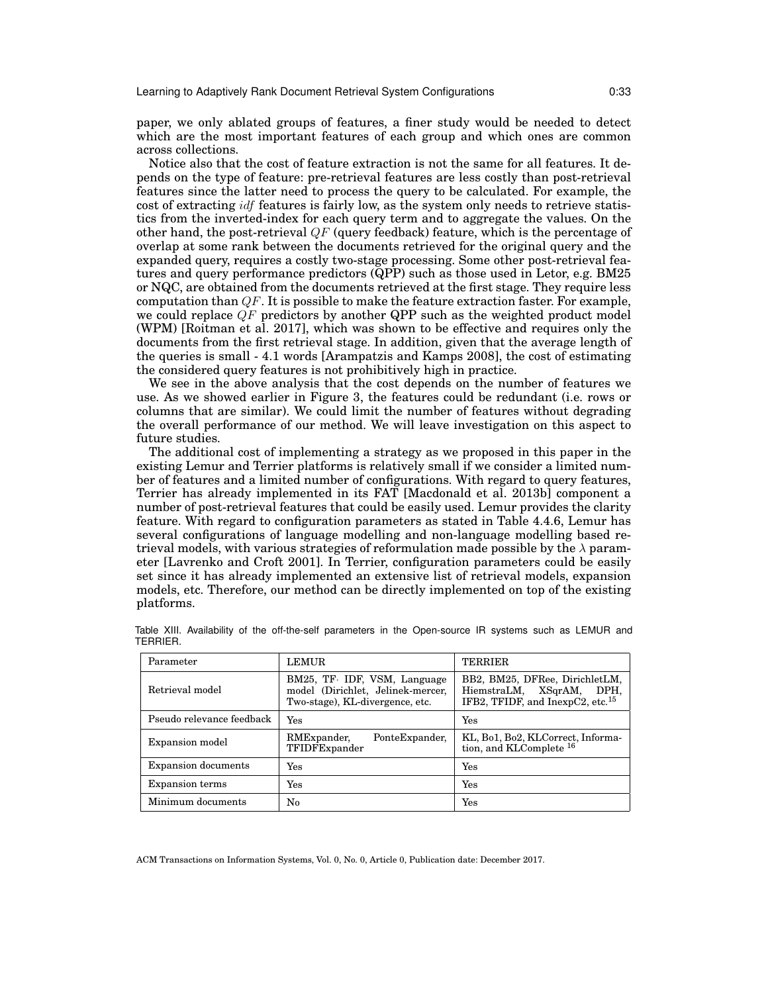Learning to Adaptively Rank Document Retrieval System Configurations 0:33

paper, we only ablated groups of features, a finer study would be needed to detect which are the most important features of each group and which ones are common across collections.

Notice also that the cost of feature extraction is not the same for all features. It depends on the type of feature: pre-retrieval features are less costly than post-retrieval features since the latter need to process the query to be calculated. For example, the cost of extracting idf features is fairly low, as the system only needs to retrieve statistics from the inverted-index for each query term and to aggregate the values. On the other hand, the post-retrieval  $QF$  (query feedback) feature, which is the percentage of overlap at some rank between the documents retrieved for the original query and the expanded query, requires a costly two-stage processing. Some other post-retrieval features and query performance predictors (QPP) such as those used in Letor, e.g. BM25 or NQC, are obtained from the documents retrieved at the first stage. They require less computation than  $QF$ . It is possible to make the feature extraction faster. For example, we could replace  $QF$  predictors by another QPP such as the weighted product model (WPM) [Roitman et al. 2017], which was shown to be effective and requires only the documents from the first retrieval stage. In addition, given that the average length of the queries is small - 4.1 words [Arampatzis and Kamps 2008], the cost of estimating the considered query features is not prohibitively high in practice.

We see in the above analysis that the cost depends on the number of features we use. As we showed earlier in Figure 3, the features could be redundant (i.e. rows or columns that are similar). We could limit the number of features without degrading the overall performance of our method. We will leave investigation on this aspect to future studies.

The additional cost of implementing a strategy as we proposed in this paper in the existing Lemur and Terrier platforms is relatively small if we consider a limited number of features and a limited number of configurations. With regard to query features, Terrier has already implemented in its FAT [Macdonald et al. 2013b] component a number of post-retrieval features that could be easily used. Lemur provides the clarity feature. With regard to configuration parameters as stated in Table 4.4.6, Lemur has several configurations of language modelling and non-language modelling based retrieval models, with various strategies of reformulation made possible by the  $\lambda$  parameter [Lavrenko and Croft 2001]. In Terrier, configuration parameters could be easily set since it has already implemented an extensive list of retrieval models, expansion models, etc. Therefore, our method can be directly implemented on top of the existing platforms.

| Parameter                  | <b>LEMUR</b>                                                                                         | <b>TERRIER</b>                                                                                             |
|----------------------------|------------------------------------------------------------------------------------------------------|------------------------------------------------------------------------------------------------------------|
| Retrieval model            | BM25, TF. IDF, VSM, Language<br>model (Dirichlet, Jelinek-mercer,<br>Two-stage), KL-divergence, etc. | BB2, BM25, DFRee, DirichletLM,<br>HiemstraLM, XSqrAM, DPH,<br>IFB2, TFIDF, and InexpC2, etc. <sup>15</sup> |
| Pseudo relevance feedback  | Yes                                                                                                  | Yes                                                                                                        |
| Expansion model            | RMExpander,<br>PonteExpander,<br>TFIDFExpander                                                       | KL, Bo1, Bo2, KLCorrect, Informa-<br>tion, and KLComplete $^{16}$                                          |
| <b>Expansion documents</b> | Yes                                                                                                  | Yes                                                                                                        |
| <b>Expansion terms</b>     | Yes                                                                                                  | Yes                                                                                                        |
| Minimum documents          | No                                                                                                   | Yes                                                                                                        |

Table XIII. Availability of the off-the-self parameters in the Open-source IR systems such as LEMUR and TERRIER.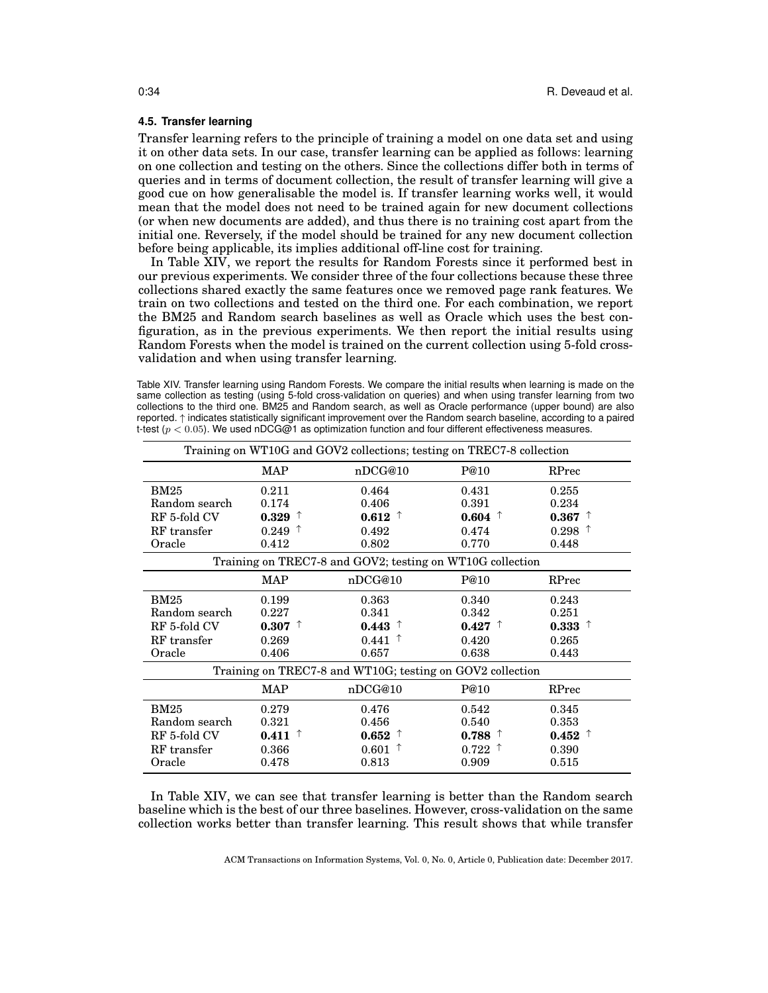## **4.5. Transfer learning**

Transfer learning refers to the principle of training a model on one data set and using it on other data sets. In our case, transfer learning can be applied as follows: learning on one collection and testing on the others. Since the collections differ both in terms of queries and in terms of document collection, the result of transfer learning will give a good cue on how generalisable the model is. If transfer learning works well, it would mean that the model does not need to be trained again for new document collections (or when new documents are added), and thus there is no training cost apart from the initial one. Reversely, if the model should be trained for any new document collection before being applicable, its implies additional off-line cost for training.

In Table XIV, we report the results for Random Forests since it performed best in our previous experiments. We consider three of the four collections because these three collections shared exactly the same features once we removed page rank features. We train on two collections and tested on the third one. For each combination, we report the BM25 and Random search baselines as well as Oracle which uses the best configuration, as in the previous experiments. We then report the initial results using Random Forests when the model is trained on the current collection using 5-fold crossvalidation and when using transfer learning.

Table XIV. Transfer learning using Random Forests. We compare the initial results when learning is made on the same collection as testing (using 5-fold cross-validation on queries) and when using transfer learning from two collections to the third one. BM25 and Random search, as well as Oracle performance (upper bound) are also reported. ↑ indicates statistically significant improvement over the Random search baseline, according to a paired t-test ( $p < 0.05$ ). We used nDCG@1 as optimization function and four different effectiveness measures.

|                                                           |                      | Training on WT10G and GOV2 collections; testing on TREC7-8 collection |                                          |                      |
|-----------------------------------------------------------|----------------------|-----------------------------------------------------------------------|------------------------------------------|----------------------|
|                                                           | <b>MAP</b>           | nDCG@10                                                               | P@10                                     | RPrec                |
| BM25                                                      | 0.211                | 0.464                                                                 | 0.431                                    | 0.255                |
| Random search                                             | 0.174                | 0.406                                                                 | 0.391                                    | 0.234                |
| RF 5-fold CV                                              | $0.329$ <sup>T</sup> | 0.612<br>$\tau$                                                       | $0.604$ <sup>↑</sup>                     | 0.367<br>T           |
| RF transfer                                               | $0.249$ <sup>↑</sup> | 0.492                                                                 | 0.474                                    | $0.298$ <sup>↑</sup> |
| Oracle                                                    | 0.412                | 0.802                                                                 | 0.770                                    | 0.448                |
|                                                           |                      | Training on TREC7-8 and GOV2; testing on WT10G collection             |                                          |                      |
|                                                           | <b>MAP</b>           | nDCG@10                                                               | P@10                                     | RPrec                |
| <b>BM25</b>                                               | 0.199                | 0.363                                                                 | 0.340                                    | 0.243                |
| Random search                                             | 0.227                | 0.341                                                                 | 0.342                                    | 0.251                |
| RF 5-fold CV                                              | $0.307$ <sup>↑</sup> | 0.443                                                                 | $0.427$ <sup>↑</sup>                     | $0.333$ <sup>↑</sup> |
| RF transfer                                               | 0.269                | 0.441                                                                 | 0.420                                    | 0.265                |
| Oracle                                                    | 0.406                | 0.657                                                                 | 0.638                                    | 0.443                |
| Training on TREC7-8 and WT10G; testing on GOV2 collection |                      |                                                                       |                                          |                      |
|                                                           | <b>MAP</b>           | nDCG@10                                                               | P@10                                     | RPrec                |
| <b>BM25</b>                                               | 0.279                | 0.476                                                                 | 0.542                                    | 0.345                |
| Random search                                             | 0.321                | 0.456                                                                 | 0.540                                    | 0.353                |
| RF 5-fold CV                                              | $0.411$ $\uparrow$   | 0.652                                                                 | $0.788$ $\uparrow$                       | $0.452$ <sup>↑</sup> |
| RF transfer                                               | 0.366                | 0.601                                                                 | $0.722$ <sup><math>\uparrow</math></sup> | 0.390                |
| Oracle                                                    | 0.478                | 0.813                                                                 | 0.909                                    | 0.515                |

In Table XIV, we can see that transfer learning is better than the Random search baseline which is the best of our three baselines. However, cross-validation on the same collection works better than transfer learning. This result shows that while transfer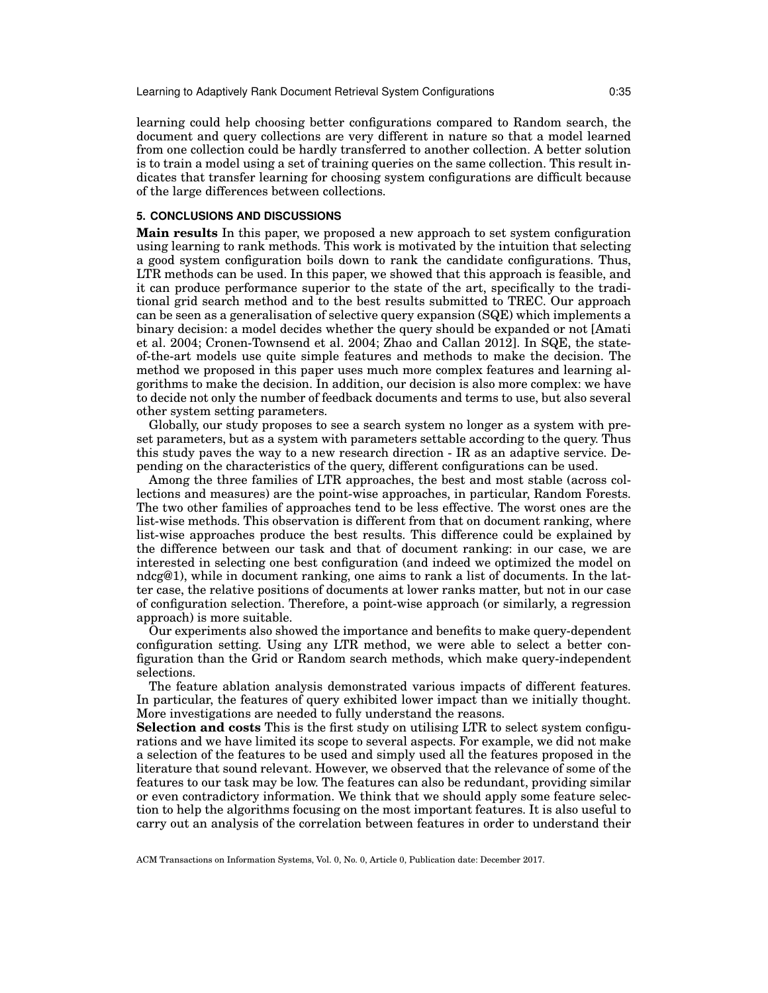learning could help choosing better configurations compared to Random search, the document and query collections are very different in nature so that a model learned from one collection could be hardly transferred to another collection. A better solution is to train a model using a set of training queries on the same collection. This result indicates that transfer learning for choosing system configurations are difficult because of the large differences between collections.

### **5. CONCLUSIONS AND DISCUSSIONS**

**Main results** In this paper, we proposed a new approach to set system configuration using learning to rank methods. This work is motivated by the intuition that selecting a good system configuration boils down to rank the candidate configurations. Thus, LTR methods can be used. In this paper, we showed that this approach is feasible, and it can produce performance superior to the state of the art, specifically to the traditional grid search method and to the best results submitted to TREC. Our approach can be seen as a generalisation of selective query expansion (SQE) which implements a binary decision: a model decides whether the query should be expanded or not [Amati et al. 2004; Cronen-Townsend et al. 2004; Zhao and Callan 2012]. In SQE, the stateof-the-art models use quite simple features and methods to make the decision. The method we proposed in this paper uses much more complex features and learning algorithms to make the decision. In addition, our decision is also more complex: we have to decide not only the number of feedback documents and terms to use, but also several other system setting parameters.

Globally, our study proposes to see a search system no longer as a system with preset parameters, but as a system with parameters settable according to the query. Thus this study paves the way to a new research direction - IR as an adaptive service. Depending on the characteristics of the query, different configurations can be used.

Among the three families of LTR approaches, the best and most stable (across collections and measures) are the point-wise approaches, in particular, Random Forests. The two other families of approaches tend to be less effective. The worst ones are the list-wise methods. This observation is different from that on document ranking, where list-wise approaches produce the best results. This difference could be explained by the difference between our task and that of document ranking: in our case, we are interested in selecting one best configuration (and indeed we optimized the model on ndcg@1), while in document ranking, one aims to rank a list of documents. In the latter case, the relative positions of documents at lower ranks matter, but not in our case of configuration selection. Therefore, a point-wise approach (or similarly, a regression approach) is more suitable.

Our experiments also showed the importance and benefits to make query-dependent configuration setting. Using any LTR method, we were able to select a better configuration than the Grid or Random search methods, which make query-independent selections.

The feature ablation analysis demonstrated various impacts of different features. In particular, the features of query exhibited lower impact than we initially thought. More investigations are needed to fully understand the reasons.

**Selection and costs** This is the first study on utilising LTR to select system configurations and we have limited its scope to several aspects. For example, we did not make a selection of the features to be used and simply used all the features proposed in the literature that sound relevant. However, we observed that the relevance of some of the features to our task may be low. The features can also be redundant, providing similar or even contradictory information. We think that we should apply some feature selection to help the algorithms focusing on the most important features. It is also useful to carry out an analysis of the correlation between features in order to understand their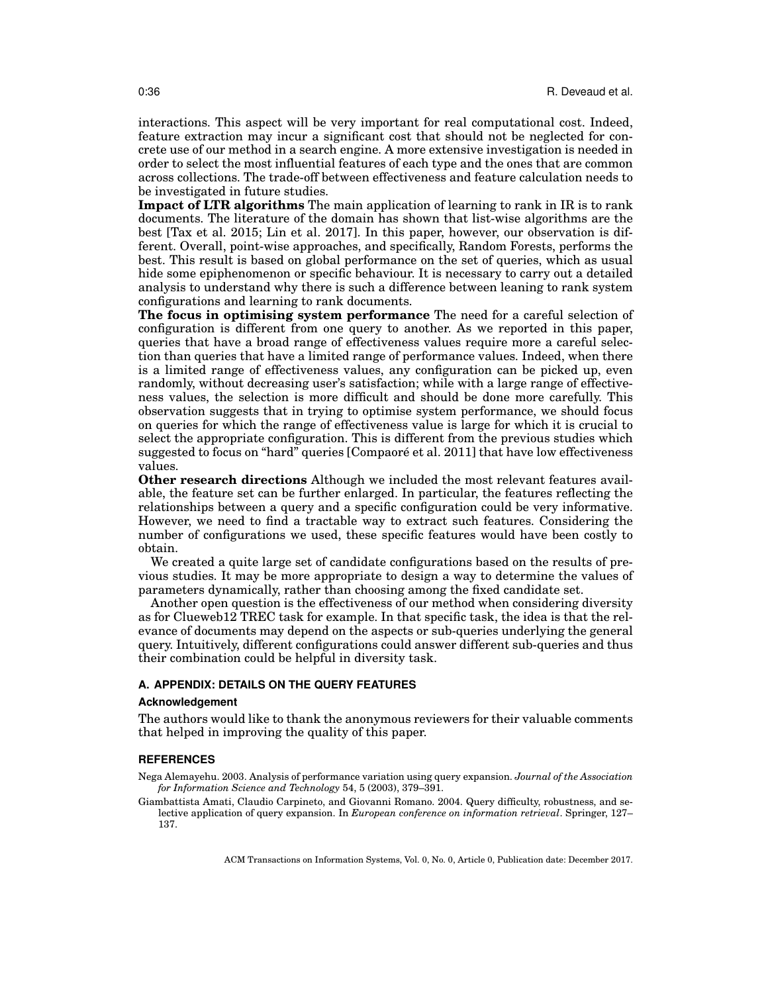interactions. This aspect will be very important for real computational cost. Indeed, feature extraction may incur a significant cost that should not be neglected for concrete use of our method in a search engine. A more extensive investigation is needed in order to select the most influential features of each type and the ones that are common across collections. The trade-off between effectiveness and feature calculation needs to be investigated in future studies.

**Impact of LTR algorithms** The main application of learning to rank in IR is to rank documents. The literature of the domain has shown that list-wise algorithms are the best [Tax et al. 2015; Lin et al. 2017]. In this paper, however, our observation is different. Overall, point-wise approaches, and specifically, Random Forests, performs the best. This result is based on global performance on the set of queries, which as usual hide some epiphenomenon or specific behaviour. It is necessary to carry out a detailed analysis to understand why there is such a difference between leaning to rank system configurations and learning to rank documents.

**The focus in optimising system performance** The need for a careful selection of configuration is different from one query to another. As we reported in this paper, queries that have a broad range of effectiveness values require more a careful selection than queries that have a limited range of performance values. Indeed, when there is a limited range of effectiveness values, any configuration can be picked up, even randomly, without decreasing user's satisfaction; while with a large range of effectiveness values, the selection is more difficult and should be done more carefully. This observation suggests that in trying to optimise system performance, we should focus on queries for which the range of effectiveness value is large for which it is crucial to select the appropriate configuration. This is different from the previous studies which suggested to focus on "hard" queries [Compaoré et al. 2011] that have low effectiveness values.

**Other research directions** Although we included the most relevant features available, the feature set can be further enlarged. In particular, the features reflecting the relationships between a query and a specific configuration could be very informative. However, we need to find a tractable way to extract such features. Considering the number of configurations we used, these specific features would have been costly to obtain.

We created a quite large set of candidate configurations based on the results of previous studies. It may be more appropriate to design a way to determine the values of parameters dynamically, rather than choosing among the fixed candidate set.

Another open question is the effectiveness of our method when considering diversity as for Clueweb12 TREC task for example. In that specific task, the idea is that the relevance of documents may depend on the aspects or sub-queries underlying the general query. Intuitively, different configurations could answer different sub-queries and thus their combination could be helpful in diversity task.

## **A. APPENDIX: DETAILS ON THE QUERY FEATURES**

#### **Acknowledgement**

The authors would like to thank the anonymous reviewers for their valuable comments that helped in improving the quality of this paper.

#### **REFERENCES**

Nega Alemayehu. 2003. Analysis of performance variation using query expansion. *Journal of the Association for Information Science and Technology* 54, 5 (2003), 379–391.

Giambattista Amati, Claudio Carpineto, and Giovanni Romano. 2004. Query difficulty, robustness, and selective application of query expansion. In *European conference on information retrieval*. Springer, 127– 137.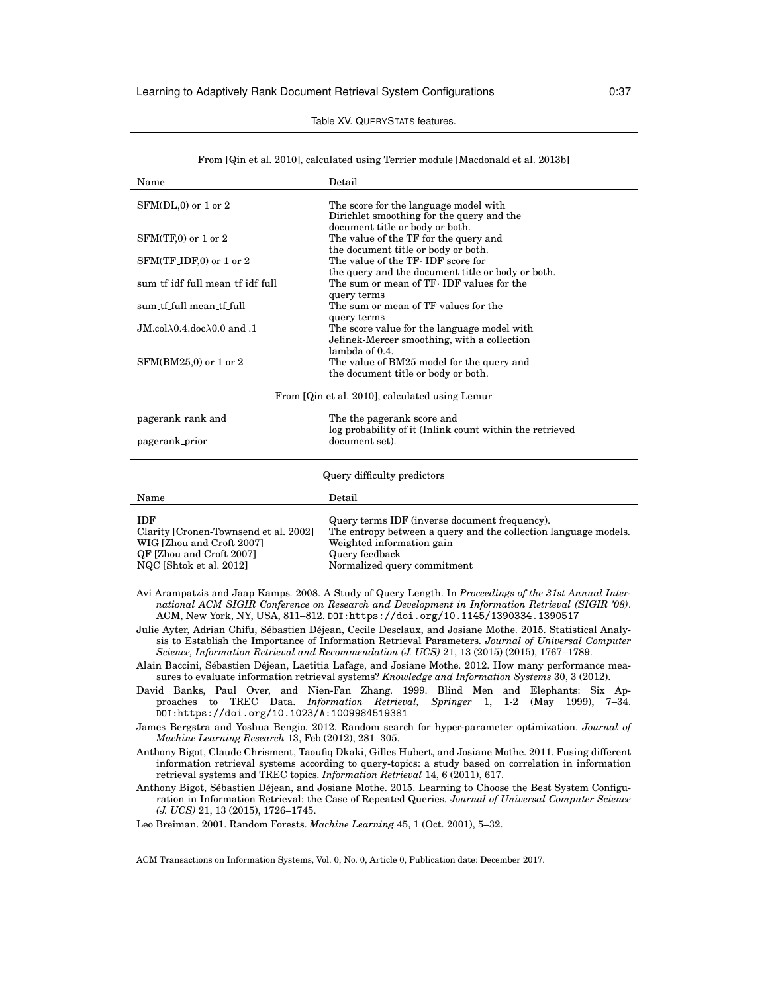## Table XV. QUERYSTATS features.

| From [Qin et al. 2010], calculated using Terrier module [Macdonald et al. 2013b] |  |  |  |  |
|----------------------------------------------------------------------------------|--|--|--|--|
|----------------------------------------------------------------------------------|--|--|--|--|

| Name                                                                                                                                    | Detail                                                                                                                                                                                         |
|-----------------------------------------------------------------------------------------------------------------------------------------|------------------------------------------------------------------------------------------------------------------------------------------------------------------------------------------------|
| $SFM(DL,0)$ or 1 or 2                                                                                                                   | The score for the language model with<br>Dirichlet smoothing for the query and the                                                                                                             |
| $SFM(TF,0)$ or 1 or 2                                                                                                                   | document title or body or both.<br>The value of the TF for the query and<br>the document title or body or both.                                                                                |
| $SFM(TF_\text{IDF,0})$ or 1 or 2                                                                                                        | The value of the TF. IDF score for<br>the query and the document title or body or both.                                                                                                        |
| sum tf idf full mean tf idf full                                                                                                        | The sum or mean of TF. IDF values for the<br>query terms                                                                                                                                       |
| sum_tf_full mean_tf_full                                                                                                                | The sum or mean of TF values for the<br>query terms                                                                                                                                            |
| JM.col $\lambda$ 0.4.doc $\lambda$ 0.0 and .1                                                                                           | The score value for the language model with<br>Jelinek-Mercer smoothing, with a collection                                                                                                     |
| $SFM(BM25,0)$ or 1 or 2                                                                                                                 | lambda of 0.4.<br>The value of BM25 model for the query and<br>the document title or body or both.                                                                                             |
|                                                                                                                                         | From [Qin et al. 2010], calculated using Lemur                                                                                                                                                 |
| pagerank_rank and                                                                                                                       | The the pagerank score and                                                                                                                                                                     |
| pagerank_prior                                                                                                                          | log probability of it (Inlink count within the retrieved<br>document set).                                                                                                                     |
|                                                                                                                                         | Query difficulty predictors                                                                                                                                                                    |
| Name                                                                                                                                    | Detail                                                                                                                                                                                         |
| <b>IDF</b><br>Clarity [Cronen-Townsend et al. 2002]<br>WIG [Zhou and Croft 2007]<br>QF [Zhou and Croft 2007]<br>NQC [Shtok et al. 2012] | Query terms IDF (inverse document frequency).<br>The entropy between a query and the collection language models.<br>Weighted information gain<br>Query feedback<br>Normalized query commitment |

Avi Arampatzis and Jaap Kamps. 2008. A Study of Query Length. In *Proceedings of the 31st Annual International ACM SIGIR Conference on Research and Development in Information Retrieval (SIGIR '08)*. ACM, New York, NY, USA, 811–812. DOI:https://doi.org/10.1145/1390334.1390517

Julie Ayter, Adrian Chifu, Sébastien Déjean, Cecile Desclaux, and Josiane Mothe. 2015. Statistical Analysis to Establish the Importance of Information Retrieval Parameters. *Journal of Universal Computer Science, Information Retrieval and Recommendation (J. UCS)* 21, 13 (2015) (2015), 1767–1789.

- Alain Baccini, Sébastien Déjean, Laetitia Lafage, and Josiane Mothe. 2012. How many performance measures to evaluate information retrieval systems? *Knowledge and Information Systems* 30, 3 (2012).
- David Banks, Paul Over, and Nien-Fan Zhang. 1999. Blind Men and Elephants: Six Approaches to TREC Data. *Information Retrieval, Springer* 1, 1-2 (May 1999), 7–34. DOI:https://doi.org/10.1023/A:1009984519381

Anthony Bigot, Claude Chrisment, Taoufiq Dkaki, Gilles Hubert, and Josiane Mothe. 2011. Fusing different information retrieval systems according to query-topics: a study based on correlation in information retrieval systems and TREC topics. *Information Retrieval* 14, 6 (2011), 617.

Anthony Bigot, Sébastien Déjean, and Josiane Mothe. 2015. Learning to Choose the Best System Configuration in Information Retrieval: the Case of Repeated Queries. *Journal of Universal Computer Science (J. UCS)* 21, 13 (2015), 1726–1745.

Leo Breiman. 2001. Random Forests. *Machine Learning* 45, 1 (Oct. 2001), 5–32.

James Bergstra and Yoshua Bengio. 2012. Random search for hyper-parameter optimization. *Journal of Machine Learning Research* 13, Feb (2012), 281–305.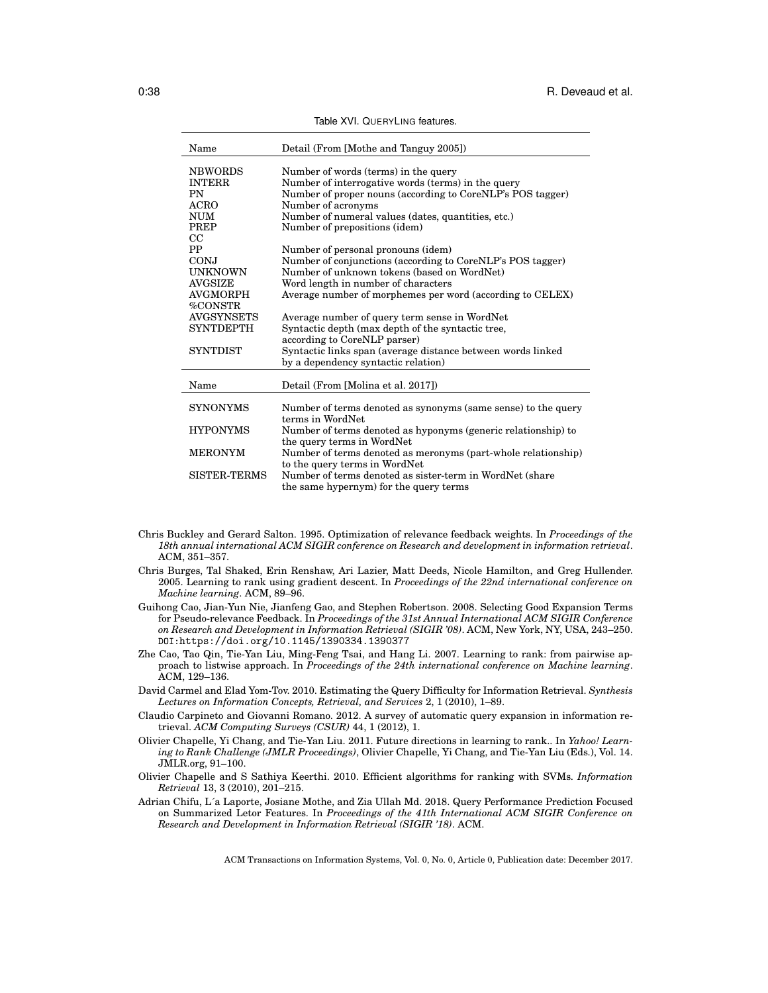| Name              | Detail (From [Mothe and Tanguy 2005])                         |
|-------------------|---------------------------------------------------------------|
| <b>NBWORDS</b>    | Number of words (terms) in the query                          |
| <b>INTERR</b>     | Number of interrogative words (terms) in the query            |
| PN                | Number of proper nouns (according to CoreNLP's POS tagger)    |
| <b>ACRO</b>       | Number of acronyms                                            |
| NUM               | Number of numeral values (dates, quantities, etc.)            |
| <b>PREP</b>       | Number of prepositions (idem)                                 |
| $_{\rm CC}$       |                                                               |
| <b>PP</b>         | Number of personal pronouns (idem)                            |
| <b>CONJ</b>       | Number of conjunctions (according to CoreNLP's POS tagger)    |
| <b>UNKNOWN</b>    | Number of unknown tokens (based on WordNet)                   |
| <b>AVGSIZE</b>    | Word length in number of characters                           |
| <b>AVGMORPH</b>   | Average number of morphemes per word (according to CELEX)     |
| %CONSTR           |                                                               |
| <b>AVGSYNSETS</b> | Average number of query term sense in WordNet                 |
| <b>SYNTDEPTH</b>  | Syntactic depth (max depth of the syntactic tree,             |
|                   | according to CoreNLP parser)                                  |
| <b>SYNTDIST</b>   | Syntactic links span (average distance between words linked)  |
|                   | by a dependency syntactic relation)                           |
|                   |                                                               |
| Name              | Detail (From [Molina et al. 2017])                            |
|                   |                                                               |
| <b>SYNONYMS</b>   | Number of terms denoted as synonyms (same sense) to the query |
|                   | terms in WordNet                                              |
| <b>HYPONYMS</b>   | Number of terms denoted as hyponyms (generic relationship) to |
|                   | the query terms in WordNet                                    |
| <b>MERONYM</b>    | Number of terms denoted as meronyms (part-whole relationship) |
|                   | to the query terms in WordNet                                 |
| SISTER-TERMS      | Number of terms denoted as sister-term in WordNet (share      |
|                   | the same hypernym) for the query terms                        |

Table XVI. QUERYLING features.

- Chris Buckley and Gerard Salton. 1995. Optimization of relevance feedback weights. In *Proceedings of the 18th annual international ACM SIGIR conference on Research and development in information retrieval*. ACM, 351–357.
- Chris Burges, Tal Shaked, Erin Renshaw, Ari Lazier, Matt Deeds, Nicole Hamilton, and Greg Hullender. 2005. Learning to rank using gradient descent. In *Proceedings of the 22nd international conference on Machine learning*. ACM, 89–96.
- Guihong Cao, Jian-Yun Nie, Jianfeng Gao, and Stephen Robertson. 2008. Selecting Good Expansion Terms for Pseudo-relevance Feedback. In *Proceedings of the 31st Annual International ACM SIGIR Conference on Research and Development in Information Retrieval (SIGIR '08)*. ACM, New York, NY, USA, 243–250. DOI:https://doi.org/10.1145/1390334.1390377
- Zhe Cao, Tao Qin, Tie-Yan Liu, Ming-Feng Tsai, and Hang Li. 2007. Learning to rank: from pairwise approach to listwise approach. In *Proceedings of the 24th international conference on Machine learning*. ACM, 129–136.
- David Carmel and Elad Yom-Tov. 2010. Estimating the Query Difficulty for Information Retrieval. *Synthesis Lectures on Information Concepts, Retrieval, and Services* 2, 1 (2010), 1–89.
- Claudio Carpineto and Giovanni Romano. 2012. A survey of automatic query expansion in information retrieval. *ACM Computing Surveys (CSUR)* 44, 1 (2012), 1.
- Olivier Chapelle, Yi Chang, and Tie-Yan Liu. 2011. Future directions in learning to rank.. In *Yahoo! Learning to Rank Challenge (JMLR Proceedings)*, Olivier Chapelle, Yi Chang, and Tie-Yan Liu (Eds.), Vol. 14. JMLR.org, 91–100.
- Olivier Chapelle and S Sathiya Keerthi. 2010. Efficient algorithms for ranking with SVMs. *Information Retrieval* 13, 3 (2010), 201–215.
- Adrian Chifu, L´a Laporte, Josiane Mothe, and Zia Ullah Md. 2018. Query Performance Prediction Focused on Summarized Letor Features. In *Proceedings of the 41th International ACM SIGIR Conference on Research and Development in Information Retrieval (SIGIR '18)*. ACM.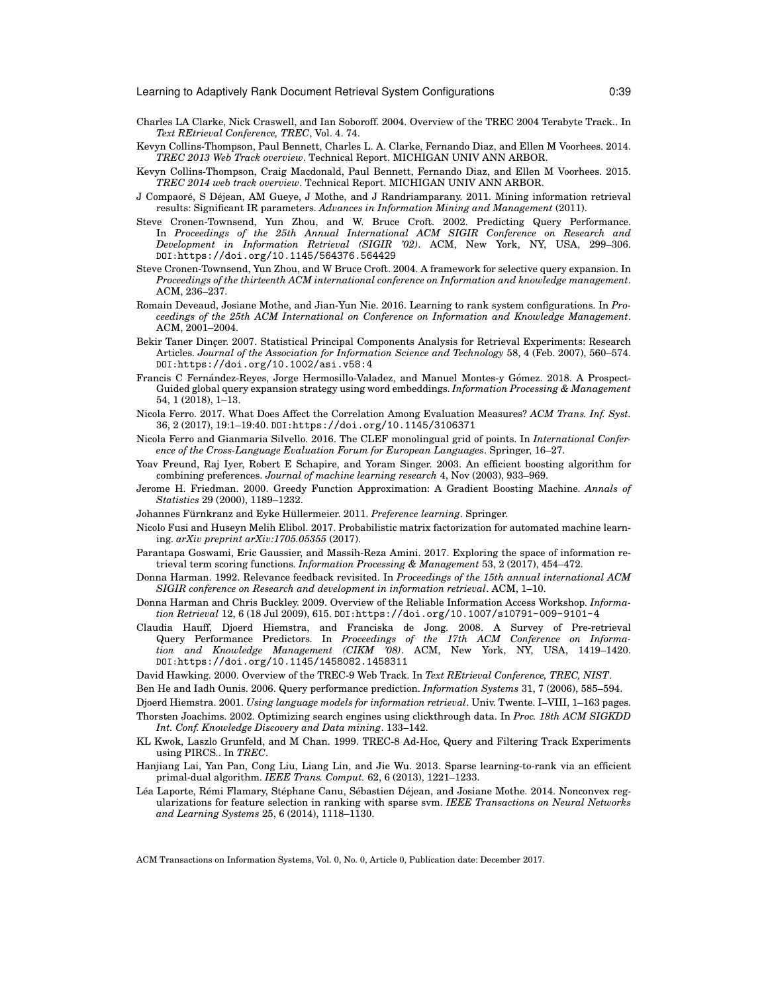- Charles LA Clarke, Nick Craswell, and Ian Soboroff. 2004. Overview of the TREC 2004 Terabyte Track.. In *Text REtrieval Conference, TREC*, Vol. 4. 74.
- Kevyn Collins-Thompson, Paul Bennett, Charles L. A. Clarke, Fernando Diaz, and Ellen M Voorhees. 2014. *TREC 2013 Web Track overview*. Technical Report. MICHIGAN UNIV ANN ARBOR.
- Kevyn Collins-Thompson, Craig Macdonald, Paul Bennett, Fernando Diaz, and Ellen M Voorhees. 2015. *TREC 2014 web track overview*. Technical Report. MICHIGAN UNIV ANN ARBOR.
- J Compaoré, S Déjean, AM Gueye, J Mothe, and J Randriamparany. 2011. Mining information retrieval results: Significant IR parameters. *Advances in Information Mining and Management* (2011).
- Steve Cronen-Townsend, Yun Zhou, and W. Bruce Croft. 2002. Predicting Query Performance. In *Proceedings of the 25th Annual International ACM SIGIR Conference on Research and Development in Information Retrieval (SIGIR '02)*. ACM, New York, NY, USA, 299–306. DOI:https://doi.org/10.1145/564376.564429
- Steve Cronen-Townsend, Yun Zhou, and W Bruce Croft. 2004. A framework for selective query expansion. In *Proceedings of the thirteenth ACM international conference on Information and knowledge management*. ACM, 236–237.
- Romain Deveaud, Josiane Mothe, and Jian-Yun Nie. 2016. Learning to rank system configurations. In *Proceedings of the 25th ACM International on Conference on Information and Knowledge Management*. ACM, 2001–2004.
- Bekir Taner Dincer. 2007. Statistical Principal Components Analysis for Retrieval Experiments: Research Articles. *Journal of the Association for Information Science and Technology* 58, 4 (Feb. 2007), 560–574. DOI:https://doi.org/10.1002/asi.v58:4
- Francis C Fernández-Reyes, Jorge Hermosillo-Valadez, and Manuel Montes-y Gómez. 2018. A Prospect-Guided global query expansion strategy using word embeddings. *Information Processing & Management* 54, 1 (2018), 1–13.
- Nicola Ferro. 2017. What Does Affect the Correlation Among Evaluation Measures? *ACM Trans. Inf. Syst.* 36, 2 (2017), 19:1–19:40. DOI:https://doi.org/10.1145/3106371
- Nicola Ferro and Gianmaria Silvello. 2016. The CLEF monolingual grid of points. In *International Conference of the Cross-Language Evaluation Forum for European Languages*. Springer, 16–27.
- Yoav Freund, Raj Iyer, Robert E Schapire, and Yoram Singer. 2003. An efficient boosting algorithm for combining preferences. *Journal of machine learning research* 4, Nov (2003), 933–969.
- Jerome H. Friedman. 2000. Greedy Function Approximation: A Gradient Boosting Machine. *Annals of Statistics* 29 (2000), 1189–1232.
- Johannes Fürnkranz and Eyke Hüllermeier. 2011. Preference learning. Springer.
- Nicolo Fusi and Huseyn Melih Elibol. 2017. Probabilistic matrix factorization for automated machine learning. *arXiv preprint arXiv:1705.05355* (2017).
- Parantapa Goswami, Eric Gaussier, and Massih-Reza Amini. 2017. Exploring the space of information retrieval term scoring functions. *Information Processing & Management* 53, 2 (2017), 454–472.
- Donna Harman. 1992. Relevance feedback revisited. In *Proceedings of the 15th annual international ACM SIGIR conference on Research and development in information retrieval*. ACM, 1–10.
- Donna Harman and Chris Buckley. 2009. Overview of the Reliable Information Access Workshop. *Information Retrieval* 12, 6 (18 Jul 2009), 615. DOI:https://doi.org/10.1007/s10791-009-9101-4
- Claudia Hauff, Djoerd Hiemstra, and Franciska de Jong. 2008. A Survey of Pre-retrieval Query Performance Predictors. In *Proceedings of the 17th ACM Conference on Information and Knowledge Management (CIKM '08)*. ACM, New York, NY, USA, 1419–1420. DOI:https://doi.org/10.1145/1458082.1458311
- David Hawking. 2000. Overview of the TREC-9 Web Track. In *Text REtrieval Conference, TREC, NIST*.
- Ben He and Iadh Ounis. 2006. Query performance prediction. *Information Systems* 31, 7 (2006), 585–594.
- Djoerd Hiemstra. 2001. *Using language models for information retrieval*. Univ. Twente. I–VIII, 1–163 pages. Thorsten Joachims. 2002. Optimizing search engines using clickthrough data. In *Proc. 18th ACM SIGKDD*
	- *Int. Conf. Knowledge Discovery and Data mining*. 133–142.
- KL Kwok, Laszlo Grunfeld, and M Chan. 1999. TREC-8 Ad-Hoc, Query and Filtering Track Experiments using PIRCS.. In *TREC*.
- Hanjiang Lai, Yan Pan, Cong Liu, Liang Lin, and Jie Wu. 2013. Sparse learning-to-rank via an efficient primal-dual algorithm. *IEEE Trans. Comput.* 62, 6 (2013), 1221–1233.
- Léa Laporte, Rémi Flamary, Stéphane Canu, Sébastien Déjean, and Josiane Mothe. 2014. Nonconvex regularizations for feature selection in ranking with sparse svm. *IEEE Transactions on Neural Networks and Learning Systems* 25, 6 (2014), 1118–1130.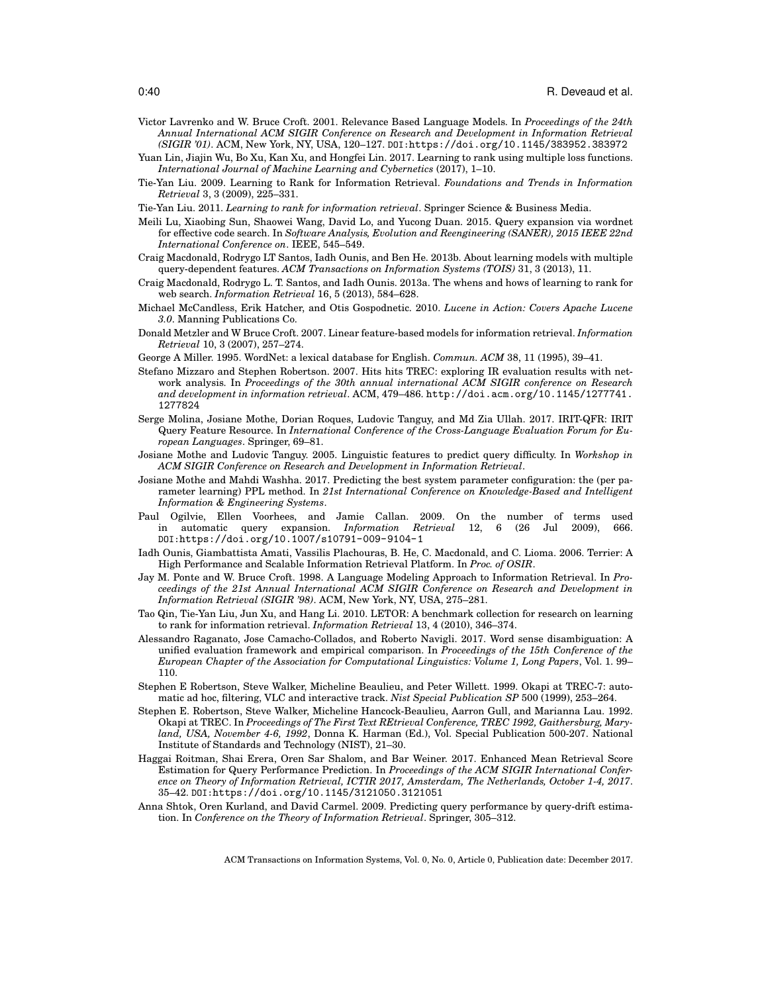- Victor Lavrenko and W. Bruce Croft. 2001. Relevance Based Language Models. In *Proceedings of the 24th Annual International ACM SIGIR Conference on Research and Development in Information Retrieval (SIGIR '01)*. ACM, New York, NY, USA, 120–127. DOI:https://doi.org/10.1145/383952.383972
- Yuan Lin, Jiajin Wu, Bo Xu, Kan Xu, and Hongfei Lin. 2017. Learning to rank using multiple loss functions. *International Journal of Machine Learning and Cybernetics* (2017), 1–10.
- Tie-Yan Liu. 2009. Learning to Rank for Information Retrieval. *Foundations and Trends in Information Retrieval* 3, 3 (2009), 225–331.
- Tie-Yan Liu. 2011. *Learning to rank for information retrieval*. Springer Science & Business Media.
- Meili Lu, Xiaobing Sun, Shaowei Wang, David Lo, and Yucong Duan. 2015. Query expansion via wordnet for effective code search. In *Software Analysis, Evolution and Reengineering (SANER), 2015 IEEE 22nd International Conference on*. IEEE, 545–549.
- Craig Macdonald, Rodrygo LT Santos, Iadh Ounis, and Ben He. 2013b. About learning models with multiple query-dependent features. *ACM Transactions on Information Systems (TOIS)* 31, 3 (2013), 11.
- Craig Macdonald, Rodrygo L. T. Santos, and Iadh Ounis. 2013a. The whens and hows of learning to rank for web search. *Information Retrieval* 16, 5 (2013), 584–628.
- Michael McCandless, Erik Hatcher, and Otis Gospodnetic. 2010. *Lucene in Action: Covers Apache Lucene 3.0*. Manning Publications Co.
- Donald Metzler and W Bruce Croft. 2007. Linear feature-based models for information retrieval. *Information Retrieval* 10, 3 (2007), 257–274.
- George A Miller. 1995. WordNet: a lexical database for English. *Commun. ACM* 38, 11 (1995), 39–41.
- Stefano Mizzaro and Stephen Robertson. 2007. Hits hits TREC: exploring IR evaluation results with network analysis. In *Proceedings of the 30th annual international ACM SIGIR conference on Research and development in information retrieval*. ACM, 479–486. http://doi.acm.org/10.1145/1277741. 1277824
- Serge Molina, Josiane Mothe, Dorian Roques, Ludovic Tanguy, and Md Zia Ullah. 2017. IRIT-QFR: IRIT Query Feature Resource. In *International Conference of the Cross-Language Evaluation Forum for European Languages*. Springer, 69–81.
- Josiane Mothe and Ludovic Tanguy. 2005. Linguistic features to predict query difficulty. In *Workshop in ACM SIGIR Conference on Research and Development in Information Retrieval*.
- Josiane Mothe and Mahdi Washha. 2017. Predicting the best system parameter configuration: the (per parameter learning) PPL method. In *21st International Conference on Knowledge-Based and Intelligent Information & Engineering Systems*.
- Paul Ogilvie, Ellen Voorhees, and Jamie Callan. 2009. On the number of terms used in automatic query expansion. *Information Retrieval* 12, 6 (26 Jul 2009), 666. DOI:https://doi.org/10.1007/s10791-009-9104-1
- Iadh Ounis, Giambattista Amati, Vassilis Plachouras, B. He, C. Macdonald, and C. Lioma. 2006. Terrier: A High Performance and Scalable Information Retrieval Platform. In *Proc. of OSIR*.
- Jay M. Ponte and W. Bruce Croft. 1998. A Language Modeling Approach to Information Retrieval. In *Proceedings of the 21st Annual International ACM SIGIR Conference on Research and Development in Information Retrieval (SIGIR '98)*. ACM, New York, NY, USA, 275–281.
- Tao Qin, Tie-Yan Liu, Jun Xu, and Hang Li. 2010. LETOR: A benchmark collection for research on learning to rank for information retrieval. *Information Retrieval* 13, 4 (2010), 346–374.
- Alessandro Raganato, Jose Camacho-Collados, and Roberto Navigli. 2017. Word sense disambiguation: A unified evaluation framework and empirical comparison. In *Proceedings of the 15th Conference of the European Chapter of the Association for Computational Linguistics: Volume 1, Long Papers*, Vol. 1. 99– 110.
- Stephen E Robertson, Steve Walker, Micheline Beaulieu, and Peter Willett. 1999. Okapi at TREC-7: automatic ad hoc, filtering, VLC and interactive track. *Nist Special Publication SP* 500 (1999), 253–264.
- Stephen E. Robertson, Steve Walker, Micheline Hancock-Beaulieu, Aarron Gull, and Marianna Lau. 1992. Okapi at TREC. In *Proceedings of The First Text REtrieval Conference, TREC 1992, Gaithersburg, Maryland, USA, November 4-6, 1992*, Donna K. Harman (Ed.), Vol. Special Publication 500-207. National Institute of Standards and Technology (NIST), 21–30.
- Haggai Roitman, Shai Erera, Oren Sar Shalom, and Bar Weiner. 2017. Enhanced Mean Retrieval Score Estimation for Query Performance Prediction. In *Proceedings of the ACM SIGIR International Conference on Theory of Information Retrieval, ICTIR 2017, Amsterdam, The Netherlands, October 1-4, 2017*. 35–42. DOI:https://doi.org/10.1145/3121050.3121051
- Anna Shtok, Oren Kurland, and David Carmel. 2009. Predicting query performance by query-drift estimation. In *Conference on the Theory of Information Retrieval*. Springer, 305–312.